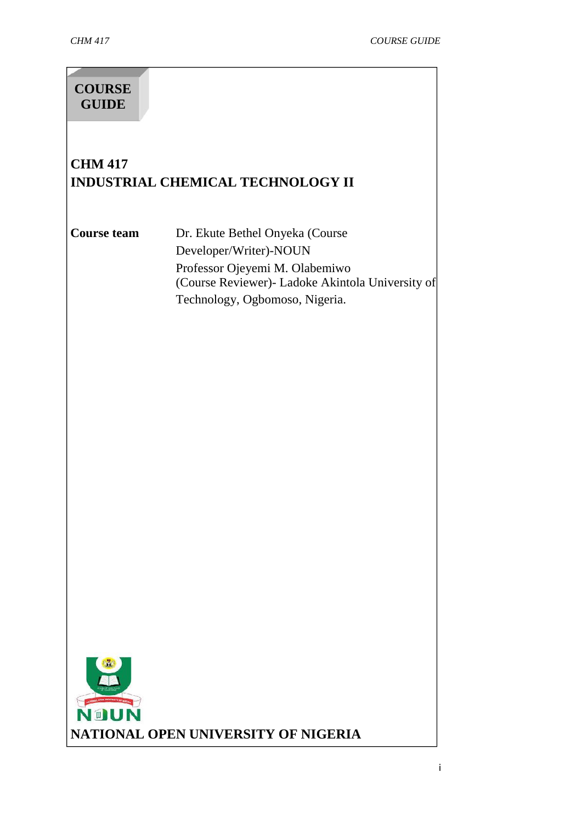# **COURSE GUIDE**

# **CHM 417 INDUSTRIAL CHEMICAL TECHNOLOGY II**

**Course team** Dr. Ekute Bethel Onyeka (Course Developer/Writer)-NOUN Professor Ojeyemi M. Olabemiwo (Course Reviewer)- Ladoke Akintola University of Technology, Ogbomoso, Nigeria.

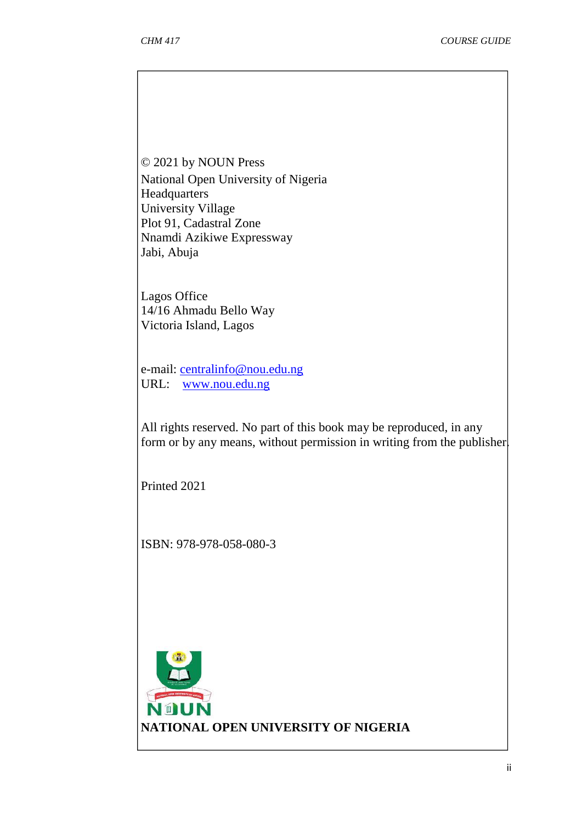© 2021 by NOUN Press National Open University of Nigeria Headquarters University Village Plot 91, Cadastral Zone Nnamdi Azikiwe Expressway Jabi, Abuja

Lagos Office 14/16 Ahmadu Bello Way Victoria Island, Lagos

e-mail: centralinfo@nou.edu.ng URL: www.nou.edu.ng

All rights reserved. No part of this book may be reproduced, in any form or by any means, without permission in writing from the publisher.

Printed 2021

ISBN: 978-978-058-080-3

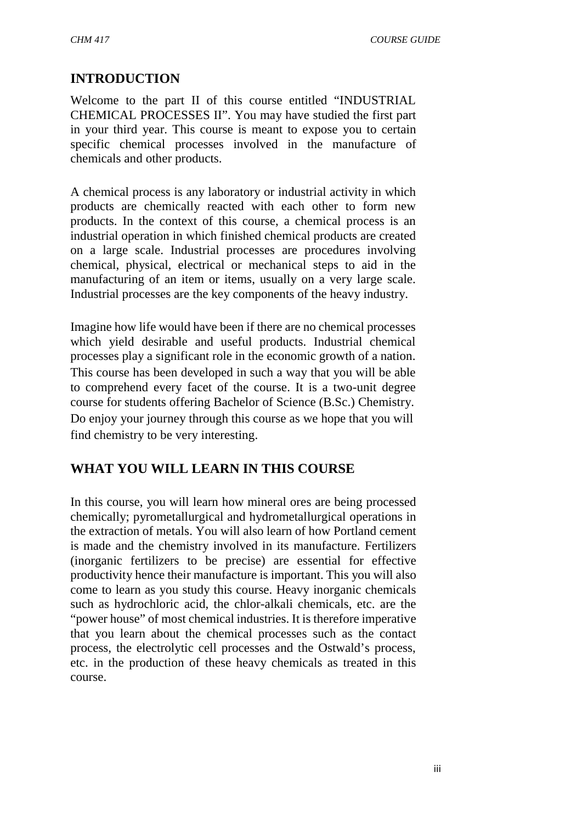# **INTRODUCTION**

Welcome to the part II of this course entitled "INDUSTRIAL CHEMICAL PROCESSES II". You may have studied the first part in your third year. This course is meant to expose you to certain specific chemical processes involved in the manufacture of chemicals and other products.

A chemical process is any laboratory or industrial activity in which products are chemically reacted with each other to form new products. In the context of this course, a chemical process is an industrial operation in which finished chemical products are created on a large scale. Industrial processes are procedures involving chemical, physical, electrical or mechanical steps to aid in the manufacturing of an item or items, usually on a very large scale. Industrial processes are the key components of the heavy industry.

Imagine how life would have been if there are no chemical processes which yield desirable and useful products. Industrial chemical processes play a significant role in the economic growth of a nation. This course has been developed in such a way that you will be able to comprehend every facet of the course. It is a two-unit degree course for students offering Bachelor of Science (B.Sc.) Chemistry. Do enjoy your journey through this course as we hope that you will find chemistry to be very interesting.

# **WHAT YOU WILL LEARN IN THIS COURSE**

In this course, you will learn how mineral ores are being processed chemically; pyrometallurgical and hydrometallurgical operations in the extraction of metals. You will also learn of how Portland cement is made and the chemistry involved in its manufacture. Fertilizers (inorganic fertilizers to be precise) are essential for effective productivity hence their manufacture is important. This you will also come to learn as you study this course. Heavy inorganic chemicals such as hydrochloric acid, the chlor-alkali chemicals, etc. are the "power house" of most chemical industries. It is therefore imperative that you learn about the chemical processes such as the contact process, the electrolytic cell processes and the Ostwald's process, etc. in the production of these heavy chemicals as treated in this course.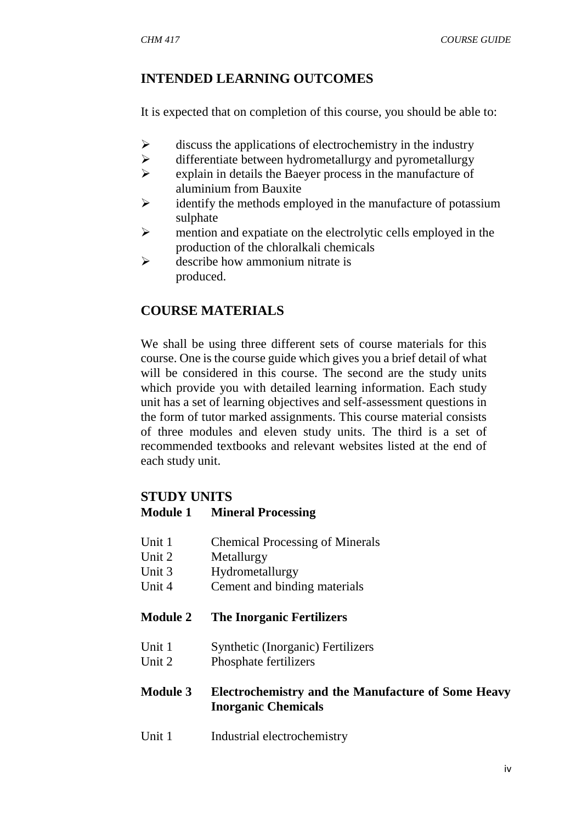## **INTENDED LEARNING OUTCOMES**

It is expected that on completion of this course, you should be able to:

- $\triangleright$  discuss the applications of electrochemistry in the industry
- $\triangleright$  differentiate between hydrometallurgy and pyrometallurgy
- $\triangleright$  explain in details the Baeyer process in the manufacture of aluminium from Bauxite
- $\triangleright$  identify the methods employed in the manufacture of potassium sulphate
- $\triangleright$  mention and expatiate on the electrolytic cells employed in the production of the chloralkali chemicals
- $\triangleright$  describe how ammonium nitrate is produced.

# **COURSE MATERIALS**

We shall be using three different sets of course materials for this course. One is the course guide which gives you a brief detail of what will be considered in this course. The second are the study units which provide you with detailed learning information. Each study unit has a set of learning objectives and self-assessment questions in the form of tutor marked assignments. This course material consists of three modules and eleven study units. The third is a set of recommended textbooks and relevant websites listed at the end of each study unit.

### **STUDY UNITS**

#### **Module 1 Mineral Processing**

- Unit 1 Chemical Processing of Minerals
- Unit 2 Metallurgy
- Unit 3 Hydrometallurgy
- Unit 4 Cement and binding materials

#### **Module 2 The Inorganic Fertilizers**

- Unit 1 Synthetic (Inorganic) Fertilizers
- Unit 2 Phosphate fertilizers

#### **Module 3 Electrochemistry and the Manufacture of Some Heavy Inorganic Chemicals**

Unit 1 Industrial electrochemistry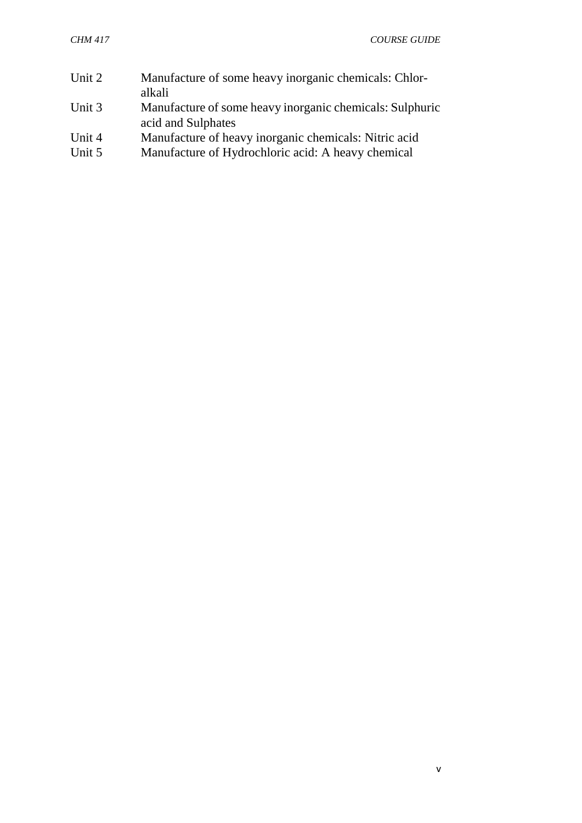| Unit 2 | Manufacture of some heavy inorganic chemicals: Chlor-<br>alkali                |
|--------|--------------------------------------------------------------------------------|
| Unit 3 | Manufacture of some heavy inorganic chemicals: Sulphuric<br>acid and Sulphates |
| Unit 4 | Manufacture of heavy inorganic chemicals: Nitric acid                          |
| Unit 5 | Manufacture of Hydrochloric acid: A heavy chemical                             |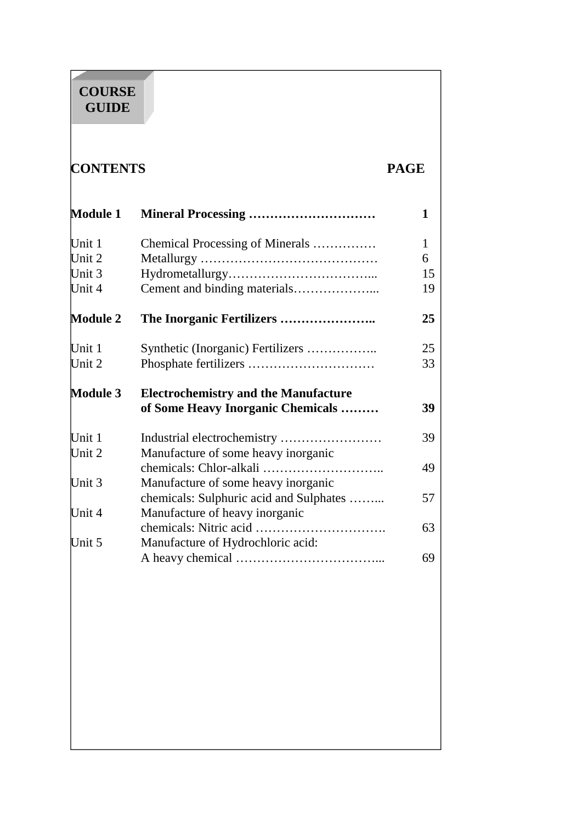#### <u> Andrew Maria (</u> **COURSE GUIDE**

# **CONTENTS PAGE**

| <b>Module 1</b>  |                                                          | 1  |
|------------------|----------------------------------------------------------|----|
| Unit 1           | Chemical Processing of Minerals                          | 1  |
| Unit 2           |                                                          | 6  |
| Unit 3           |                                                          | 15 |
| Unit 4           |                                                          | 19 |
| <b>Module 2</b>  |                                                          | 25 |
| Unit 1           |                                                          | 25 |
| Unit 2           |                                                          | 33 |
| <b>Module 3</b>  | <b>Electrochemistry and the Manufacture</b>              |    |
|                  | of Some Heavy Inorganic Chemicals                        | 39 |
| Unit 1<br>Unit 2 | Manufacture of some heavy inorganic                      | 39 |
| Unit 3           | Manufacture of some heavy inorganic                      | 49 |
|                  | chemicals: Sulphuric acid and Sulphates                  | 57 |
| Unit 4           | Manufacture of heavy inorganic<br>chemicals: Nitric acid | 63 |
|                  | .                                                        |    |
| Unit 5           | Manufacture of Hydrochloric acid:                        |    |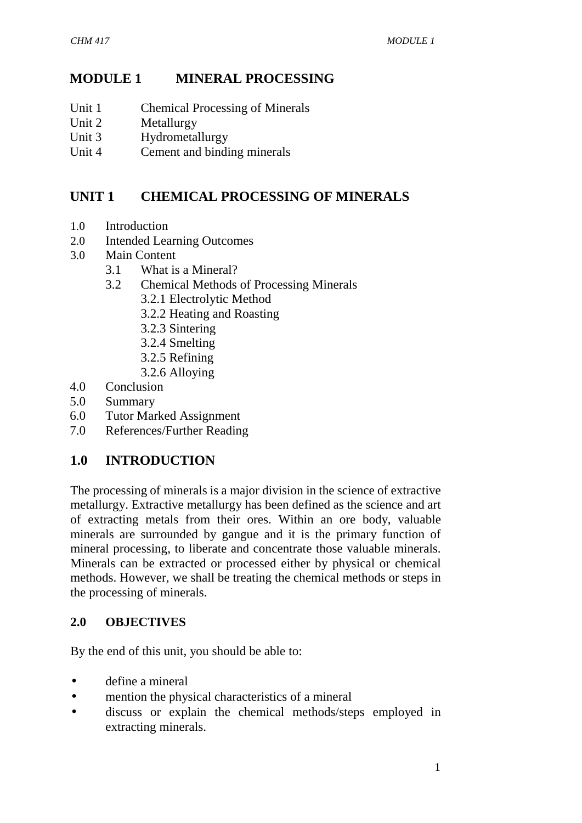# **MODULE 1 MINERAL PROCESSING**

- Unit 1 Chemical Processing of Minerals
- Unit 2 Metallurgy
- Unit 3 Hydrometallurgy
- Unit 4 Cement and binding minerals

# **UNIT 1 CHEMICAL PROCESSING OF MINERALS**

- 1.0 Introduction
- 2.0 Intended Learning Outcomes
- 3.0 Main Content
	- 3.1 What is a Mineral?
		- 3.2 Chemical Methods of Processing Minerals
			- 3.2.1 Electrolytic Method
			- 3.2.2 Heating and Roasting
			- 3.2.3 Sintering
			- 3.2.4 Smelting
			- 3.2.5 Refining
			- 3.2.6 Alloying
- 4.0 Conclusion
- 5.0 Summary
- 6.0 Tutor Marked Assignment
- 7.0 References/Further Reading

# **1.0 INTRODUCTION**

The processing of minerals is a major division in the science of extractive metallurgy. Extractive metallurgy has been defined as the science and art of extracting metals from their ores. Within an ore body, valuable minerals are surrounded by gangue and it is the primary function of mineral processing, to liberate and concentrate those valuable minerals. Minerals can be extracted or processed either by physical or chemical methods. However, we shall be treating the chemical methods or steps in the processing of minerals.

### **2.0 OBJECTIVES**

By the end of this unit, you should be able to:

- define a mineral
- mention the physical characteristics of a mineral
- discuss or explain the chemical methods/steps employed in extracting minerals.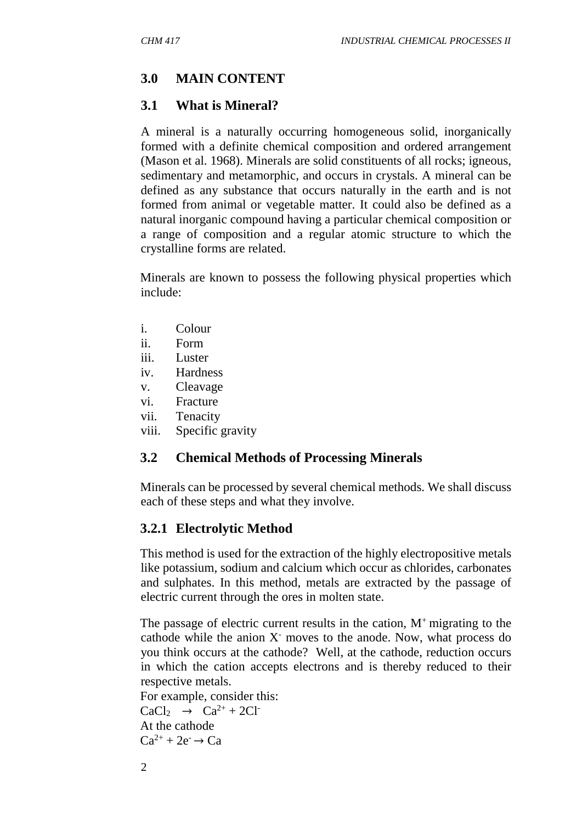## **3.0 MAIN CONTENT**

#### **3.1 What is Mineral?**

A mineral is a naturally occurring homogeneous solid, inorganically formed with a definite chemical composition and ordered arrangement (Mason et al. 1968). Minerals are solid constituents of all rocks; igneous, sedimentary and metamorphic, and occurs in crystals. A mineral can be defined as any substance that occurs naturally in the earth and is not formed from animal or vegetable matter. It could also be defined as a natural inorganic compound having a particular chemical composition or a range of composition and a regular atomic structure to which the crystalline forms are related.

Minerals are known to possess the following physical properties which include:

- i. Colour
- ii. Form
- iii. Luster
- iv. Hardness
- v. Cleavage
- vi. Fracture
- vii. Tenacity
- viii. Specific gravity

#### **3.2 Chemical Methods of Processing Minerals**

Minerals can be processed by several chemical methods. We shall discuss each of these steps and what they involve.

### **3.2.1 Electrolytic Method**

This method is used for the extraction of the highly electropositive metals like potassium, sodium and calcium which occur as chlorides, carbonates and sulphates. In this method, metals are extracted by the passage of electric current through the ores in molten state.

The passage of electric current results in the cation,  $M^+$  migrating to the cathode while the anion X- moves to the anode. Now, what process do you think occurs at the cathode? Well, at the cathode, reduction occurs in which the cation accepts electrons and is thereby reduced to their respective metals.

For example, consider this:  $CaCl<sub>2</sub> \rightarrow Ca<sup>2+</sup> + 2Cl<sup>2</sup>$ <br>At the cathode

 $Ca^{2+} + 2e^- \rightarrow Ca$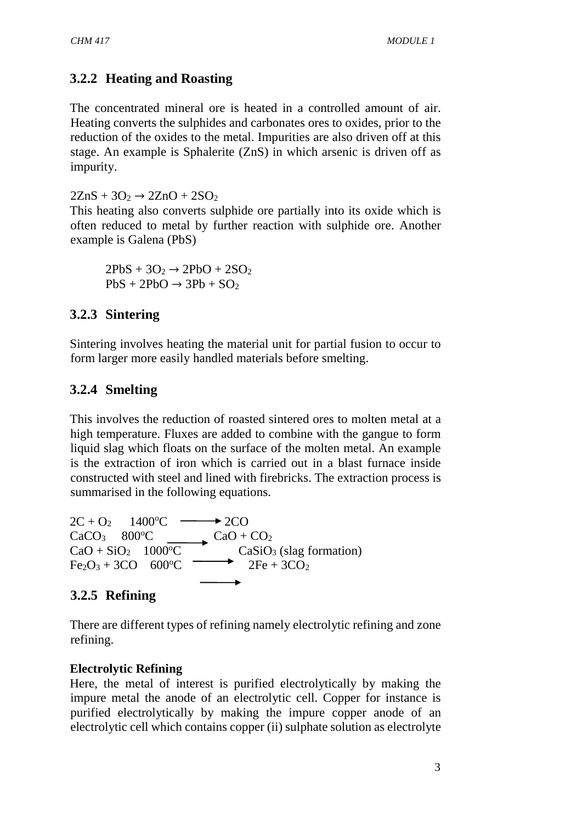### **3.2.2 Heating and Roasting**

The concentrated mineral ore is heated in a controlled amount of air. Heating converts the sulphides and carbonates ores to oxides, prior to the reduction of the oxides to the metal. Impurities are also driven off at this stage. An example is Sphalerite (ZnS) in which arsenic is driven off as impurity.

 $2ZnS + 3O_2 \rightarrow 2ZnO + 2SO_2$ 

This heating also converts sulphide ore partially into its oxide which is often reduced to metal by further reaction with sulphide ore. Another example is Galena (PbS)

 $2PbS + 3O_2 \rightarrow 2PbO + 2SO_2$  $PbS + 2PbO \rightarrow 3Pb + SO<sub>2</sub>$ 

#### **3.2.3 Sintering**

Sintering involves heating the material unit for partial fusion to occur to form larger more easily handled materials before smelting.

#### **3.2.4 Smelting**

This involves the reduction of roasted sintered ores to molten metal at a high temperature. Fluxes are added to combine with the gangue to form liquid slag which floats on the surface of the molten metal. An example is the extraction of iron which is carried out in a blast furnace inside constructed with steel and lined with firebricks. The extraction process is summarised in the following equations.

 $2C + O_2$  1400<sup>o</sup>C  $\longrightarrow$  2CO CaCO<sub>3</sub> 800<sup>o</sup>C CaO + CO<sub>2</sub>  $CaO + SiO<sub>2</sub>$  1000°C CaSiO<sub>3</sub> (slag formation)  $Fe<sub>2</sub>O<sub>3</sub> + 3CO$  600<sup>o</sup>C <sup>2Fe</sup> + 3CO<sub>2</sub>

#### **3.2.5 Refining**

There are different types of refining namely electrolytic refining and zone refining.

#### **Electrolytic Refining**

Here, the metal of interest is purified electrolytically by making the impure metal the anode of an electrolytic cell. Copper for instance is purified electrolytically by making the impure copper anode of an electrolytic cell which contains copper (ii) sulphate solution as electrolyte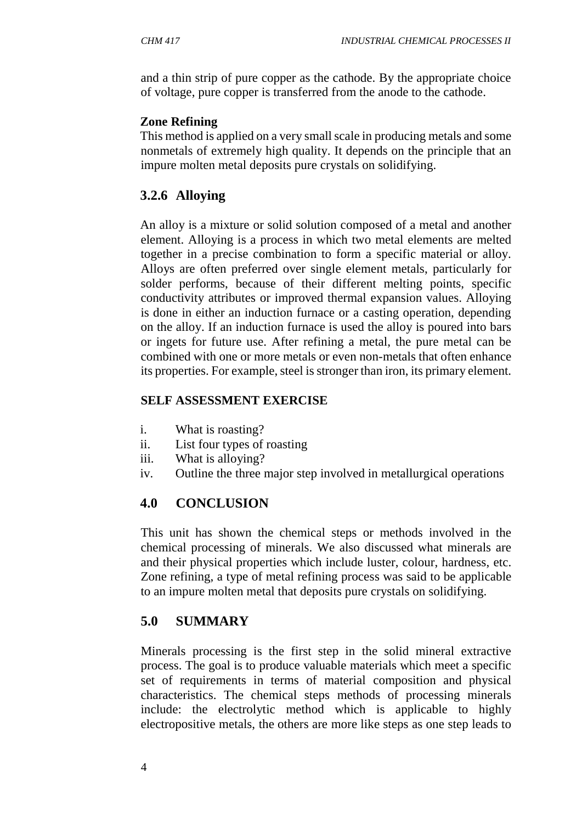and a thin strip of pure copper as the cathode. By the appropriate choice of voltage, pure copper is transferred from the anode to the cathode.

#### **Zone Refining**

This method is applied on a very small scale in producing metals and some nonmetals of extremely high quality. It depends on the principle that an impure molten metal deposits pure crystals on solidifying.

# **3.2.6 Alloying**

An alloy is a mixture or solid solution composed of a metal and another element. Alloying is a process in which two metal elements are melted together in a precise combination to form a specific material or alloy. Alloys are often preferred over single element metals, particularly for solder performs, because of their different melting points, specific conductivity attributes or improved thermal expansion values. Alloying is done in either an induction furnace or a casting operation, depending on the alloy. If an induction furnace is used the alloy is poured into bars or ingets for future use. After refining a metal, the pure metal can be combined with one or more metals or even non-metals that often enhance its properties. For example, steel is stronger than iron, its primary element.

#### **SELF ASSESSMENT EXERCISE**

- i. What is roasting?
- ii. List four types of roasting
- iii. What is alloying?
- iv. Outline the three major step involved in metallurgical operations

# **4.0 CONCLUSION**

This unit has shown the chemical steps or methods involved in the chemical processing of minerals. We also discussed what minerals are and their physical properties which include luster, colour, hardness, etc. Zone refining, a type of metal refining process was said to be applicable to an impure molten metal that deposits pure crystals on solidifying.

# **5.0 SUMMARY**

Minerals processing is the first step in the solid mineral extractive process. The goal is to produce valuable materials which meet a specific set of requirements in terms of material composition and physical characteristics. The chemical steps methods of processing minerals include: the electrolytic method which is applicable to highly electropositive metals, the others are more like steps as one step leads to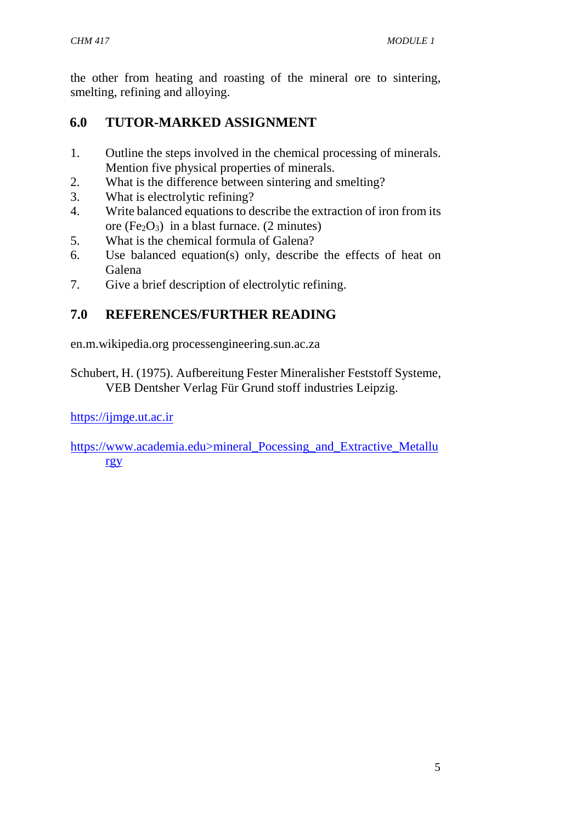the other from heating and roasting of the mineral ore to sintering, smelting, refining and alloying.

# **6.0 TUTOR-MARKED ASSIGNMENT**

- 1. Outline the steps involved in the chemical processing of minerals. Mention five physical properties of minerals.
- 2. What is the difference between sintering and smelting?
- 3. What is electrolytic refining?
- 4. Write balanced equations to describe the extraction of iron from its ore  $(Fe_2O_3)$  in a blast furnace. (2 minutes)
- 5. What is the chemical formula of Galena?
- 6. Use balanced equation(s) only, describe the effects of heat on Galena
- 7. Give a brief description of electrolytic refining.

# **7.0 REFERENCES/FURTHER READING**

en.m.wikipedia.org processengineering.sun.ac.za

Schubert, H. (1975). Aufbereitung Fester Mineralisher Feststoff Systeme, VEB Dentsher Verlag Für Grund stoff industries Leipzig.

https://ijmge.ut.ac.ir

https://www.academia.edu>mineral\_Pocessing\_and\_Extractive\_Metallu rgy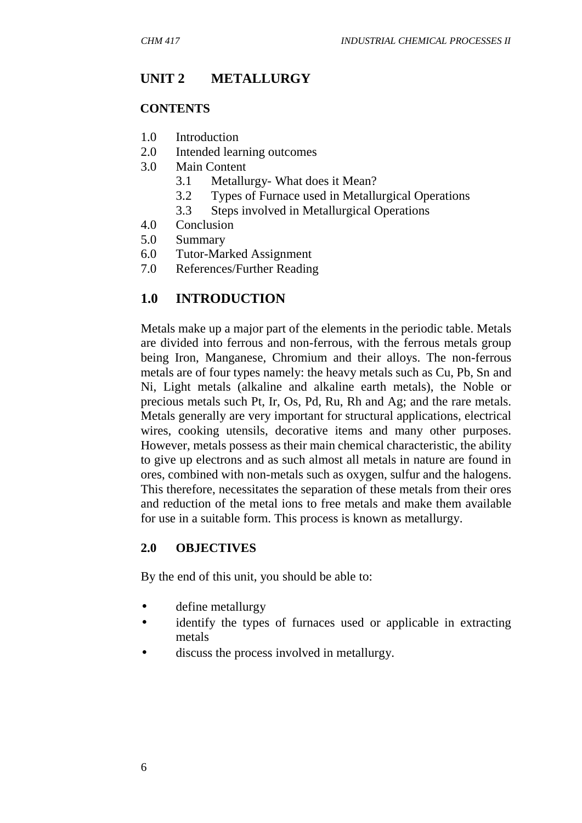# **UNIT 2 METALLURGY**

#### **CONTENTS**

- 1.0 Introduction
- 2.0 Intended learning outcomes
- 3.0 Main Content
	- 3.1 Metallurgy- What does it Mean?
	- 3.2 Types of Furnace used in Metallurgical Operations
	- 3.3 Steps involved in Metallurgical Operations
- 4.0 Conclusion
- 5.0 Summary
- 6.0 Tutor-Marked Assignment
- 7.0 References/Further Reading

#### **1.0 INTRODUCTION**

Metals make up a major part of the elements in the periodic table. Metals are divided into ferrous and non-ferrous, with the ferrous metals group being Iron, Manganese, Chromium and their alloys. The non-ferrous metals are of four types namely: the heavy metals such as Cu, Pb, Sn and Ni, Light metals (alkaline and alkaline earth metals), the Noble or precious metals such Pt, Ir, Os, Pd, Ru, Rh and Ag; and the rare metals. Metals generally are very important for structural applications, electrical wires, cooking utensils, decorative items and many other purposes. However, metals possess as their main chemical characteristic, the ability to give up electrons and as such almost all metals in nature are found in ores, combined with non-metals such as oxygen, sulfur and the halogens. This therefore, necessitates the separation of these metals from their ores and reduction of the metal ions to free metals and make them available for use in a suitable form. This process is known as metallurgy.

#### **2.0 OBJECTIVES**

By the end of this unit, you should be able to:

- define metallurgy
- identify the types of furnaces used or applicable in extracting metals
- discuss the process involved in metallurgy.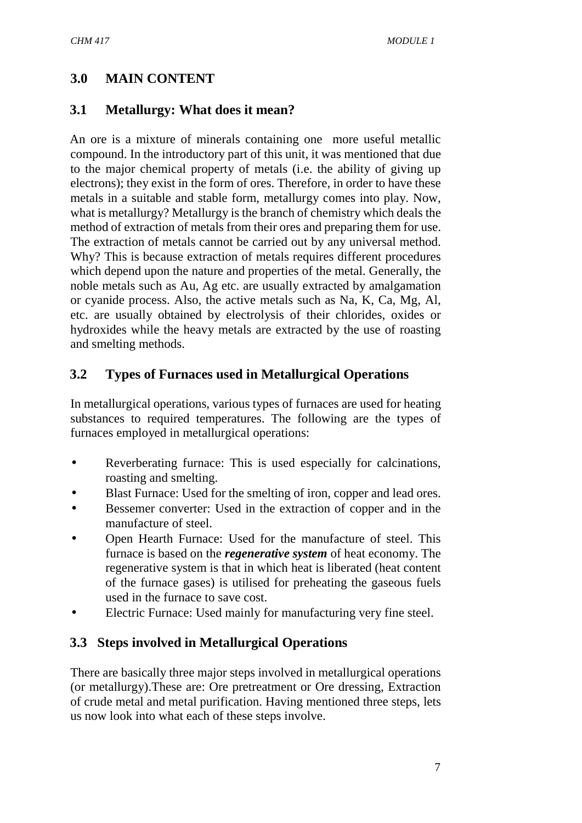## **3.0 MAIN CONTENT**

#### **3.1 Metallurgy: What does it mean?**

An ore is a mixture of minerals containing one more useful metallic compound. In the introductory part of this unit, it was mentioned that due to the major chemical property of metals (i.e. the ability of giving up electrons); they exist in the form of ores. Therefore, in order to have these metals in a suitable and stable form, metallurgy comes into play. Now, what is metallurgy? Metallurgy is the branch of chemistry which deals the method of extraction of metals from their ores and preparing them for use. The extraction of metals cannot be carried out by any universal method. Why? This is because extraction of metals requires different procedures which depend upon the nature and properties of the metal. Generally, the noble metals such as Au, Ag etc. are usually extracted by amalgamation or cyanide process. Also, the active metals such as Na, K, Ca, Mg, Al, etc. are usually obtained by electrolysis of their chlorides, oxides or hydroxides while the heavy metals are extracted by the use of roasting and smelting methods.

#### **3.2 Types of Furnaces used in Metallurgical Operations**

In metallurgical operations, various types of furnaces are used for heating substances to required temperatures. The following are the types of furnaces employed in metallurgical operations:

- Reverberating furnace: This is used especially for calcinations, roasting and smelting.
- Blast Furnace: Used for the smelting of iron, copper and lead ores.
- Bessemer converter: Used in the extraction of copper and in the manufacture of steel.
- Open Hearth Furnace: Used for the manufacture of steel. This furnace is based on the *regenerative system* of heat economy. The regenerative system is that in which heat is liberated (heat content of the furnace gases) is utilised for preheating the gaseous fuels used in the furnace to save cost.
- Electric Furnace: Used mainly for manufacturing very fine steel.

### **3.3 Steps involved in Metallurgical Operations**

There are basically three major steps involved in metallurgical operations (or metallurgy).These are: Ore pretreatment or Ore dressing, Extraction of crude metal and metal purification. Having mentioned three steps, lets us now look into what each of these steps involve.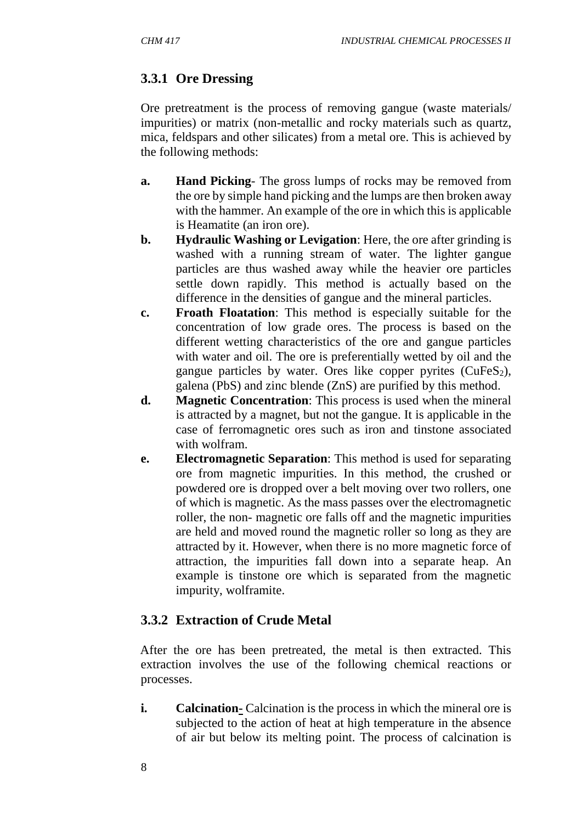# **3.3.1 Ore Dressing**

Ore pretreatment is the process of removing gangue (waste materials/ impurities) or matrix (non-metallic and rocky materials such as quartz, mica, feldspars and other silicates) from a metal ore. This is achieved by the following methods:

- **a. Hand Picking** The gross lumps of rocks may be removed from the ore by simple hand picking and the lumps are then broken away with the hammer. An example of the ore in which this is applicable is Heamatite (an iron ore).
- **b. Hydraulic Washing or Levigation**: Here, the ore after grinding is washed with a running stream of water. The lighter gangue particles are thus washed away while the heavier ore particles settle down rapidly. This method is actually based on the difference in the densities of gangue and the mineral particles.
- **c. Froath Floatation**: This method is especially suitable for the concentration of low grade ores. The process is based on the different wetting characteristics of the ore and gangue particles with water and oil. The ore is preferentially wetted by oil and the gangue particles by water. Ores like copper pyrites  $(CuFeS<sub>2</sub>)$ , galena (PbS) and zinc blende (ZnS) are purified by this method.
- **d. Magnetic Concentration**: This process is used when the mineral is attracted by a magnet, but not the gangue. It is applicable in the case of ferromagnetic ores such as iron and tinstone associated with wolfram.
- **e. Electromagnetic Separation**: This method is used for separating ore from magnetic impurities. In this method, the crushed or powdered ore is dropped over a belt moving over two rollers, one of which is magnetic. As the mass passes over the electromagnetic roller, the non- magnetic ore falls off and the magnetic impurities are held and moved round the magnetic roller so long as they are attracted by it. However, when there is no more magnetic force of attraction, the impurities fall down into a separate heap. An example is tinstone ore which is separated from the magnetic impurity, wolframite.

# **3.3.2 Extraction of Crude Metal**

After the ore has been pretreated, the metal is then extracted. This extraction involves the use of the following chemical reactions or processes.

**i. Calcination-** Calcination is the process in which the mineral ore is subjected to the action of heat at high temperature in the absence of air but below its melting point. The process of calcination is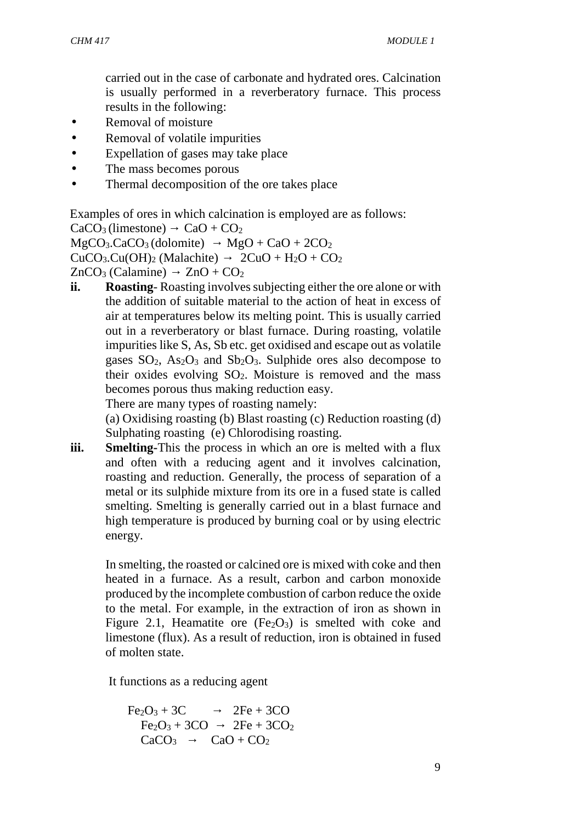carried out in the case of carbonate and hydrated ores. Calcination is usually performed in a reverberatory furnace. This process results in the following:

- Removal of moisture
- Removal of volatile impurities
- Expellation of gases may take place
- The mass becomes porous
- Thermal decomposition of the ore takes place

Examples of ores in which calcination is employed are as follows:

```
CaCO<sub>3</sub>(limestone) CaO + CO<sub>2</sub>
```

```
MgCO<sub>3</sub>.CaCO<sub>3</sub> (dolomite) MgO + CaO + 2CO<sub>2</sub>
```
 $CuCO<sub>3</sub>.Cu(OH)<sub>2</sub> (Malachite)$   $2CuO + H<sub>2</sub>O + CO<sub>2</sub>$ 

 $ZnCO<sub>3</sub>$  (Calamine)  $ZnO + CO<sub>2</sub>$ 

**ii. Roasting**- Roasting involves subjecting either the ore alone or with the addition of suitable material to the action of heat in excess of air at temperatures below its melting point. This is usually carried out in a reverberatory or blast furnace. During roasting, volatile impurities like S, As, Sb etc. get oxidised and escape out as volatile gases  $SO_2$ ,  $As_2O_3$  and  $Sb_2O_3$ . Sulphide ores also decompose to their oxides evolving  $SO_2$ . Moisture is removed and the mass becomes porous thus making reduction easy.

There are many types of roasting namely:

(a) Oxidising roasting (b) Blast roasting (c) Reduction roasting (d) Sulphating roasting (e) Chlorodising roasting.

**iii. Smelting-**This the process in which an ore is melted with a flux and often with a reducing agent and it involves calcination, roasting and reduction. Generally, the process of separation of a metal or its sulphide mixture from its ore in a fused state is called smelting. Smelting is generally carried out in a blast furnace and high temperature is produced by burning coal or by using electric energy.

In smelting, the roasted or calcined ore is mixed with coke and then heated in a furnace. As a result, carbon and carbon monoxide produced by the incomplete combustion of carbon reduce the oxide to the metal. For example, in the extraction of iron as shown in Figure 2.1, Heamatite ore  $(Fe<sub>2</sub>O<sub>3</sub>)$  is smelted with coke and limestone (flux). As a result of reduction, iron is obtained in fused of molten state.

It functions as a reducing agent

$$
Fe2O3 + 3C
$$
  
\n
$$
Fe2O3 + 3CO
$$
  
\n
$$
2Fe + 3CO2
$$
  
\n
$$
2Fe + 3CO2
$$
  
\n
$$
CaCO3
$$
  
\n
$$
CaO + CO2
$$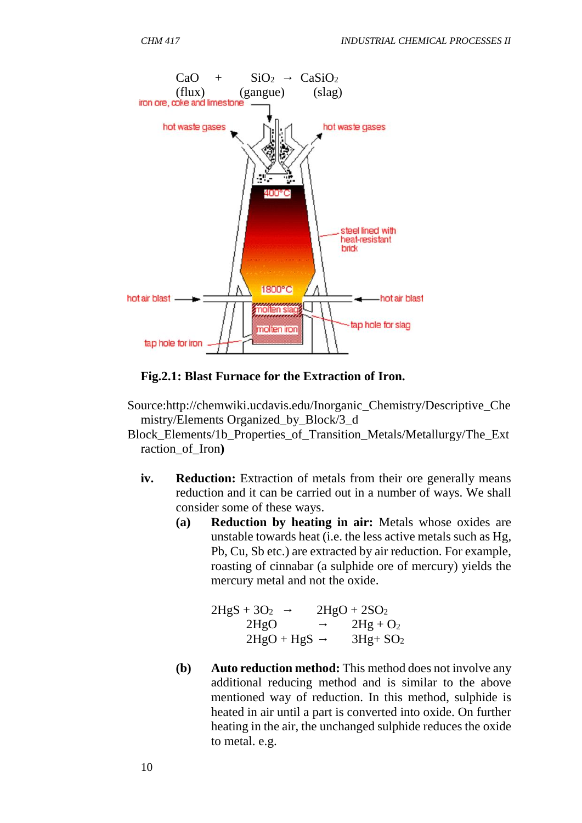

#### **Fig.2.1: Blast Furnace for the Extraction of Iron.**

- Source:http://chemwiki.ucdavis.edu/Inorganic\_Chemistry/Descriptive\_Che mistry/Elements Organized\_by\_Block/3\_d
- Block\_Elements/1b\_Properties\_of\_Transition\_Metals/Metallurgy/The\_Ext raction\_of\_Iron**)**
	- **iv. Reduction:** Extraction of metals from their ore generally means reduction and it can be carried out in a number of ways. We shall consider some of these ways.
		- **(a) Reduction by heating in air:** Metals whose oxides are unstable towards heat (i.e. the less active metals such as Hg, Pb, Cu, Sb etc.) are extracted by air reduction. For example, roasting of cinnabar (a sulphide ore of mercury) yields the mercury metal and not the oxide.

| $2HgS + 3O2$ | $2HgO + 2SO2$ |
|--------------|---------------|
| 2HgO         | $2Hg + O_2$   |
| $2HgO + HgS$ | $3Hg+SO2$     |

**(b) Auto reduction method:** This method does not involve any additional reducing method and is similar to the above mentioned way of reduction. In this method, sulphide is heated in air until a part is converted into oxide. On further heating in the air, the unchanged sulphide reduces the oxide to metal. e.g.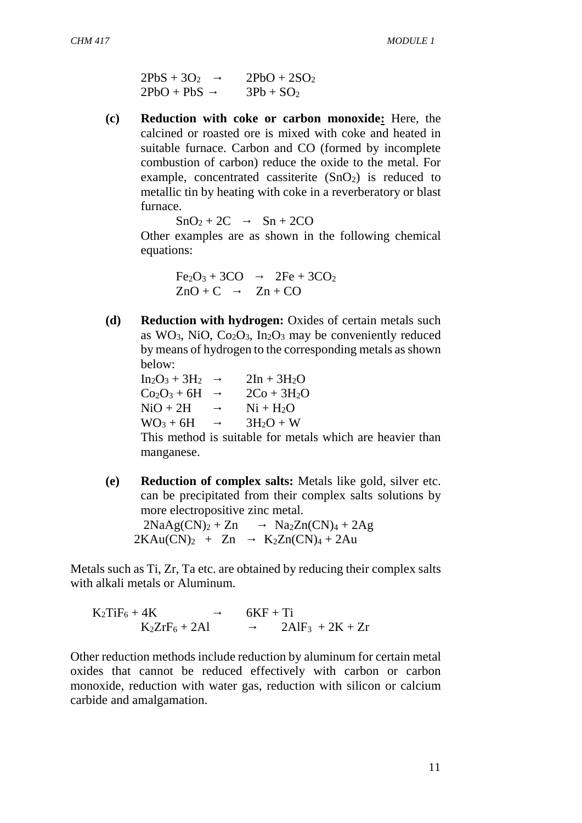| $2PbS + 3O2$ | $2PbO + 2SO2$ |
|--------------|---------------|
| $2PbO + PbS$ | $3Pb + SO2$   |

**(c) Reduction with coke or carbon monoxide:** Here, the calcined or roasted ore is mixed with coke and heated in suitable furnace. Carbon and CO (formed by incomplete combustion of carbon) reduce the oxide to the metal. For example, concentrated cassiterite  $(SnO<sub>2</sub>)$  is reduced to metallic tin by heating with coke in a reverberatory or blast furnace.

 $SnO<sub>2</sub> + 2C$   $Sn + 2CO$ 

Other examples are as shown in the following chemical equations:

```
Fe<sub>2</sub>O<sub>3</sub> + 3CO 2Fe + 3CO<sub>2</sub>ZnO + C Zn + CO
```
**(d) Reduction with hydrogen:** Oxides of certain metals such as  $WO<sub>3</sub>$ , NiO, Co<sub>2</sub>O<sub>3</sub>, In<sub>2</sub>O<sub>3</sub> may be conveniently reduced by means of hydrogen to the corresponding metals as shown below:

| $In_2O_3 + 3H_2$ | $2In + 3H2O$  |  |
|------------------|---------------|--|
| $Co2O3 + 6H$     | $2Co + 3H_2O$ |  |
| $NiO + 2H$       | $Ni + H2O$    |  |
| $WO3 + 6H$       | $3H_2O+W$     |  |
| ---              |               |  |

This method is suitable for metals which are heavier than manganese.

**(e) Reduction of complex salts:** Metals like gold, silver etc. can be precipitated from their complex salts solutions by more electropositive zinc metal.  $2NaAg(CN)<sub>2</sub> + Zn$   $Na<sub>2</sub>Zn(CN)<sub>4</sub> + 2Ag$  $2KAu(CN)_2$  + Zn  $K_2Zn(CN)_4$  + 2Au

Metals such as Ti, Zr, Ta etc. are obtained by reducing their complex salts with alkali metals or Aluminum.

$$
K_2TiF_6 + 4K
$$
  
\n
$$
K_2ZrF_6 + 2Al
$$
  
\n
$$
6KF + Ti
$$
  
\n
$$
2AlF_3 + 2K + Zr
$$

Other reduction methods include reduction by aluminum for certain metal oxides that cannot be reduced effectively with carbon or carbon monoxide, reduction with water gas, reduction with silicon or calcium carbide and amalgamation.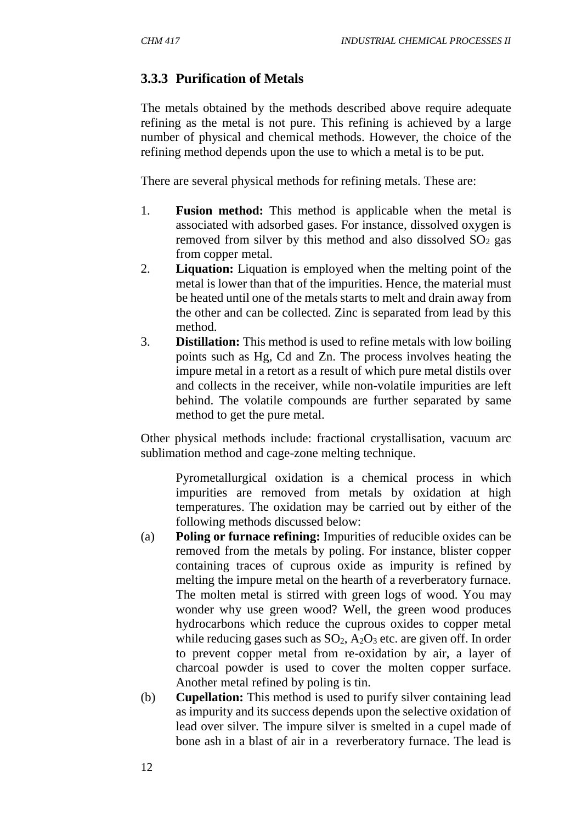# **3.3.3 Purification of Metals**

The metals obtained by the methods described above require adequate refining as the metal is not pure. This refining is achieved by a large number of physical and chemical methods. However, the choice of the refining method depends upon the use to which a metal is to be put.

There are several physical methods for refining metals. These are:

- 1. **Fusion method:** This method is applicable when the metal is associated with adsorbed gases. For instance, dissolved oxygen is removed from silver by this method and also dissolved  $SO<sub>2</sub>$  gas from copper metal.
- 2. **Liquation:** Liquation is employed when the melting point of the metal is lower than that of the impurities. Hence, the material must be heated until one of the metals starts to melt and drain away from the other and can be collected. Zinc is separated from lead by this method.
- 3. **Distillation:** This method is used to refine metals with low boiling points such as Hg, Cd and Zn. The process involves heating the impure metal in a retort as a result of which pure metal distils over and collects in the receiver, while non-volatile impurities are left behind. The volatile compounds are further separated by same method to get the pure metal.

Other physical methods include: fractional crystallisation, vacuum arc sublimation method and cage-zone melting technique.

Pyrometallurgical oxidation is a chemical process in which impurities are removed from metals by oxidation at high temperatures. The oxidation may be carried out by either of the following methods discussed below:

- (a) **Poling or furnace refining:** Impurities of reducible oxides can be removed from the metals by poling. For instance, blister copper containing traces of cuprous oxide as impurity is refined by melting the impure metal on the hearth of a reverberatory furnace. The molten metal is stirred with green logs of wood. You may wonder why use green wood? Well, the green wood produces hydrocarbons which reduce the cuprous oxides to copper metal while reducing gases such as  $SO_2$ ,  $A_2O_3$  etc. are given off. In order to prevent copper metal from re-oxidation by air, a layer of charcoal powder is used to cover the molten copper surface. Another metal refined by poling is tin.
- (b) **Cupellation:** This method is used to purify silver containing lead as impurity and its success depends upon the selective oxidation of lead over silver. The impure silver is smelted in a cupel made of bone ash in a blast of air in a reverberatory furnace. The lead is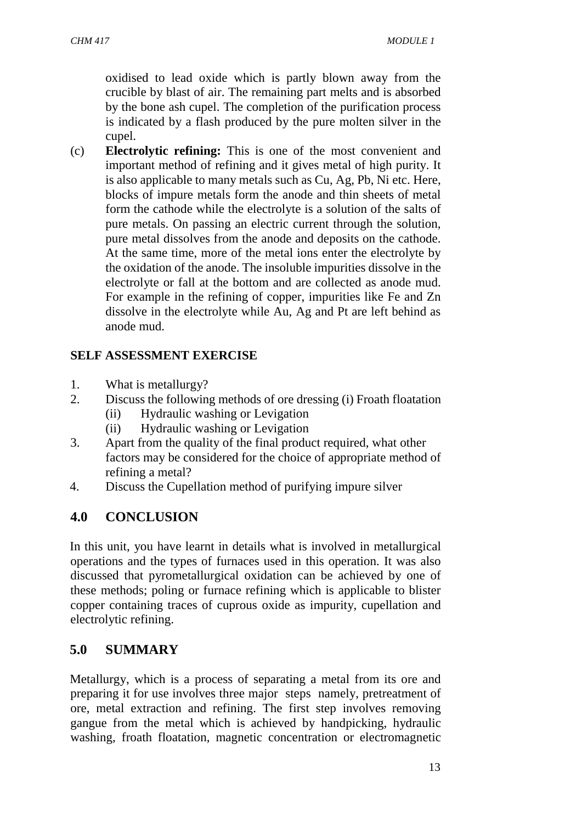oxidised to lead oxide which is partly blown away from the crucible by blast of air. The remaining part melts and is absorbed by the bone ash cupel. The completion of the purification process is indicated by a flash produced by the pure molten silver in the cupel.

(c) **Electrolytic refining:** This is one of the most convenient and important method of refining and it gives metal of high purity. It is also applicable to many metals such as Cu, Ag, Pb, Ni etc. Here, blocks of impure metals form the anode and thin sheets of metal form the cathode while the electrolyte is a solution of the salts of pure metals. On passing an electric current through the solution, pure metal dissolves from the anode and deposits on the cathode. At the same time, more of the metal ions enter the electrolyte by the oxidation of the anode. The insoluble impurities dissolve in the electrolyte or fall at the bottom and are collected as anode mud. For example in the refining of copper, impurities like Fe and Zn dissolve in the electrolyte while Au, Ag and Pt are left behind as anode mud.

# **SELF ASSESSMENT EXERCISE**

- 1. What is metallurgy?
- 2. Discuss the following methods of ore dressing (i) Froath floatation
	- (ii) Hydraulic washing or Levigation
	- (ii) Hydraulic washing or Levigation
- 3. Apart from the quality of the final product required, what other factors may be considered for the choice of appropriate method of refining a metal?
- 4. Discuss the Cupellation method of purifying impure silver

# **4.0 CONCLUSION**

In this unit, you have learnt in details what is involved in metallurgical operations and the types of furnaces used in this operation. It was also discussed that pyrometallurgical oxidation can be achieved by one of these methods; poling or furnace refining which is applicable to blister copper containing traces of cuprous oxide as impurity, cupellation and electrolytic refining.

# **5.0 SUMMARY**

Metallurgy, which is a process of separating a metal from its ore and preparing it for use involves three major steps namely, pretreatment of ore, metal extraction and refining. The first step involves removing gangue from the metal which is achieved by handpicking, hydraulic washing, froath floatation, magnetic concentration or electromagnetic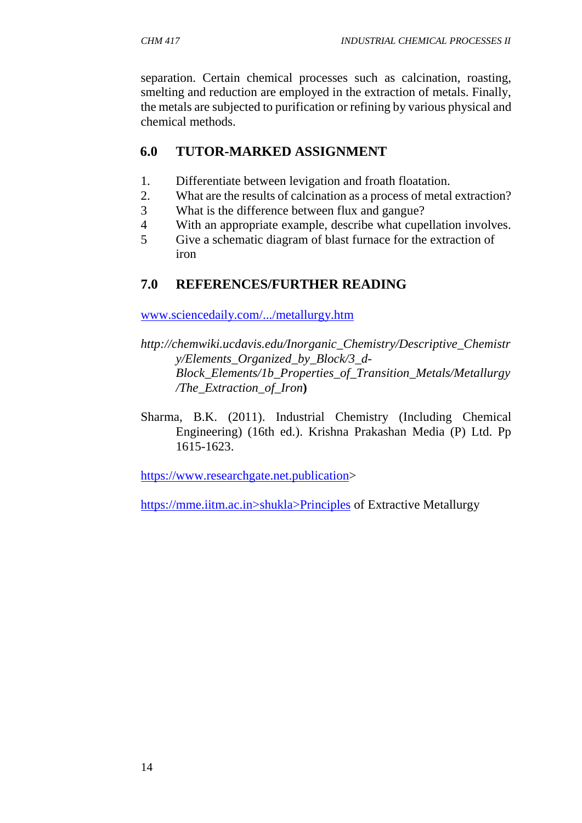separation. Certain chemical processes such as calcination, roasting, smelting and reduction are employed in the extraction of metals. Finally, the metals are subjected to purification or refining by various physical and chemical methods.

# **6.0 TUTOR-MARKED ASSIGNMENT**

- 1. Differentiate between levigation and froath floatation.
- 2. What are the results of calcination as a process of metal extraction?
- 3 What is the difference between flux and gangue?
- 4 With an appropriate example, describe what cupellation involves.
- 5 Give a schematic diagram of blast furnace for the extraction of iron

# **7.0 REFERENCES/FURTHER READING**

www.sciencedaily.com/.../metallurgy.htm

- *http://chemwiki.ucdavis.edu/Inorganic\_Chemistry/Descriptive\_Chemistr y/Elements\_Organized\_by\_Block/3\_d- Block\_Elements/1b\_Properties\_of\_Transition\_Metals/Metallurgy /The\_Extraction\_of\_Iron***)**
- Sharma, B.K. (2011). Industrial Chemistry (Including Chemical Engineering) (16th ed.). Krishna Prakashan Media (P) Ltd. Pp 1615-1623.

https://www.researchgate.net.publication>

https://mme.iitm.ac.in>shukla>Principles of Extractive Metallurgy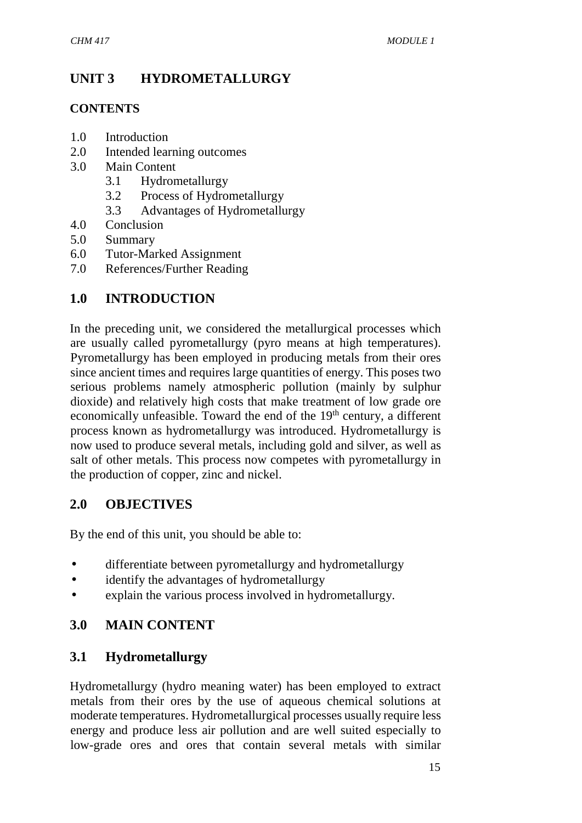# **UNIT 3 HYDROMETALLURGY**

#### **CONTENTS**

- 1.0 Introduction
- 2.0 Intended learning outcomes
- 3.0 Main Content
	- 3.1 Hydrometallurgy
	- 3.2 Process of Hydrometallurgy
	- 3.3 Advantages of Hydrometallurgy
- 4.0 Conclusion
- 5.0 Summary
- 6.0 Tutor-Marked Assignment
- 7.0 References/Further Reading

# **1.0 INTRODUCTION**

In the preceding unit, we considered the metallurgical processes which are usually called pyrometallurgy (pyro means at high temperatures). Pyrometallurgy has been employed in producing metals from their ores since ancient times and requires large quantities of energy. This poses two serious problems namely atmospheric pollution (mainly by sulphur dioxide) and relatively high costs that make treatment of low grade ore economically unfeasible. Toward the end of the 19<sup>th</sup> century, a different process known as hydrometallurgy was introduced. Hydrometallurgy is now used to produce several metals, including gold and silver, as well as salt of other metals. This process now competes with pyrometallurgy in the production of copper, zinc and nickel.

# **2.0 OBJECTIVES**

By the end of this unit, you should be able to:

- differentiate between pyrometallurgy and hydrometallurgy
- identify the advantages of hydrometallurgy
- explain the various process involved in hydrometallurgy.

# **3.0 MAIN CONTENT**

# **3.1 Hydrometallurgy**

Hydrometallurgy (hydro meaning water) has been employed to extract metals from their ores by the use of aqueous chemical solutions at moderate temperatures. Hydrometallurgical processes usually require less energy and produce less air pollution and are well suited especially to low-grade ores and ores that contain several metals with similar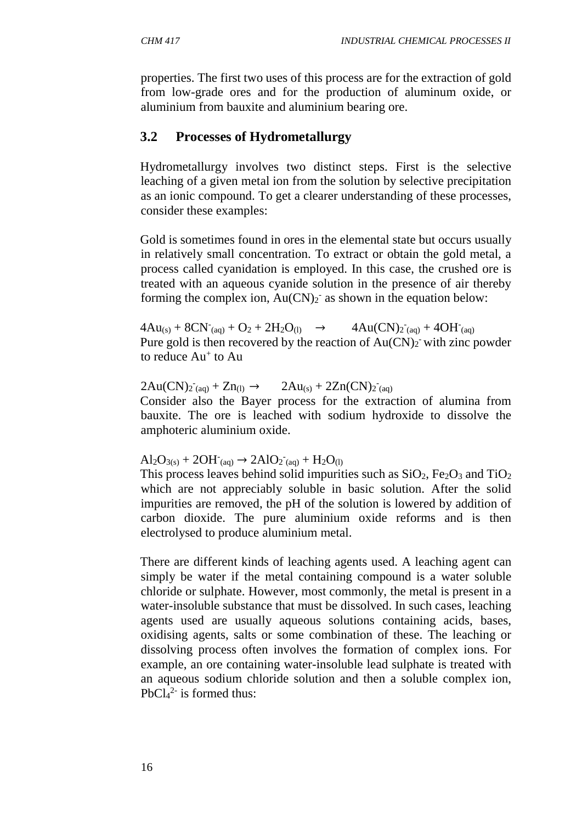properties. The first two uses of this process are for the extraction of gold from low-grade ores and for the production of aluminum oxide, or aluminium from bauxite and aluminium bearing ore.

### **3.2 Processes of Hydrometallurgy**

Hydrometallurgy involves two distinct steps. First is the selective leaching of a given metal ion from the solution by selective precipitation as an ionic compound. To get a clearer understanding of these processes, consider these examples:

Gold is sometimes found in ores in the elemental state but occurs usually in relatively small concentration. To extract or obtain the gold metal, a process called cyanidation is employed. In this case, the crushed ore is treated with an aqueous cyanide solution in the presence of air thereby forming the complex ion,  $Au(CN)_2$  as shown in the equation below:

 $4Au_{(s)} + 8CN_{(aq)} + O_2 + 2H_2O_{(l)} \rightarrow 4Au(CN)_{2(aq)} +$  $\tau$ <sub>(aq)</sub> + 4OH $\tau$ <sub>(aq)</sub> Pure gold is then recovered by the reaction of  $Au(CN)_2$  with zinc powder to reduce  $Au^+$  to  $Au^-$ 

 $2Au(CN)z^{\dagger}_{(aq)} + Zn_{(l)} \rightarrow 2Au_{(s)} + 2Zn(CN)z^{\dagger}_{(aq)}$ 

Consider also the Bayer process for the extraction of alumina from bauxite. The ore is leached with sodium hydroxide to dissolve the amphoteric aluminium oxide.

# $Al_2O_{3(s)} + 2OH_{(aq)} \rightarrow 2AlO_2_{(aq)} + H_2O_{(l)}$

This process leaves behind solid impurities such as  $SiO<sub>2</sub>$ , Fe<sub>2</sub>O<sub>3</sub> and TiO<sub>2</sub> which are not appreciably soluble in basic solution. After the solid impurities are removed, the pH of the solution is lowered by addition of carbon dioxide. The pure aluminium oxide reforms and is then electrolysed to produce aluminium metal.

There are different kinds of leaching agents used. A leaching agent can simply be water if the metal containing compound is a water soluble chloride or sulphate. However, most commonly, the metal is present in a water-insoluble substance that must be dissolved. In such cases, leaching agents used are usually aqueous solutions containing acids, bases, oxidising agents, salts or some combination of these. The leaching or dissolving process often involves the formation of complex ions. For example, an ore containing water-insoluble lead sulphate is treated with an aqueous sodium chloride solution and then a soluble complex ion,  $PbCl<sub>4</sub><sup>2-</sup>$  is formed thus: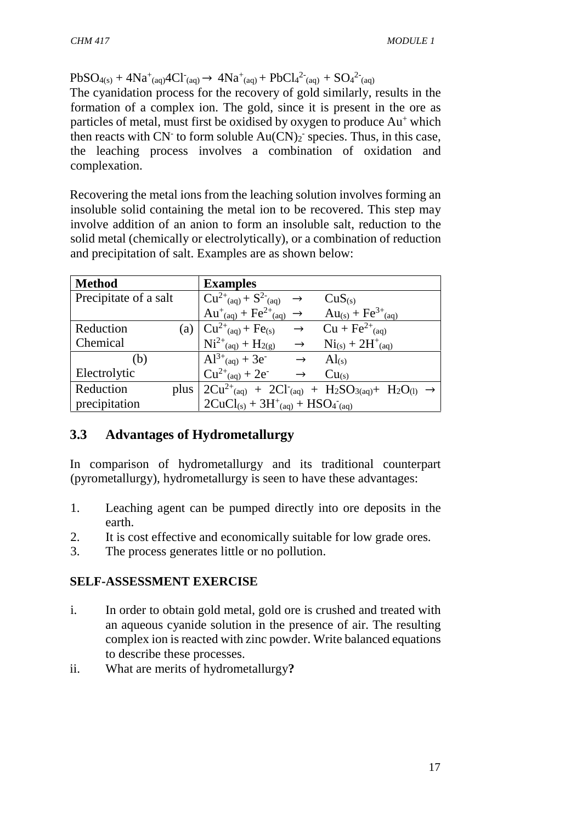$PbSO_{4(s)} + 4Na^{+}(aq)4Cl^{-}(aq) \rightarrow 4Na^{+}(aq) + PbCl_{4}^{2-}(aq) + SO_{4}^{2-}(aq)$ 

The cyanidation process for the recovery of gold similarly, results in the formation of a complex ion. The gold, since it is present in the ore as particles of metal, must first be oxidised by oxygen to produce Au<sup>+</sup> which then reacts with  $CN^-$  to form soluble  $Au(CN)_2$  species. Thus, in this case, the leaching process involves a combination of oxidation and complexation.

Recovering the metal ions from the leaching solution involves forming an insoluble solid containing the metal ion to be recovered. This step may involve addition of an anion to form an insoluble salt, reduction to the solid metal (chemically or electrolytically), or a combination of reduction and precipitation of salt. Examples are as shown below:

| <b>Method</b>         | <b>Examples</b>                                                                          |                                                                                                                                                         |
|-----------------------|------------------------------------------------------------------------------------------|---------------------------------------------------------------------------------------------------------------------------------------------------------|
| Precipitate of a salt | $\vert$ Cu <sup>2+</sup> <sub>(aq)</sub> + S <sup>2-</sup> <sub>(aq)</sub> $\rightarrow$ | CuS(s)                                                                                                                                                  |
|                       | $Au^{+}(aq) + Fe^{2+}(aq) \rightarrow Au(s) + Fe^{3+}(aq)$                               |                                                                                                                                                         |
| Reduction             | (a) $  Cu^{2+}(aq) + Fe(s) \rightarrow Cu + Fe^{2+}(aq)$                                 |                                                                                                                                                         |
| Chemical              | $Ni^{2+}(aq) + H_{2(g)} \rightarrow Ni_{(s)} + 2H^{+}(aq)$                               |                                                                                                                                                         |
| (b)                   | $Al^{3+}$ <sub>(aq)</sub> + 3e <sup>-</sup> $\rightarrow$ Al <sub>(s)</sub>              |                                                                                                                                                         |
| Electrolytic          | $Cu^{2+}$ <sub>(aq)</sub> + 2e <sup>-</sup> $\rightarrow$ $Cu$ <sub>(s)</sub>            |                                                                                                                                                         |
| Reduction             |                                                                                          | plus $2Cu^{2+}$ <sub>(aq)</sub> + 2Cl <sup>-</sup> <sub>(aq)</sub> + H <sub>2</sub> SO <sub>3(aq)</sub> + H <sub>2</sub> O <sub>(l)</sub> $\rightarrow$ |
| precipitation         | $2CuCl_{(s)} + 3H^{+}_{(aq)} + HSO_{4}(aq)$                                              |                                                                                                                                                         |

# **3.3 Advantages of Hydrometallurgy**

In comparison of hydrometallurgy and its traditional counterpart (pyrometallurgy), hydrometallurgy is seen to have these advantages:

- 1. Leaching agent can be pumped directly into ore deposits in the earth.
- 2. It is cost effective and economically suitable for low grade ores.
- 3. The process generates little or no pollution.

### **SELF-ASSESSMENT EXERCISE**

- i. In order to obtain gold metal, gold ore is crushed and treated with an aqueous cyanide solution in the presence of air. The resulting complex ion is reacted with zinc powder. Write balanced equations to describe these processes.
- ii. What are merits of hydrometallurgy**?**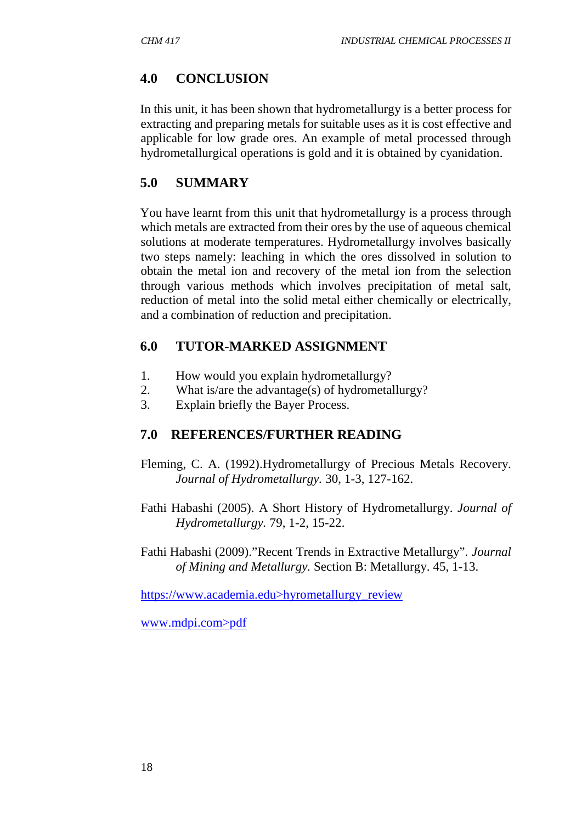# **4.0 CONCLUSION**

In this unit, it has been shown that hydrometallurgy is a better process for extracting and preparing metals for suitable uses as it is cost effective and applicable for low grade ores. An example of metal processed through hydrometallurgical operations is gold and it is obtained by cyanidation.

# **5.0 SUMMARY**

You have learnt from this unit that hydrometallurgy is a process through which metals are extracted from their ores by the use of aqueous chemical solutions at moderate temperatures. Hydrometallurgy involves basically two steps namely: leaching in which the ores dissolved in solution to obtain the metal ion and recovery of the metal ion from the selection through various methods which involves precipitation of metal salt, reduction of metal into the solid metal either chemically or electrically, and a combination of reduction and precipitation.

# **6.0 TUTOR-MARKED ASSIGNMENT**

- 1. How would you explain hydrometallurgy?
- 2. What is/are the advantage(s) of hydrometallurgy?
- 3. Explain briefly the Bayer Process.

# **7.0 REFERENCES/FURTHER READING**

- Fleming, C. A. (1992).Hydrometallurgy of Precious Metals Recovery. *Journal of Hydrometallurgy.* 30, 1-3, 127-162.
- Fathi Habashi (2005). A Short History of Hydrometallurgy. *Journal of Hydrometallurgy.* 79, 1-2, 15-22.
- Fathi Habashi (2009)."Recent Trends in Extractive Metallurgy". *Journal of Mining and Metallurgy.* Section B: Metallurgy. 45, 1-13.

https://www.academia.edu>hyrometallurgy\_review

www.mdpi.com>pdf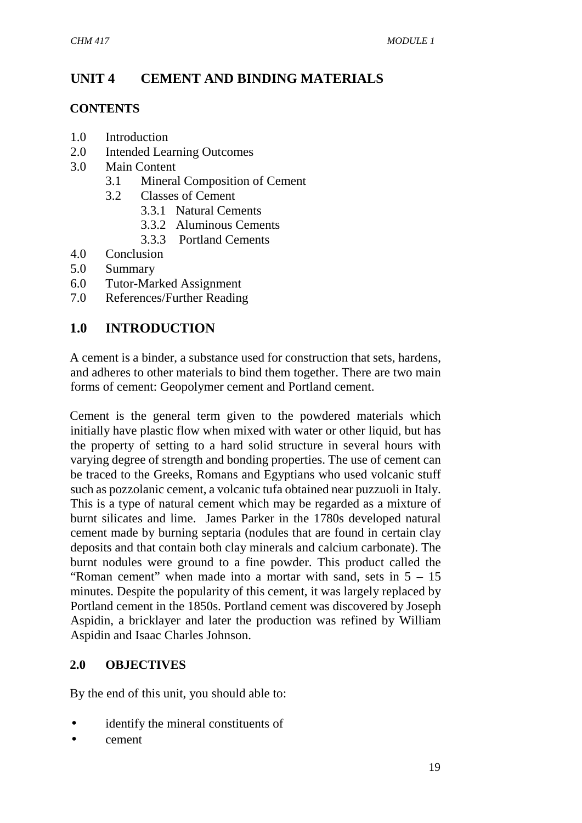# **UNIT 4 CEMENT AND BINDING MATERIALS**

#### **CONTENTS**

- 1.0 Introduction
- 2.0 Intended Learning Outcomes
- 3.0 Main Content
	- 3.1 Mineral Composition of Cement
	- 3.2 Classes of Cement
		- 3.3.1 Natural Cements
		- 3.3.2 Aluminous Cements
		- 3.3.3 Portland Cements
- 4.0 Conclusion
- 5.0 Summary
- 6.0 Tutor-Marked Assignment
- 7.0 References/Further Reading

# **1.0 INTRODUCTION**

A cement is a binder, a substance used for construction that sets, hardens, and adheres to other materials to bind them together. There are two main forms of cement: Geopolymer cement and Portland cement.

Cement is the general term given to the powdered materials which initially have plastic flow when mixed with water or other liquid, but has the property of setting to a hard solid structure in several hours with varying degree of strength and bonding properties. The use of cement can be traced to the Greeks, Romans and Egyptians who used volcanic stuff such as pozzolanic cement, a volcanic tufa obtained near puzzuoli in Italy. This is a type of natural cement which may be regarded as a mixture of burnt silicates and lime. James Parker in the 1780s developed natural cement made by burning septaria (nodules that are found in certain clay deposits and that contain both clay minerals and calcium carbonate). The burnt nodules were ground to a fine powder. This product called the "Roman cement" when made into a mortar with sand, sets in  $5 - 15$ minutes. Despite the popularity of this cement, it was largely replaced by Portland cement in the 1850s. Portland cement was discovered by Joseph Aspidin, a bricklayer and later the production was refined by William Aspidin and Isaac Charles Johnson.

### **2.0 OBJECTIVES**

By the end of this unit, you should able to:

- identify the mineral constituents of
- cement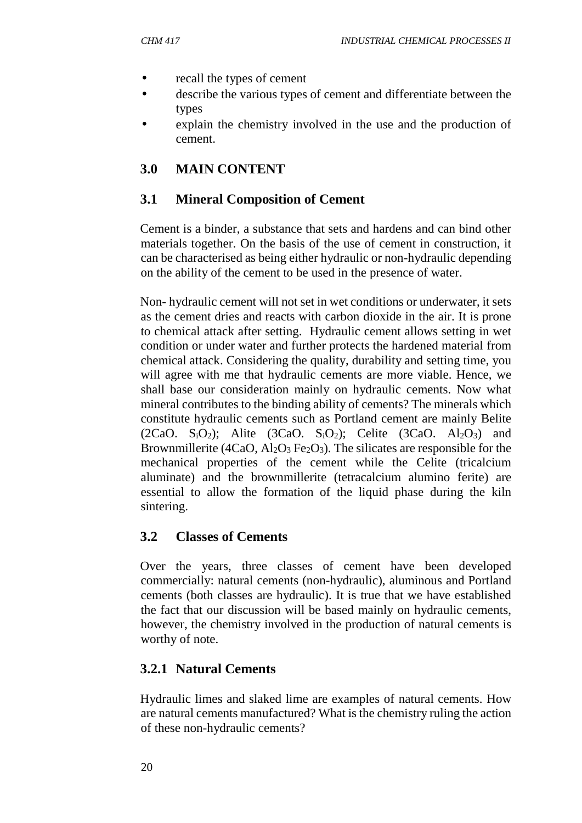- recall the types of cement
- describe the various types of cement and differentiate between the types
- explain the chemistry involved in the use and the production of cement.

# **3.0 MAIN CONTENT**

### **3.1 Mineral Composition of Cement**

Cement is a binder, a substance that sets and hardens and can bind other materials together. On the basis of the use of cement in construction, it can be characterised as being either hydraulic or non-hydraulic depending on the ability of the cement to be used in the presence of water.

Non- hydraulic cement will not set in wet conditions or underwater, it sets as the cement dries and reacts with carbon dioxide in the air. It is prone to chemical attack after setting. Hydraulic cement allows setting in wet condition or under water and further protects the hardened material from chemical attack. Considering the quality, durability and setting time, you will agree with me that hydraulic cements are more viable. Hence, we shall base our consideration mainly on hydraulic cements. Now what mineral contributes to the binding ability of cements? The minerals which constitute hydraulic cements such as Portland cement are mainly Belite  $(2CaO. S<sub>i</sub>O<sub>2</sub>)$ ; Alite  $(3CaO. S<sub>i</sub>O<sub>2</sub>)$ ; Celite  $(3CaO. A<sub>1</sub>O<sub>3</sub>)$  and Brownmillerite (4CaO,  $Al_2O_3$  Fe<sub>2</sub>O<sub>3</sub>). The silicates are responsible for the mechanical properties of the cement while the Celite (tricalcium aluminate) and the brownmillerite (tetracalcium alumino ferite) are essential to allow the formation of the liquid phase during the kiln sintering.

### **3.2 Classes of Cements**

Over the years, three classes of cement have been developed commercially: natural cements (non-hydraulic), aluminous and Portland cements (both classes are hydraulic). It is true that we have established the fact that our discussion will be based mainly on hydraulic cements, however, the chemistry involved in the production of natural cements is worthy of note.

### **3.2.1 Natural Cements**

Hydraulic limes and slaked lime are examples of natural cements. How are natural cements manufactured? What is the chemistry ruling the action of these non-hydraulic cements?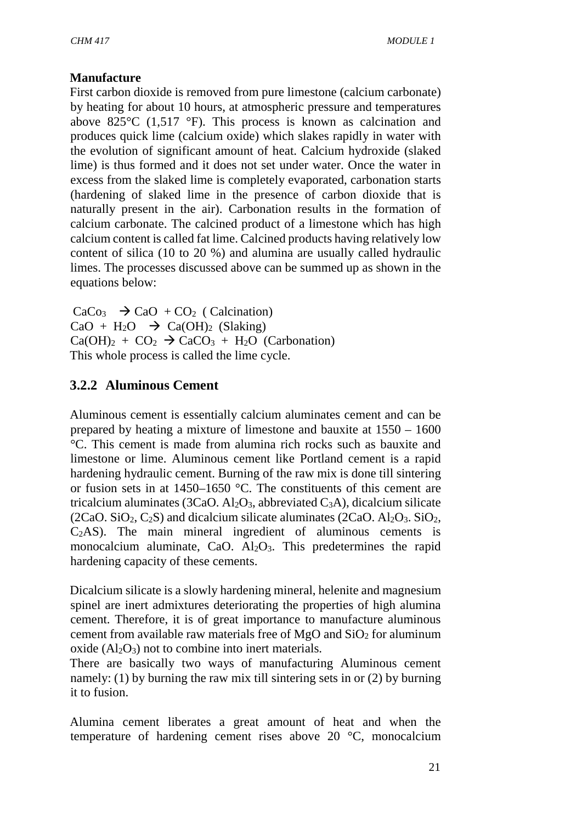#### **Manufacture**

First carbon dioxide is removed from pure limestone (calcium carbonate) by heating for about 10 hours, at atmospheric pressure and temperatures above 825°C (1,517 °F). This process is known as calcination and produces quick lime (calcium oxide) which slakes rapidly in water with the evolution of significant amount of heat. Calcium hydroxide (slaked lime) is thus formed and it does not set under water. Once the water in excess from the slaked lime is completely evaporated, carbonation starts (hardening of slaked lime in the presence of carbon dioxide that is naturally present in the air). Carbonation results in the formation of calcium carbonate. The calcined product of a limestone which has high calcium content is called fat lime. Calcined products having relatively low content of silica (10 to 20 %) and alumina are usually called hydraulic limes. The processes discussed above can be summed up as shown in the equations below:

 $CaCo<sub>3</sub>$   $\rightarrow$   $CaO$  +  $CO<sub>2</sub>$  ( Calcination)  $CaO + H<sub>2</sub>O \rightarrow Ca(OH)<sub>2</sub>$  (Slaking)  $Ca(OH)<sub>2</sub> + CO<sub>2</sub> \rightarrow CaCO<sub>3</sub> + H<sub>2</sub>O$  (Carbonation) This whole process is called the lime cycle.

# **3.2.2 Aluminous Cement**

Aluminous cement is essentially calcium aluminates cement and can be prepared by heating a mixture of limestone and bauxite at 1550 – 1600 °C. This cement is made from alumina rich rocks such as bauxite and limestone or lime. Aluminous cement like Portland cement is a rapid hardening hydraulic cement. Burning of the raw mix is done till sintering or fusion sets in at 1450–1650 °C. The constituents of this cement are tricalcium aluminates (3CaO. Al<sub>2</sub>O<sub>3</sub>, abbreviated C<sub>3</sub>A), dicalcium silicate (2CaO. SiO<sub>2</sub>, C<sub>2</sub>S) and dicalcium silicate aluminates (2CaO. Al<sub>2</sub>O<sub>3</sub>. SiO<sub>2</sub>, C2AS). The main mineral ingredient of aluminous cements is monocalcium aluminate, CaO. Al<sub>2</sub>O<sub>3</sub>. This predetermines the rapid hardening capacity of these cements.

Dicalcium silicate is a slowly hardening mineral, helenite and magnesium spinel are inert admixtures deteriorating the properties of high alumina cement. Therefore, it is of great importance to manufacture aluminous cement from available raw materials free of  $MgO$  and  $SiO<sub>2</sub>$  for aluminum oxide  $(Al_2O_3)$  not to combine into inert materials.

There are basically two ways of manufacturing Aluminous cement namely: (1) by burning the raw mix till sintering sets in or (2) by burning it to fusion.

Alumina cement liberates a great amount of heat and when the temperature of hardening cement rises above 20 °C, monocalcium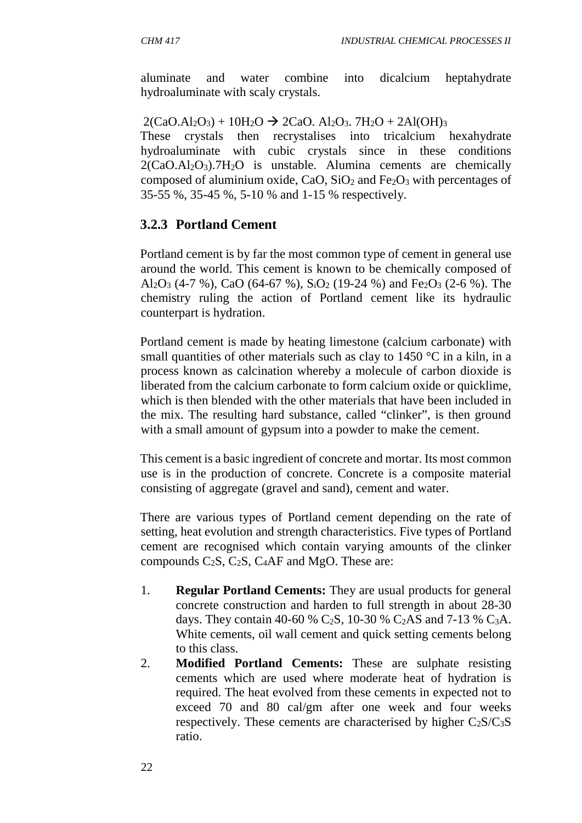aluminate and water combine into dicalcium heptahydrate hydroaluminate with scaly crystals.

 $2(CaO.AI_2O_3) + 10H_2O \rightarrow 2CaO. Al_2O_3. 7H_2O + 2Al(OH)_3$ These crystals then recrystalises into tricalcium hexahydrate hydroaluminate with cubic crystals since in these conditions  $2(CaO.AI<sub>2</sub>O<sub>3</sub>)$ .7H<sub>2</sub>O is unstable. Alumina cements are chemically composed of aluminium oxide, CaO, SiO<sub>2</sub> and Fe<sub>2</sub>O<sub>3</sub> with percentages of 35-55 %, 35-45 %, 5-10 % and 1-15 % respectively.

# **3.2.3 Portland Cement**

Portland cement is by far the most common type of cement in general use around the world. This cement is known to be chemically composed of Al<sub>2</sub>O<sub>3</sub> (4-7 %), CaO (64-67 %), S<sub>i</sub>O<sub>2</sub> (19-24 %) and Fe<sub>2</sub>O<sub>3</sub> (2-6 %). The chemistry ruling the action of Portland cement like its hydraulic counterpart is hydration.

Portland cement is made by heating limestone (calcium carbonate) with small quantities of other materials such as clay to  $1450^{\circ}$ C in a kiln, in a process known as calcination whereby a molecule of carbon dioxide is liberated from the calcium carbonate to form calcium oxide or quicklime, which is then blended with the other materials that have been included in the mix. The resulting hard substance, called "clinker", is then ground with a small amount of gypsum into a powder to make the cement.

This cement is a basic ingredient of concrete and mortar. Its most common use is in the production of concrete. Concrete is a composite material consisting of aggregate (gravel and sand), cement and water.

There are various types of Portland cement depending on the rate of setting, heat evolution and strength characteristics. Five types of Portland cement are recognised which contain varying amounts of the clinker compounds  $C_2S$ ,  $C_2S$ ,  $C_4AF$  and MgO. These are:

- 1. **Regular Portland Cements:** They are usual products for general concrete construction and harden to full strength in about 28-30 days. They contain 40-60 % C<sub>2</sub>S, 10-30 % C<sub>2</sub>AS and 7-13 % C<sub>3</sub>A. White cements, oil wall cement and quick setting cements belong to this class.
- 2. **Modified Portland Cements:** These are sulphate resisting cements which are used where moderate heat of hydration is required. The heat evolved from these cements in expected not to exceed 70 and 80 cal/gm after one week and four weeks respectively. These cements are characterised by higher  $C_2S/C_3S$ ratio.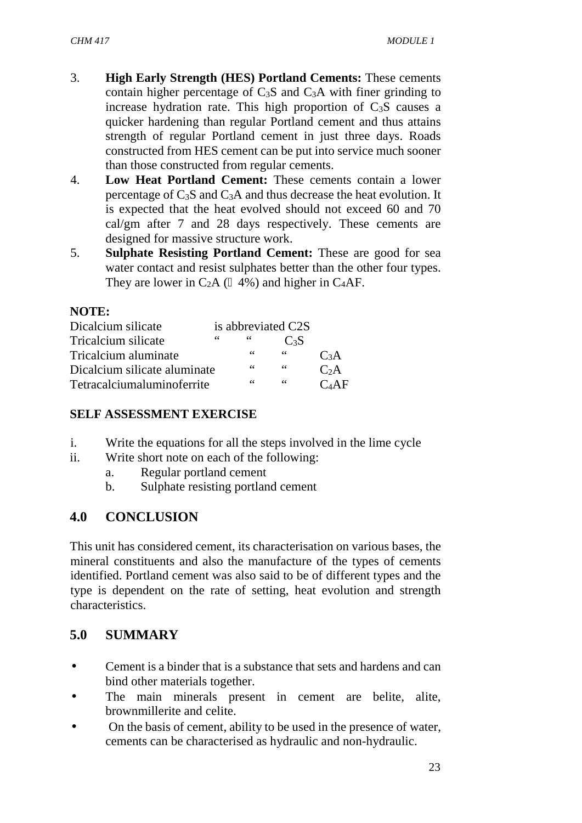- 3. **High Early Strength (HES) Portland Cements:** These cements contain higher percentage of  $C_3S$  and  $C_3A$  with finer grinding to increase hydration rate. This high proportion of  $C_3S$  causes a quicker hardening than regular Portland cement and thus attains strength of regular Portland cement in just three days. Roads constructed from HES cement can be put into service much sooner than those constructed from regular cements.
- 4. **Low Heat Portland Cement:** These cements contain a lower percentage of C3S and C3A and thus decrease the heat evolution. It is expected that the heat evolved should not exceed 60 and 70 cal/gm after 7 and 28 days respectively. These cements are designed for massive structure work.
- 5. **Sulphate Resisting Portland Cement:** These are good for sea water contact and resist sulphates better than the other four types. They are lower in  $C_2A$  ( $\frac{4\%}{ }$ ) and higher in C<sub>4</sub>AF.

#### **NOTE:**

| Dicalcium silicate           |    |            | is abbreviated C2S |          |
|------------------------------|----|------------|--------------------|----------|
| Tricalcium silicate          | 66 | $\epsilon$ | C <sub>3</sub> S   |          |
| Tricalcium aluminate         |    | 66         | 66                 | $C_3A$   |
| Dicalcium silicate aluminate | 66 | 66         | C <sub>2</sub> A   |          |
| Tetracalciumaluminoferrite   |    | 66         | 66                 | $C_4$ AF |

#### **SELF ASSESSMENT EXERCISE**

- i. Write the equations for all the steps involved in the lime cycle
- ii. Write short note on each of the following:
	- a. Regular portland cement
	- b. Sulphate resisting portland cement

# **4.0 CONCLUSION**

This unit has considered cement, its characterisation on various bases, the mineral constituents and also the manufacture of the types of cements identified. Portland cement was also said to be of different types and the type is dependent on the rate of setting, heat evolution and strength characteristics.

### **5.0 SUMMARY**

- Cement is a binder that is a substance that sets and hardens and can bind other materials together.
- The main minerals present in cement are belite, alite, brownmillerite and celite.
- On the basis of cement, ability to be used in the presence of water, cements can be characterised as hydraulic and non-hydraulic.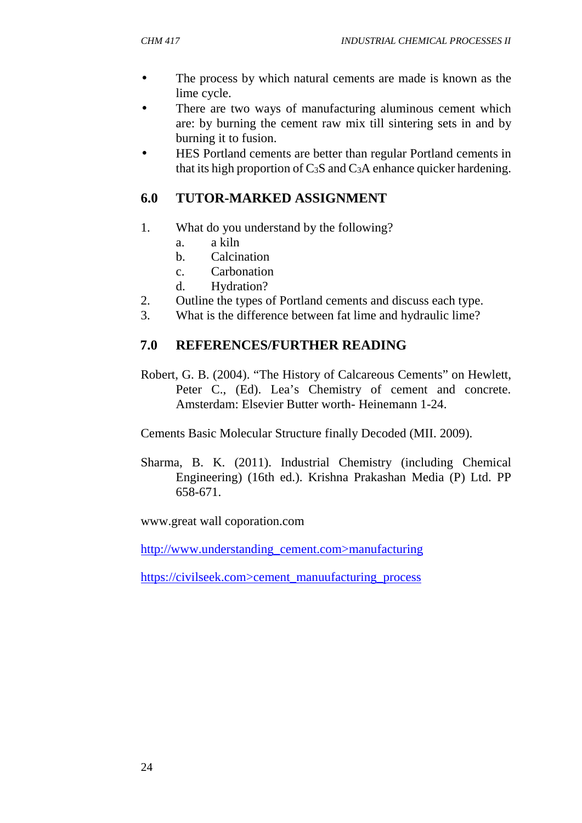- The process by which natural cements are made is known as the lime cycle.
- There are two ways of manufacturing aluminous cement which are: by burning the cement raw mix till sintering sets in and by burning it to fusion.
- HES Portland cements are better than regular Portland cements in that its high proportion of  $C_3S$  and  $C_3A$  enhance quicker hardening.

# **6.0 TUTOR-MARKED ASSIGNMENT**

- 1. What do you understand by the following?
	- a. a kiln
	- b. Calcination
	- c. Carbonation
	- d. Hydration?
- 2. Outline the types of Portland cements and discuss each type.
- 3. What is the difference between fat lime and hydraulic lime?

# **7.0 REFERENCES/FURTHER READING**

Robert, G. B. (2004). "The History of Calcareous Cements" on Hewlett, Peter C., (Ed). Lea's Chemistry of cement and concrete. Amsterdam: Elsevier Butter worth- Heinemann 1-24.

Cements Basic Molecular Structure finally Decoded (MII. 2009).

Sharma, B. K. (2011). Industrial Chemistry (including Chemical Engineering) (16th ed.). Krishna Prakashan Media (P) Ltd. PP 658-671.

www.great wall coporation.com

http://www.understanding\_cement.com>manufacturing

https://civilseek.com>cement\_manuufacturing\_process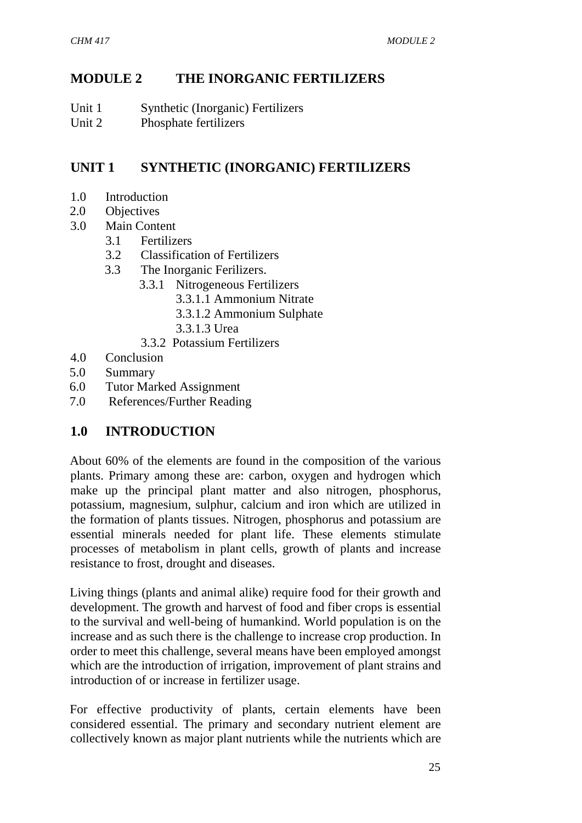# **MODULE 2 THE INORGANIC FERTILIZERS**

- Unit 1 Synthetic (Inorganic) Fertilizers
- Unit 2 Phosphate fertilizers

# **UNIT 1 SYNTHETIC (INORGANIC) FERTILIZERS**

- 1.0 Introduction
- 2.0 Objectives
- 3.0 Main Content
	- 3.1 Fertilizers
	- 3.2 Classification of Fertilizers
	- 3.3 The Inorganic Ferilizers.
		- 3.3.1 Nitrogeneous Fertilizers
			- 3.3.1.1 Ammonium Nitrate
			- 3.3.1.2 Ammonium Sulphate
			- 3.3.1.3 Urea
		- 3.3.2 Potassium Fertilizers
- 4.0 Conclusion
- 5.0 Summary
- 6.0 Tutor Marked Assignment
- 7.0 References/Further Reading

# **1.0 INTRODUCTION**

About 60% of the elements are found in the composition of the various plants. Primary among these are: carbon, oxygen and hydrogen which make up the principal plant matter and also nitrogen, phosphorus, potassium, magnesium, sulphur, calcium and iron which are utilized in the formation of plants tissues. Nitrogen, phosphorus and potassium are essential minerals needed for plant life. These elements stimulate processes of metabolism in plant cells, growth of plants and increase resistance to frost, drought and diseases.

Living things (plants and animal alike) require food for their growth and development. The growth and harvest of food and fiber crops is essential to the survival and well-being of humankind. World population is on the increase and as such there is the challenge to increase crop production. In order to meet this challenge, several means have been employed amongst which are the introduction of irrigation, improvement of plant strains and introduction of or increase in fertilizer usage.

For effective productivity of plants, certain elements have been considered essential. The primary and secondary nutrient element are collectively known as major plant nutrients while the nutrients which are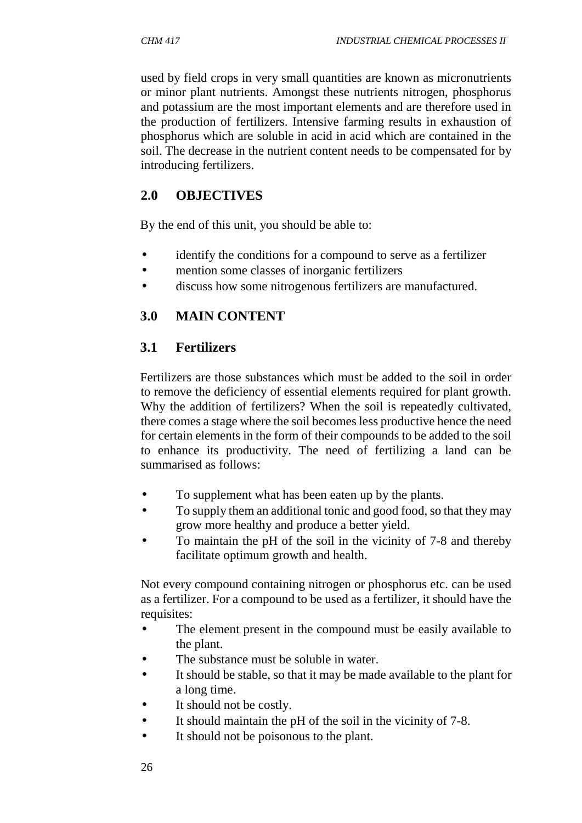used by field crops in very small quantities are known as micronutrients or minor plant nutrients. Amongst these nutrients nitrogen, phosphorus and potassium are the most important elements and are therefore used in the production of fertilizers. Intensive farming results in exhaustion of phosphorus which are soluble in acid in acid which are contained in the soil. The decrease in the nutrient content needs to be compensated for by introducing fertilizers.

### **2.0 OBJECTIVES**

By the end of this unit, you should be able to:

- identify the conditions for a compound to serve as a fertilizer
- mention some classes of inorganic fertilizers
- discuss how some nitrogenous fertilizers are manufactured.

#### **3.0 MAIN CONTENT**

#### **3.1 Fertilizers**

Fertilizers are those substances which must be added to the soil in order to remove the deficiency of essential elements required for plant growth. Why the addition of fertilizers? When the soil is repeatedly cultivated, there comes a stage where the soil becomes less productive hence the need for certain elements in the form of their compounds to be added to the soil to enhance its productivity. The need of fertilizing a land can be summarised as follows:

- To supplement what has been eaten up by the plants.
- To supply them an additional tonic and good food, so that they may grow more healthy and produce a better yield.
- To maintain the pH of the soil in the vicinity of 7-8 and thereby facilitate optimum growth and health.

Not every compound containing nitrogen or phosphorus etc. can be used as a fertilizer. For a compound to be used as a fertilizer, it should have the requisites:

- The element present in the compound must be easily available to the plant.
- The substance must be soluble in water.
- It should be stable, so that it may be made available to the plant for a long time.
- It should not be costly.
- It should maintain the pH of the soil in the vicinity of 7-8.
- It should not be poisonous to the plant.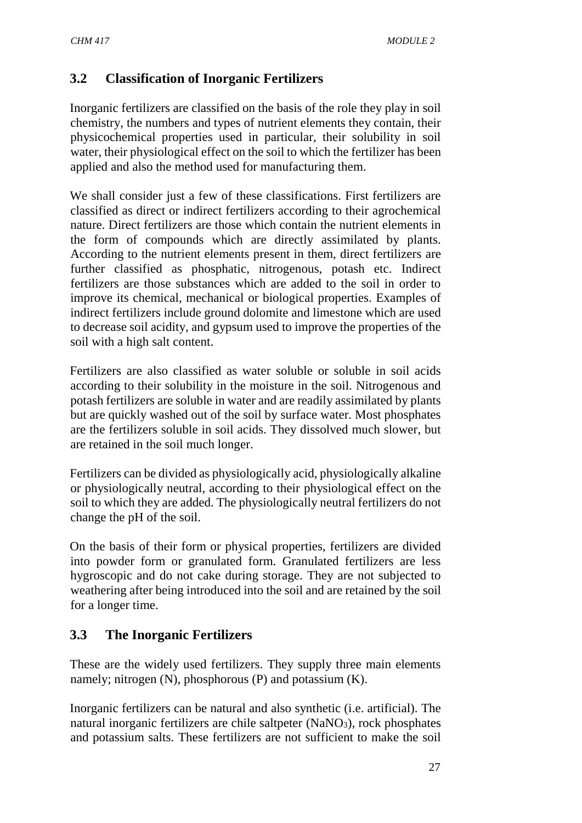# **3.2 Classification of Inorganic Fertilizers**

Inorganic fertilizers are classified on the basis of the role they play in soil chemistry, the numbers and types of nutrient elements they contain, their physicochemical properties used in particular, their solubility in soil water, their physiological effect on the soil to which the fertilizer has been applied and also the method used for manufacturing them.

We shall consider just a few of these classifications. First fertilizers are classified as direct or indirect fertilizers according to their agrochemical nature. Direct fertilizers are those which contain the nutrient elements in the form of compounds which are directly assimilated by plants. According to the nutrient elements present in them, direct fertilizers are further classified as phosphatic, nitrogenous, potash etc. Indirect fertilizers are those substances which are added to the soil in order to improve its chemical, mechanical or biological properties. Examples of indirect fertilizers include ground dolomite and limestone which are used to decrease soil acidity, and gypsum used to improve the properties of the soil with a high salt content.

Fertilizers are also classified as water soluble or soluble in soil acids according to their solubility in the moisture in the soil. Nitrogenous and potash fertilizers are soluble in water and are readily assimilated by plants but are quickly washed out of the soil by surface water. Most phosphates are the fertilizers soluble in soil acids. They dissolved much slower, but are retained in the soil much longer.

Fertilizers can be divided as physiologically acid, physiologically alkaline or physiologically neutral, according to their physiological effect on the soil to which they are added. The physiologically neutral fertilizers do not change the pH of the soil.

On the basis of their form or physical properties, fertilizers are divided into powder form or granulated form. Granulated fertilizers are less hygroscopic and do not cake during storage. They are not subjected to weathering after being introduced into the soil and are retained by the soil for a longer time.

# **3.3 The Inorganic Fertilizers**

These are the widely used fertilizers. They supply three main elements namely; nitrogen  $(N)$ , phosphorous  $(P)$  and potassium  $(K)$ .

Inorganic fertilizers can be natural and also synthetic (i.e. artificial). The natural inorganic fertilizers are chile saltpeter  $(NaNO<sub>3</sub>)$ , rock phosphates and potassium salts. These fertilizers are not sufficient to make the soil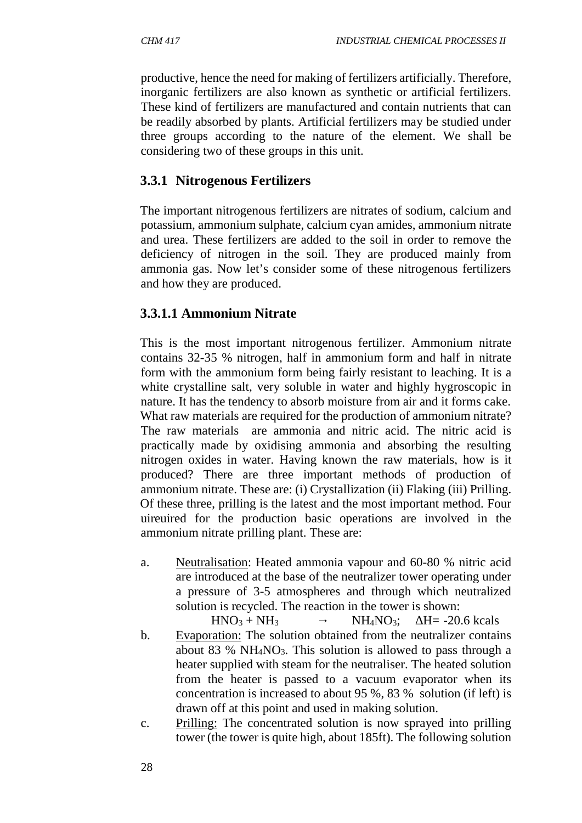productive, hence the need for making of fertilizers artificially. Therefore, inorganic fertilizers are also known as synthetic or artificial fertilizers. These kind of fertilizers are manufactured and contain nutrients that can be readily absorbed by plants. Artificial fertilizers may be studied under three groups according to the nature of the element. We shall be considering two of these groups in this unit.

### **3.3.1 Nitrogenous Fertilizers**

The important nitrogenous fertilizers are nitrates of sodium, calcium and potassium, ammonium sulphate, calcium cyan amides, ammonium nitrate and urea. These fertilizers are added to the soil in order to remove the deficiency of nitrogen in the soil. They are produced mainly from ammonia gas. Now let's consider some of these nitrogenous fertilizers and how they are produced.

### **3.3.1.1 Ammonium Nitrate**

This is the most important nitrogenous fertilizer. Ammonium nitrate contains 32-35 % nitrogen, half in ammonium form and half in nitrate form with the ammonium form being fairly resistant to leaching. It is a white crystalline salt, very soluble in water and highly hygroscopic in nature. It has the tendency to absorb moisture from air and it forms cake. What raw materials are required for the production of ammonium nitrate? The raw materials are ammonia and nitric acid. The nitric acid is practically made by oxidising ammonia and absorbing the resulting nitrogen oxides in water. Having known the raw materials, how is it produced? There are three important methods of production of ammonium nitrate. These are: (i) Crystallization (ii) Flaking (iii) Prilling. Of these three, prilling is the latest and the most important method. Four uireuired for the production basic operations are involved in the ammonium nitrate prilling plant. These are:

a. Neutralisation: Heated ammonia vapour and 60-80 % nitric acid are introduced at the base of the neutralizer tower operating under a pressure of 3-5 atmospheres and through which neutralized solution is recycled. The reaction in the tower is shown:

 $HNO<sub>3</sub> + NH<sub>3</sub>$   $NH<sub>4</sub>NO<sub>3</sub>;$   $H= -20.6$  kcals

- b. Evaporation: The solution obtained from the neutralizer contains about 83 % NH<sub>4</sub>NO<sub>3</sub>. This solution is allowed to pass through a heater supplied with steam for the neutraliser. The heated solution from the heater is passed to a vacuum evaporator when its concentration is increased to about 95 %, 83 % solution (if left) is drawn off at this point and used in making solution.
- c. Prilling: The concentrated solution is now sprayed into prilling tower (the tower is quite high, about 185ft). The following solution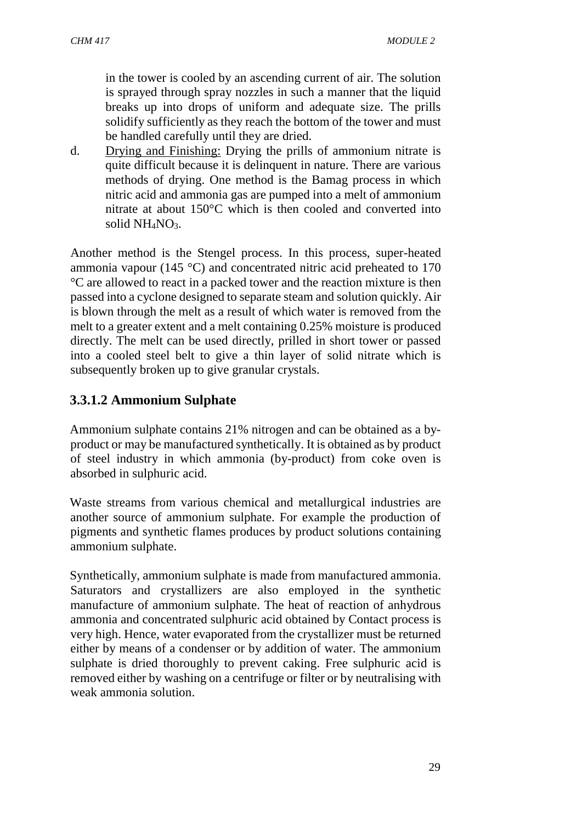in the tower is cooled by an ascending current of air. The solution is sprayed through spray nozzles in such a manner that the liquid breaks up into drops of uniform and adequate size. The prills solidify sufficiently as they reach the bottom of the tower and must be handled carefully until they are dried.

d. Drying and Finishing: Drying the prills of ammonium nitrate is quite difficult because it is delinquent in nature. There are various methods of drying. One method is the Bamag process in which nitric acid and ammonia gas are pumped into a melt of ammonium nitrate at about 150°C which is then cooled and converted into solid NH<sub>4</sub>NO<sub>3</sub>.

Another method is the Stengel process. In this process, super-heated ammonia vapour (145 °C) and concentrated nitric acid preheated to 170 °C are allowed to react in a packed tower and the reaction mixture is then passed into a cyclone designed to separate steam and solution quickly. Air is blown through the melt as a result of which water is removed from the melt to a greater extent and a melt containing 0.25% moisture is produced directly. The melt can be used directly, prilled in short tower or passed into a cooled steel belt to give a thin layer of solid nitrate which is subsequently broken up to give granular crystals.

# **3.3.1.2 Ammonium Sulphate**

Ammonium sulphate contains 21% nitrogen and can be obtained as a by product or may be manufactured synthetically. It is obtained as by product of steel industry in which ammonia (by-product) from coke oven is absorbed in sulphuric acid.

Waste streams from various chemical and metallurgical industries are another source of ammonium sulphate. For example the production of pigments and synthetic flames produces by product solutions containing ammonium sulphate.

Synthetically, ammonium sulphate is made from manufactured ammonia. Saturators and crystallizers are also employed in the synthetic manufacture of ammonium sulphate. The heat of reaction of anhydrous ammonia and concentrated sulphuric acid obtained by Contact process is very high. Hence, water evaporated from the crystallizer must be returned either by means of a condenser or by addition of water. The ammonium sulphate is dried thoroughly to prevent caking. Free sulphuric acid is removed either by washing on a centrifuge or filter or by neutralising with weak ammonia solution.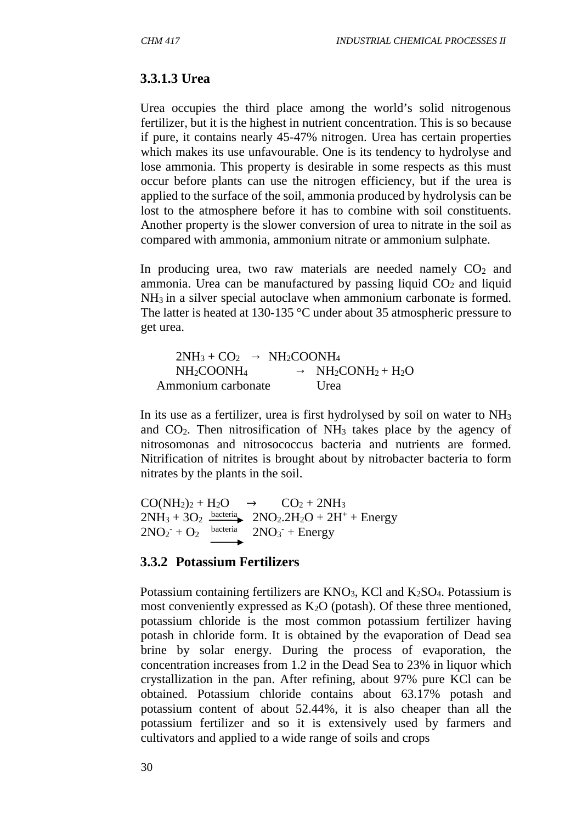#### **3.3.1.3 Urea**

Urea occupies the third place among the world's solid nitrogenous fertilizer, but it is the highest in nutrient concentration. This is so because if pure, it contains nearly 45-47% nitrogen. Urea has certain properties which makes its use unfavourable. One is its tendency to hydrolyse and lose ammonia. This property is desirable in some respects as this must occur before plants can use the nitrogen efficiency, but if the urea is applied to the surface of the soil, ammonia produced by hydrolysis can be lost to the atmosphere before it has to combine with soil constituents. Another property is the slower conversion of urea to nitrate in the soil as compared with ammonia, ammonium nitrate or ammonium sulphate.

In producing urea, two raw materials are needed namely  $CO<sub>2</sub>$  and ammonia. Urea can be manufactured by passing liquid  $CO<sub>2</sub>$  and liquid NH<sup>3</sup> in a silver special autoclave when ammonium carbonate is formed. The latter is heated at 130-135 °C under about 35 atmospheric pressure to get urea.

| $2NH_3 + CO_2$                     | NH <sub>2</sub> COONH <sub>4</sub> |
|------------------------------------|------------------------------------|
| NH <sub>2</sub> COONH <sub>4</sub> | $NH2CONH2 + H2O$                   |
| Ammonium carbonate                 | Urea                               |

In its use as a fertilizer, urea is first hydrolysed by soil on water to NH<sup>3</sup> and  $CO<sub>2</sub>$ . Then nitrosification of NH<sub>3</sub> takes place by the agency of nitrosomonas and nitrosococcus bacteria and nutrients are formed. Nitrification of nitrites is brought about by nitrobacter bacteria to form nitrates by the plants in the soil.

 $CO(NH_2)_2 + H_2O \rightarrow CO_2 + 2NH_3$  $2NH_3 + 3O_2$   $\xrightarrow{bacteria}$   $2NO_2.2H_2O + 2H^+ + Energy$  $2NO<sub>2</sub><sup>-</sup> + O<sub>2</sub>$  bacter  $\text{bacteria}$   $2\text{NO}_3$ <sup>-</sup> + Energy

#### **3.3.2 Potassium Fertilizers**

Potassium containing fertilizers are  $KNO_3$ , KCl and  $K_2SO_4$ . Potassium is most conveniently expressed as  $K_2O$  (potash). Of these three mentioned, potassium chloride is the most common potassium fertilizer having potash in chloride form. It is obtained by the evaporation of Dead sea brine by solar energy. During the process of evaporation, the concentration increases from 1.2 in the Dead Sea to 23% in liquor which crystallization in the pan. After refining, about 97% pure KCl can be obtained. Potassium chloride contains about 63.17% potash and potassium content of about 52.44%, it is also cheaper than all the potassium fertilizer and so it is extensively used by farmers and cultivators and applied to a wide range of soils and crops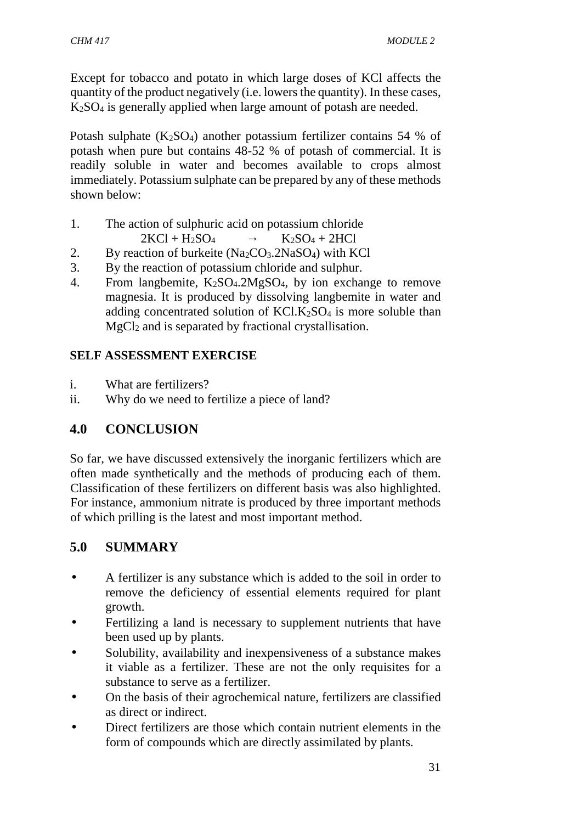Except for tobacco and potato in which large doses of KCl affects the quantity of the product negatively (i.e. lowers the quantity). In these cases, K2SO<sup>4</sup> is generally applied when large amount of potash are needed.

Potash sulphate  $(K_2SO_4)$  another potassium fertilizer contains 54 % of potash when pure but contains 48-52 % of potash of commercial. It is readily soluble in water and becomes available to crops almost immediately. Potassium sulphate can be prepared by any of these methods shown below:

- 1. The action of sulphuric acid on potassium chloride  $2KCl + H_2SO_4$   $K_2SO_4 + 2HCl$
- 2. By reaction of burkeite  $(Na_2CO_3.2NaSO_4)$  with KCl
- 3. By the reaction of potassium chloride and sulphur.
- 4. From langbemite,  $K_2SO_4.2MgSO_4$ , by ion exchange to remove magnesia. It is produced by dissolving langbemite in water and adding concentrated solution of  $KCl.K<sub>2</sub>SO<sub>4</sub>$  is more soluble than  $MgCl<sub>2</sub>$  and is separated by fractional crystallisation.

# **SELF ASSESSMENT EXERCISE**

- i. What are fertilizers?
- ii. Why do we need to fertilize a piece of land?

# **4.0 CONCLUSION**

So far, we have discussed extensively the inorganic fertilizers which are often made synthetically and the methods of producing each of them. Classification of these fertilizers on different basis was also highlighted. For instance, ammonium nitrate is produced by three important methods of which prilling is the latest and most important method.

# **5.0 SUMMARY**

- A fertilizer is any substance which is added to the soil in order to remove the deficiency of essential elements required for plant growth.
- Fertilizing a land is necessary to supplement nutrients that have been used up by plants.
- Solubility, availability and inexpensiveness of a substance makes it viable as a fertilizer. These are not the only requisites for a substance to serve as a fertilizer.
- On the basis of their agrochemical nature, fertilizers are classified as direct or indirect.
- Direct fertilizers are those which contain nutrient elements in the form of compounds which are directly assimilated by plants.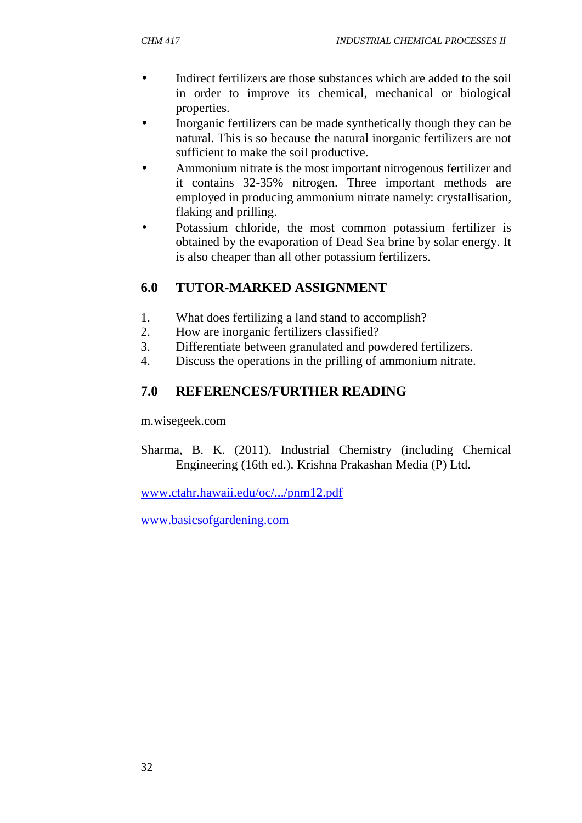- Indirect fertilizers are those substances which are added to the soil in order to improve its chemical, mechanical or biological properties.
- Inorganic fertilizers can be made synthetically though they can be natural. This is so because the natural inorganic fertilizers are not sufficient to make the soil productive.
- Ammonium nitrate is the most important nitrogenous fertilizer and it contains 32-35% nitrogen. Three important methods are employed in producing ammonium nitrate namely: crystallisation, flaking and prilling.
- Potassium chloride, the most common potassium fertilizer is obtained by the evaporation of Dead Sea brine by solar energy. It is also cheaper than all other potassium fertilizers.

# **6.0 TUTOR-MARKED ASSIGNMENT**

- 1. What does fertilizing a land stand to accomplish?
- 2. How are inorganic fertilizers classified?
- 3. Differentiate between granulated and powdered fertilizers.
- 4. Discuss the operations in the prilling of ammonium nitrate.

# **7.0 REFERENCES/FURTHER READING**

m.wisegeek.com

Sharma, B. K. (2011). Industrial Chemistry (including Chemical Engineering (16th ed.). Krishna Prakashan Media (P) Ltd.

www.ctahr.hawaii.edu/oc/.../pnm12.pdf

www.basicsofgardening.com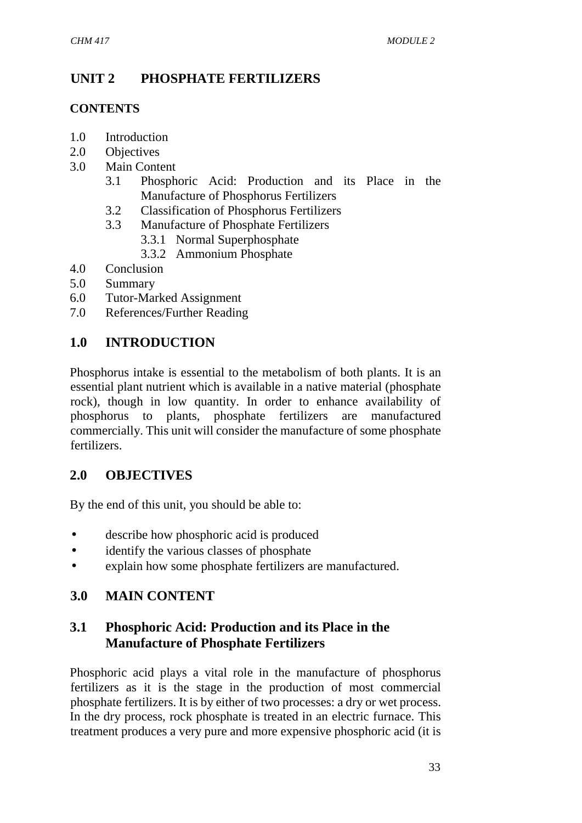# **UNIT 2 PHOSPHATE FERTILIZERS**

#### **CONTENTS**

- 1.0 Introduction
- 2.0 Objectives
- 3.0 Main Content
	- 3.1 Phosphoric Acid: Production and its Place in the Manufacture of Phosphorus Fertilizers
	- 3.2 Classification of Phosphorus Fertilizers
	- 3.3 Manufacture of Phosphate Fertilizers
		- 3.3.1 Normal Superphosphate
		- 3.3.2 Ammonium Phosphate
- 4.0 Conclusion
- 5.0 Summary
- 6.0 Tutor-Marked Assignment
- 7.0 References/Further Reading

### **1.0 INTRODUCTION**

Phosphorus intake is essential to the metabolism of both plants. It is an essential plant nutrient which is available in a native material (phosphate rock), though in low quantity. In order to enhance availability of phosphorus to plants, phosphate fertilizers are manufactured commercially. This unit will consider the manufacture of some phosphate fertilizers.

### **2.0 OBJECTIVES**

By the end of this unit, you should be able to:

- describe how phosphoric acid is produced
- identify the various classes of phosphate
- explain how some phosphate fertilizers are manufactured.

# **3.0 MAIN CONTENT**

# **3.1 Phosphoric Acid: Production and its Place in the Manufacture of Phosphate Fertilizers**

Phosphoric acid plays a vital role in the manufacture of phosphorus fertilizers as it is the stage in the production of most commercial phosphate fertilizers. It is by either of two processes: a dry or wet process. In the dry process, rock phosphate is treated in an electric furnace. This treatment produces a very pure and more expensive phosphoric acid (it is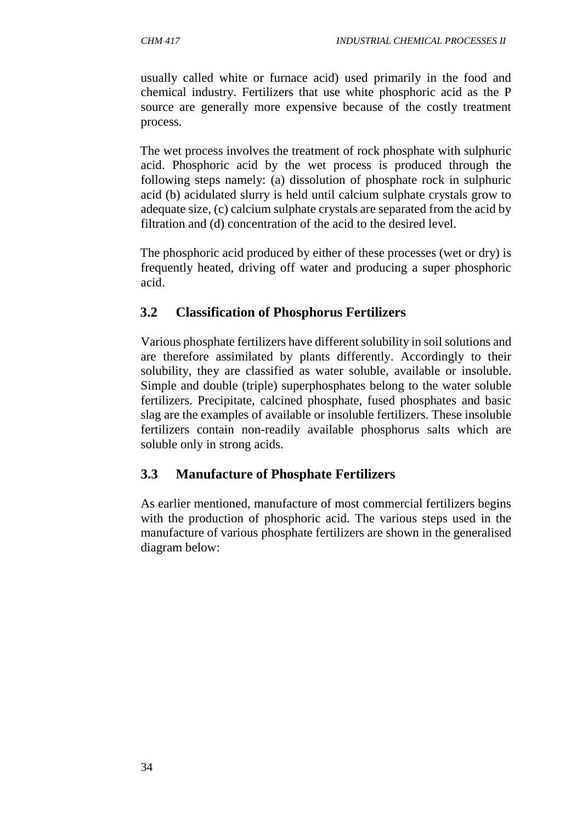usually called white or furnace acid) used primarily in the food and chemical industry. Fertilizers that use white phosphoric acid as the P source are generally more expensive because of the costly treatment process.

The wet process involves the treatment of rock phosphate with sulphuric acid. Phosphoric acid by the wet process is produced through the following steps namely: (a) dissolution of phosphate rock in sulphuric acid (b) acidulated slurry is held until calcium sulphate crystals grow to adequate size, (c) calcium sulphate crystals are separated from the acid by filtration and (d) concentration of the acid to the desired level.

The phosphoric acid produced by either of these processes (wet or dry) is frequently heated, driving off water and producing a super phosphoric acid.

### **3.2 Classification of Phosphorus Fertilizers**

Various phosphate fertilizers have different solubility in soil solutions and are therefore assimilated by plants differently. Accordingly to their solubility, they are classified as water soluble, available or insoluble. Simple and double (triple) superphosphates belong to the water soluble fertilizers. Precipitate, calcined phosphate, fused phosphates and basic slag are the examples of available or insoluble fertilizers. These insoluble fertilizers contain non-readily available phosphorus salts which are soluble only in strong acids.

### **3.3 Manufacture of Phosphate Fertilizers**

As earlier mentioned, manufacture of most commercial fertilizers begins with the production of phosphoric acid. The various steps used in the manufacture of various phosphate fertilizers are shown in the generalised diagram below: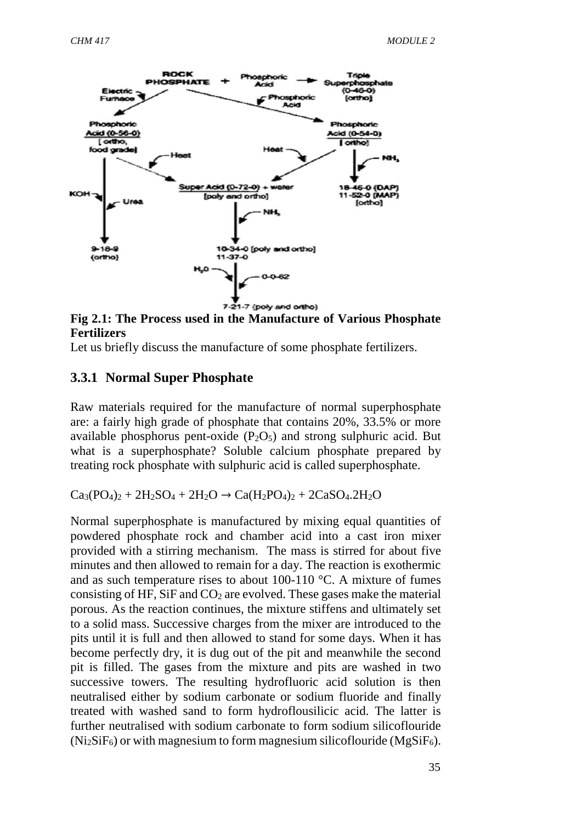

**Fig 2.1: The Process used in the Manufacture of Various Phosphate Fertilizers**

Let us briefly discuss the manufacture of some phosphate fertilizers.

#### **3.3.1 Normal Super Phosphate**

Raw materials required for the manufacture of normal superphosphate are: a fairly high grade of phosphate that contains 20%, 33.5% or more available phosphorus pent-oxide  $(P_2O_5)$  and strong sulphuric acid. But what is a superphosphate? Soluble calcium phosphate prepared by treating rock phosphate with sulphuric acid is called superphosphate.

 $Ca_3(PO_4)_2 + 2H_2SO_4 + 2H_2O \rightarrow Ca(H_2PO_4)_2 + 2CaSO_4.2H_2O$ 

Normal superphosphate is manufactured by mixing equal quantities of powdered phosphate rock and chamber acid into a cast iron mixer provided with a stirring mechanism. The mass is stirred for about five minutes and then allowed to remain for a day. The reaction is exothermic and as such temperature rises to about 100-110 °C. A mixture of fumes consisting of HF, SiF and  $CO<sub>2</sub>$  are evolved. These gases make the material porous. As the reaction continues, the mixture stiffens and ultimately set to a solid mass. Successive charges from the mixer are introduced to the pits until it is full and then allowed to stand for some days. When it has become perfectly dry, it is dug out of the pit and meanwhile the second pit is filled. The gases from the mixture and pits are washed in two successive towers. The resulting hydrofluoric acid solution is then neutralised either by sodium carbonate or sodium fluoride and finally treated with washed sand to form hydroflousilicic acid. The latter is further neutralised with sodium carbonate to form sodium silicoflouride  $(Ni<sub>2</sub>SiF<sub>6</sub>)$  or with magnesium to form magnesium silicoflouride (MgSiF<sub>6</sub>).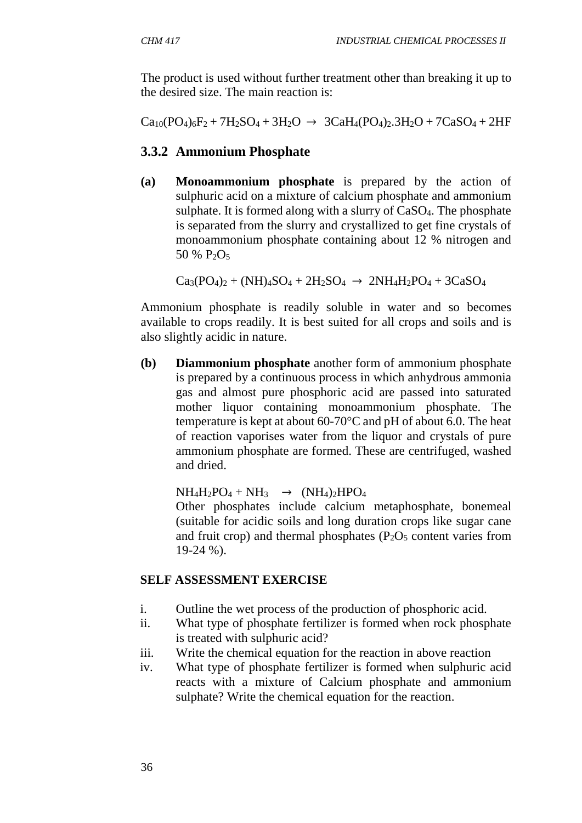The product is used without further treatment other than breaking it up to the desired size. The main reaction is:

 $Ca_{10}(PO_4)_6F_2 + 7H_2SO_4 + 3H_2O \rightarrow 3CaH_4(PO_4)_2.3H_2O + 7CaSO_4 + 2HF$ 

# **3.3.2 Ammonium Phosphate**

**(a) Monoammonium phosphate** is prepared by the action of sulphuric acid on a mixture of calcium phosphate and ammonium sulphate. It is formed along with a slurry of CaSO4. The phosphate is separated from the slurry and crystallized to get fine crystals of monoammonium phosphate containing about 12 % nitrogen and 50 %  $P_2O_5$ 

 $Ca_3(PO_4)_2 + (NH)_4SO_4 + 2H_2SO_4 \rightarrow 2NH_4H_2PO_4 + 3CaSO_4$ 

Ammonium phosphate is readily soluble in water and so becomes available to crops readily. It is best suited for all crops and soils and is also slightly acidic in nature.

**(b) Diammonium phosphate** another form of ammonium phosphate is prepared by a continuous process in which anhydrous ammonia gas and almost pure phosphoric acid are passed into saturated mother liquor containing monoammonium phosphate. The temperature is kept at about 60-70°C and pH of about 6.0. The heat of reaction vaporises water from the liquor and crystals of pure ammonium phosphate are formed. These are centrifuged, washed and dried.

 $NH_4H_2PO_4 + NH_3 \rightarrow (NH_4)_2HPO_4$ 

Other phosphates include calcium metaphosphate, bonemeal (suitable for acidic soils and long duration crops like sugar cane and fruit crop) and thermal phosphates  $(P_2O_5 \text{ content varies from})$ 19-24 %).

### **SELF ASSESSMENT EXERCISE**

- i. Outline the wet process of the production of phosphoric acid.
- ii. What type of phosphate fertilizer is formed when rock phosphate is treated with sulphuric acid?
- iii. Write the chemical equation for the reaction in above reaction
- iv. What type of phosphate fertilizer is formed when sulphuric acid reacts with a mixture of Calcium phosphate and ammonium sulphate? Write the chemical equation for the reaction.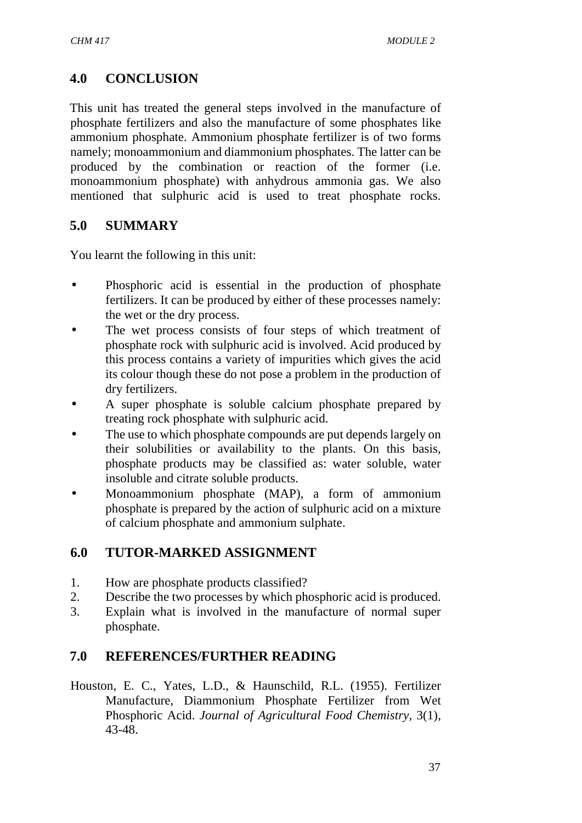# **4.0 CONCLUSION**

This unit has treated the general steps involved in the manufacture of phosphate fertilizers and also the manufacture of some phosphates like ammonium phosphate. Ammonium phosphate fertilizer is of two forms namely; monoammonium and diammonium phosphates. The latter can be produced by the combination or reaction of the former (i.e. monoammonium phosphate) with anhydrous ammonia gas. We also mentioned that sulphuric acid is used to treat phosphate rocks.

### **5.0 SUMMARY**

You learnt the following in this unit:

- Phosphoric acid is essential in the production of phosphate fertilizers. It can be produced by either of these processes namely: the wet or the dry process.
- The wet process consists of four steps of which treatment of phosphate rock with sulphuric acid is involved. Acid produced by this process contains a variety of impurities which gives the acid its colour though these do not pose a problem in the production of dry fertilizers.
- A super phosphate is soluble calcium phosphate prepared by treating rock phosphate with sulphuric acid.
- The use to which phosphate compounds are put depends largely on their solubilities or availability to the plants. On this basis, phosphate products may be classified as: water soluble, water insoluble and citrate soluble products.
- Monoammonium phosphate (MAP), a form of ammonium phosphate is prepared by the action of sulphuric acid on a mixture of calcium phosphate and ammonium sulphate.

# **6.0 TUTOR-MARKED ASSIGNMENT**

- 1. How are phosphate products classified?
- 2. Describe the two processes by which phosphoric acid is produced.
- 3. Explain what is involved in the manufacture of normal super phosphate.

### **7.0 REFERENCES/FURTHER READING**

Houston, E. C., Yates, L.D., & Haunschild, R.L. (1955). Fertilizer Manufacture, Diammonium Phosphate Fertilizer from Wet Phosphoric Acid. *Journal of Agricultural Food Chemistry,* 3(1), 43-48.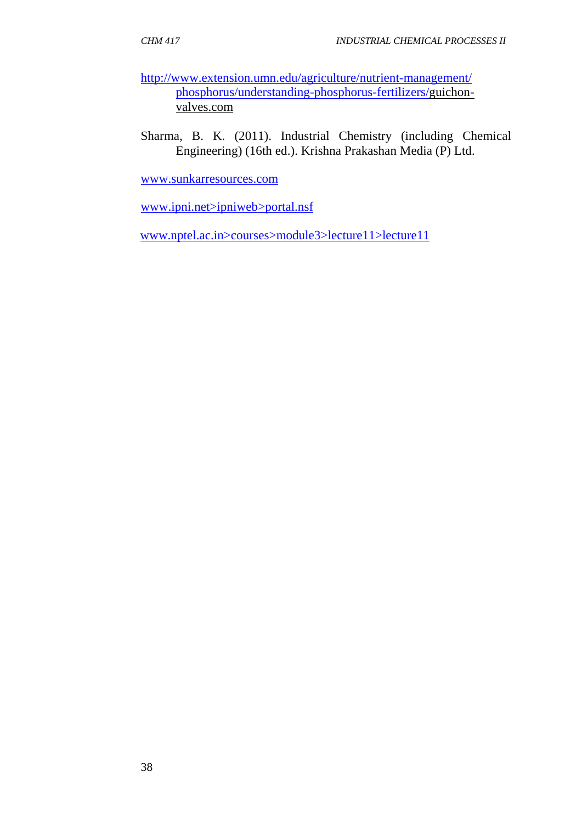- http://www.extension.umn.edu/agriculture/nutrient-management/ phosphorus/understanding-phosphorus-fertilizers/guichon valves.com
- Sharma, B. K. (2011). Industrial Chemistry (including Chemical Engineering) (16th ed.). Krishna Prakashan Media (P) Ltd.

www.sunkarresources.com

www.ipni.net>ipniweb>portal.nsf

www.nptel.ac.in>courses>module3>lecture11>lecture11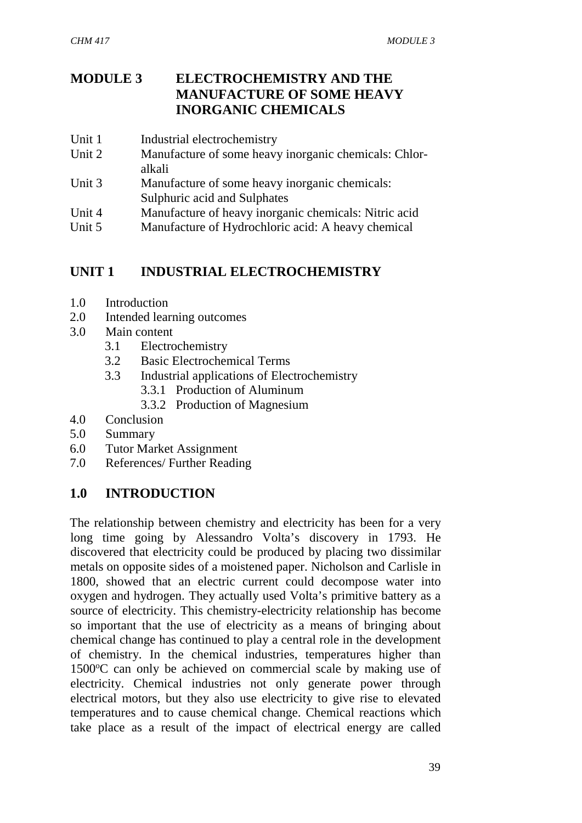# **MODULE 3 ELECTROCHEMISTRY AND THE MANUFACTURE OF SOME HEAVY INORGANIC CHEMICALS**

- Unit 1 Industrial electrochemistry
- Unit 2 Manufacture of some heavy inorganic chemicals: Chlor alkali
- Unit 3 Manufacture of some heavy inorganic chemicals: Sulphuric acid and Sulphates
- Unit 4 Manufacture of heavy inorganic chemicals: Nitric acid
- Unit 5 Manufacture of Hydrochloric acid: A heavy chemical

# **UNIT 1 INDUSTRIAL ELECTROCHEMISTRY**

- 1.0 Introduction
- 2.0 Intended learning outcomes
- 3.0 Main content
	- 3.1 Electrochemistry
	- 3.2 Basic Electrochemical Terms
	- 3.3 Industrial applications of Electrochemistry
		- 3.3.1 Production of Aluminum
		- 3.3.2 Production of Magnesium
- 4.0 Conclusion
- 5.0 Summary
- 6.0 Tutor Market Assignment
- 7.0 References/ Further Reading

# **1.0 INTRODUCTION**

The relationship between chemistry and electricity has been for a very long time going by Alessandro Volta's discovery in 1793. He discovered that electricity could be produced by placing two dissimilar metals on opposite sides of a moistened paper. Nicholson and Carlisle in 1800, showed that an electric current could decompose water into oxygen and hydrogen. They actually used Volta's primitive battery as a source of electricity. This chemistry-electricity relationship has become so important that the use of electricity as a means of bringing about chemical change has continued to play a central role in the development of chemistry. In the chemical industries, temperatures higher than  $1500^{\circ}$ C can only be achieved on commercial scale by making use of electricity. Chemical industries not only generate power through electrical motors, but they also use electricity to give rise to elevated temperatures and to cause chemical change. Chemical reactions which take place as a result of the impact of electrical energy are called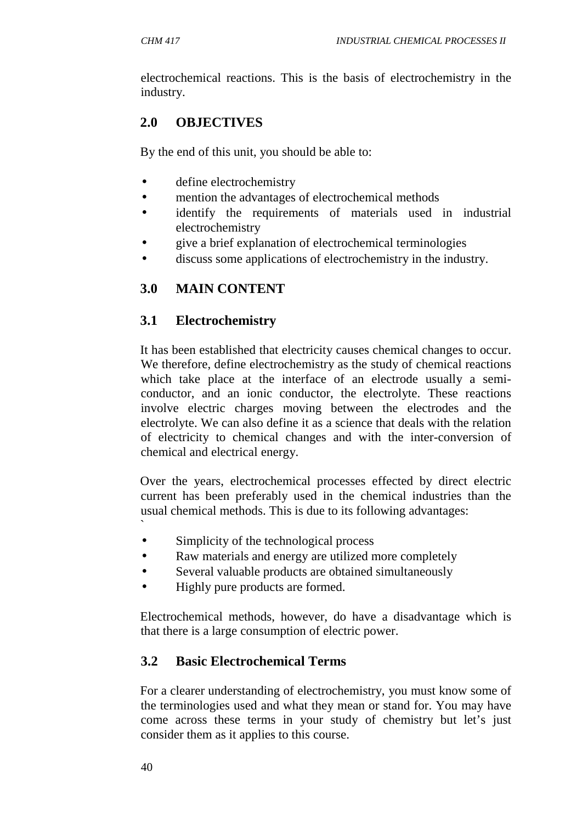electrochemical reactions. This is the basis of electrochemistry in the industry.

# **2.0 OBJECTIVES**

By the end of this unit, you should be able to:

- define electrochemistry
- mention the advantages of electrochemical methods
- identify the requirements of materials used in industrial electrochemistry
- give a brief explanation of electrochemical terminologies
- discuss some applications of electrochemistry in the industry.

# **3.0 MAIN CONTENT**

### **3.1 Electrochemistry**

It has been established that electricity causes chemical changes to occur. We therefore, define electrochemistry as the study of chemical reactions which take place at the interface of an electrode usually a semi conductor, and an ionic conductor, the electrolyte. These reactions involve electric charges moving between the electrodes and the electrolyte. We can also define it as a science that deals with the relation of electricity to chemical changes and with the inter-conversion of chemical and electrical energy.

Over the years, electrochemical processes effected by direct electric current has been preferably used in the chemical industries than the usual chemical methods. This is due to its following advantages: `

- Simplicity of the technological process
- Raw materials and energy are utilized more completely
- Several valuable products are obtained simultaneously
- Highly pure products are formed.

Electrochemical methods, however, do have a disadvantage which is that there is a large consumption of electric power.

# **3.2 Basic Electrochemical Terms**

For a clearer understanding of electrochemistry, you must know some of the terminologies used and what they mean or stand for. You may have come across these terms in your study of chemistry but let's just consider them as it applies to this course.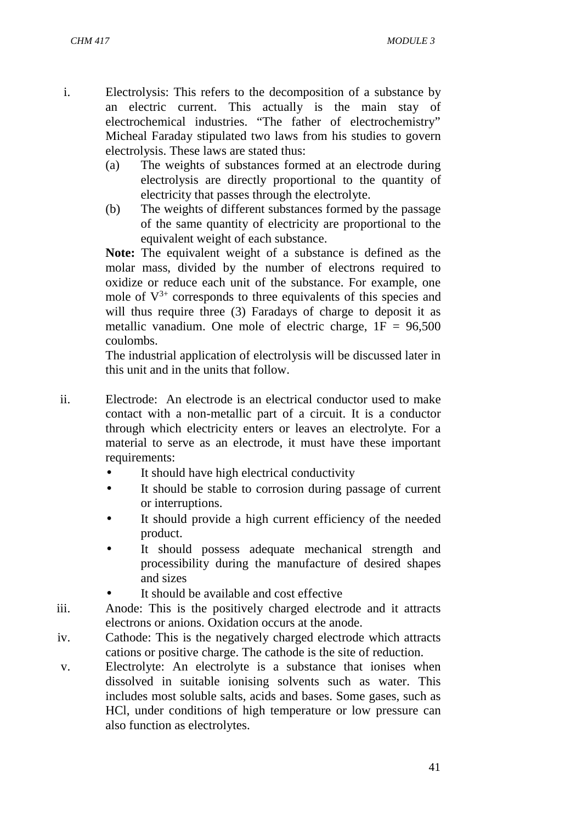- i. Electrolysis: This refers to the decomposition of a substance by an electric current. This actually is the main stay of electrochemical industries. "The father of electrochemistry" Micheal Faraday stipulated two laws from his studies to govern electrolysis. These laws are stated thus:
	- (a) The weights of substances formed at an electrode during electrolysis are directly proportional to the quantity of electricity that passes through the electrolyte.
	- (b) The weights of different substances formed by the passage of the same quantity of electricity are proportional to the equivalent weight of each substance.

**Note:** The equivalent weight of a substance is defined as the molar mass, divided by the number of electrons required to oxidize or reduce each unit of the substance. For example, one mole of  $V^{3+}$  corresponds to three equivalents of this species and will thus require three (3) Faradays of charge to deposit it as metallic vanadium. One mole of electric charge,  $1F = 96,500$ coulombs.

The industrial application of electrolysis will be discussed later in this unit and in the units that follow.

- ii. Electrode: An electrode is an electrical conductor used to make contact with a non-metallic part of a circuit. It is a conductor through which electricity enters or leaves an electrolyte. For a material to serve as an electrode, it must have these important requirements:
	- It should have high electrical conductivity
	- It should be stable to corrosion during passage of current or interruptions.
	- It should provide a high current efficiency of the needed product.
	- It should possess adequate mechanical strength and processibility during the manufacture of desired shapes and sizes
	- It should be available and cost effective
- iii. Anode: This is the positively charged electrode and it attracts electrons or anions. Oxidation occurs at the anode.
- iv. Cathode: This is the negatively charged electrode which attracts cations or positive charge. The cathode is the site of reduction.
- v. Electrolyte: An electrolyte is a substance that ionises when dissolved in suitable ionising solvents such as water. This includes most soluble salts, acids and bases. Some gases, such as HCl, under conditions of high temperature or low pressure can also function as electrolytes.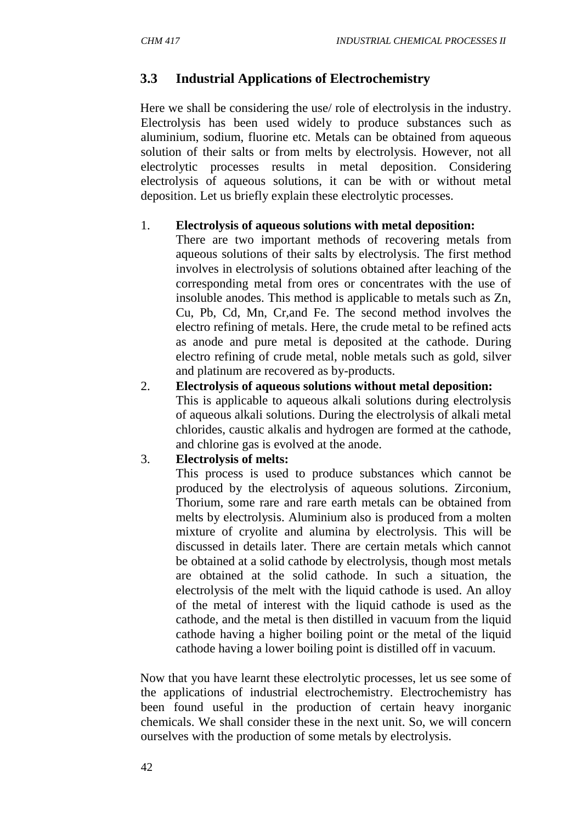### **3.3 Industrial Applications of Electrochemistry**

Here we shall be considering the use/ role of electrolysis in the industry. Electrolysis has been used widely to produce substances such as aluminium, sodium, fluorine etc. Metals can be obtained from aqueous solution of their salts or from melts by electrolysis. However, not all electrolytic processes results in metal deposition. Considering electrolysis of aqueous solutions, it can be with or without metal deposition. Let us briefly explain these electrolytic processes.

#### 1. **Electrolysis of aqueous solutions with metal deposition:**

There are two important methods of recovering metals from aqueous solutions of their salts by electrolysis. The first method involves in electrolysis of solutions obtained after leaching of the corresponding metal from ores or concentrates with the use of insoluble anodes. This method is applicable to metals such as Zn, Cu, Pb, Cd, Mn, Cr,and Fe. The second method involves the electro refining of metals. Here, the crude metal to be refined acts as anode and pure metal is deposited at the cathode. During electro refining of crude metal, noble metals such as gold, silver and platinum are recovered as by-products.

2. **Electrolysis of aqueous solutions without metal deposition:** This is applicable to aqueous alkali solutions during electrolysis of aqueous alkali solutions. During the electrolysis of alkali metal chlorides, caustic alkalis and hydrogen are formed at the cathode, and chlorine gas is evolved at the anode.

#### 3. **Electrolysis of melts:**

This process is used to produce substances which cannot be produced by the electrolysis of aqueous solutions. Zirconium, Thorium, some rare and rare earth metals can be obtained from melts by electrolysis. Aluminium also is produced from a molten mixture of cryolite and alumina by electrolysis. This will be discussed in details later. There are certain metals which cannot be obtained at a solid cathode by electrolysis, though most metals are obtained at the solid cathode. In such a situation, the electrolysis of the melt with the liquid cathode is used. An alloy of the metal of interest with the liquid cathode is used as the cathode, and the metal is then distilled in vacuum from the liquid cathode having a higher boiling point or the metal of the liquid cathode having a lower boiling point is distilled off in vacuum.

Now that you have learnt these electrolytic processes, let us see some of the applications of industrial electrochemistry. Electrochemistry has been found useful in the production of certain heavy inorganic chemicals. We shall consider these in the next unit. So, we will concern ourselves with the production of some metals by electrolysis.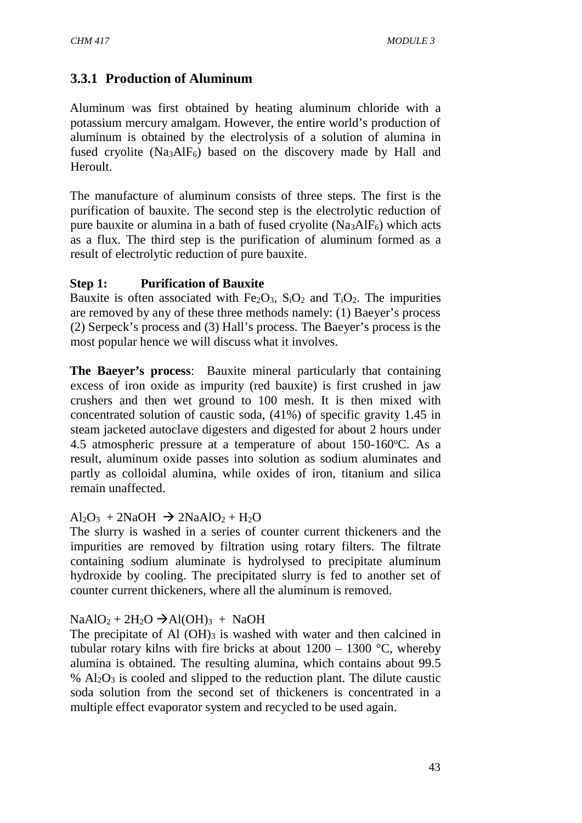# **3.3.1 Production of Aluminum**

Aluminum was first obtained by heating aluminum chloride with a potassium mercury amalgam. However, the entire world's production of aluminum is obtained by the electrolysis of a solution of alumina in fused cryolite (Na<sub>3</sub>AlF<sub>6</sub>) based on the discovery made by Hall and Heroult.

The manufacture of aluminum consists of three steps. The first is the purification of bauxite. The second step is the electrolytic reduction of pure bauxite or alumina in a bath of fused cryolite  $(Na<sub>3</sub>AIF<sub>6</sub>)$  which acts as a flux. The third step is the purification of aluminum formed as a result of electrolytic reduction of pure bauxite.

### **Step 1: Purification of Bauxite**

Bauxite is often associated with  $Fe<sub>2</sub>O<sub>3</sub>$ ,  $S<sub>i</sub>O<sub>2</sub>$  and  $T<sub>i</sub>O<sub>2</sub>$ . The impurities are removed by any of these three methods namely: (1) Baeyer's process (2) Serpeck's process and (3) Hall's process. The Baeyer's process is the most popular hence we will discuss what it involves.

**The Baeyer's process**: Bauxite mineral particularly that containing excess of iron oxide as impurity (red bauxite) is first crushed in jaw crushers and then wet ground to 100 mesh. It is then mixed with concentrated solution of caustic soda, (41%) of specific gravity 1.45 in steam jacketed autoclave digesters and digested for about 2 hours under 4.5 atmospheric pressure at a temperature of about  $150-160^{\circ}$ C. As a result, aluminum oxide passes into solution as sodium aluminates and partly as colloidal alumina, while oxides of iron, titanium and silica remain unaffected.

### $Al_2O_3$  + 2NaOH  $\rightarrow$  2NaAlO<sub>2</sub> + H<sub>2</sub>O

The slurry is washed in a series of counter current thickeners and the impurities are removed by filtration using rotary filters. The filtrate containing sodium aluminate is hydrolysed to precipitate aluminum hydroxide by cooling. The precipitated slurry is fed to another set of counter current thickeners, where all the aluminum is removed.

### $NaAlO<sub>2</sub> + 2H<sub>2</sub>O \rightarrow Al(OH)<sub>3</sub> + NaOH$

The precipitate of Al  $(OH)_{3}$  is washed with water and then calcined in tubular rotary kilns with fire bricks at about  $1200 - 1300$  °C, whereby alumina is obtained. The resulting alumina, which contains about 99.5  $%$  Al<sub>2</sub>O<sub>3</sub> is cooled and slipped to the reduction plant. The dilute caustic soda solution from the second set of thickeners is concentrated in a multiple effect evaporator system and recycled to be used again.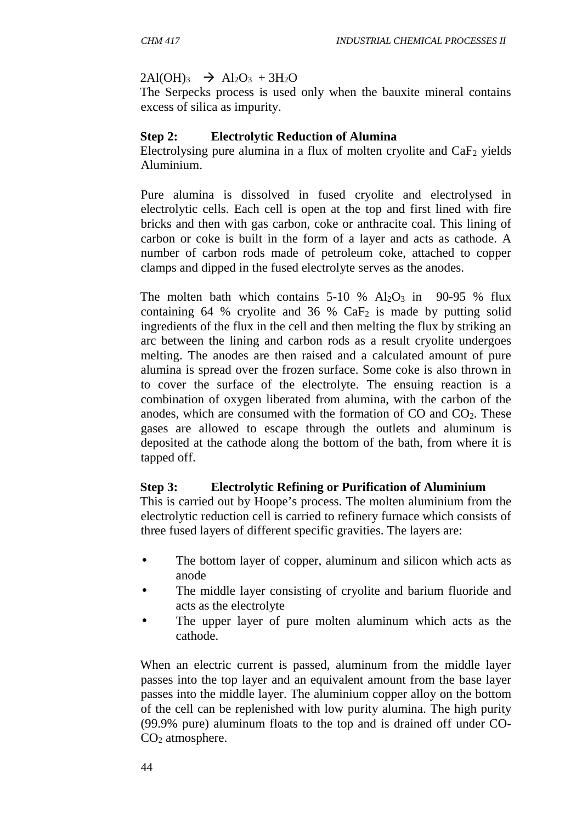#### $2Al(OH)_{3}$   $\rightarrow$   $Al_2O_3$  +  $3H_2O$

The Serpecks process is used only when the bauxite mineral contains excess of silica as impurity.

#### **Step 2: Electrolytic Reduction of Alumina**

Electrolysing pure alumina in a flux of molten cryolite and  $CaF<sub>2</sub>$  yields Aluminium.

Pure alumina is dissolved in fused cryolite and electrolysed in electrolytic cells. Each cell is open at the top and first lined with fire bricks and then with gas carbon, coke or anthracite coal. This lining of carbon or coke is built in the form of a layer and acts as cathode. A number of carbon rods made of petroleum coke, attached to copper clamps and dipped in the fused electrolyte serves as the anodes.

The molten bath which contains  $5-10\%$  Al<sub>2</sub>O<sub>3</sub> in 90-95 % flux containing 64 % cryolite and 36 %  $CaF<sub>2</sub>$  is made by putting solid ingredients of the flux in the cell and then melting the flux by striking an arc between the lining and carbon rods as a result cryolite undergoes melting. The anodes are then raised and a calculated amount of pure alumina is spread over the frozen surface. Some coke is also thrown in to cover the surface of the electrolyte. The ensuing reaction is a combination of oxygen liberated from alumina, with the carbon of the anodes, which are consumed with the formation of  $CO$  and  $CO<sub>2</sub>$ . These gases are allowed to escape through the outlets and aluminum is deposited at the cathode along the bottom of the bath, from where it is tapped off.

### **Step 3: Electrolytic Refining or Purification of Aluminium**

This is carried out by Hoope's process. The molten aluminium from the electrolytic reduction cell is carried to refinery furnace which consists of three fused layers of different specific gravities. The layers are:

- The bottom layer of copper, aluminum and silicon which acts as anode
- The middle layer consisting of cryolite and barium fluoride and acts as the electrolyte
- The upper layer of pure molten aluminum which acts as the cathode.

When an electric current is passed, aluminum from the middle layer passes into the top layer and an equivalent amount from the base layer passes into the middle layer. The aluminium copper alloy on the bottom of the cell can be replenished with low purity alumina. The high purity (99.9% pure) aluminum floats to the top and is drained off under CO-  $CO<sub>2</sub>$  atmosphere.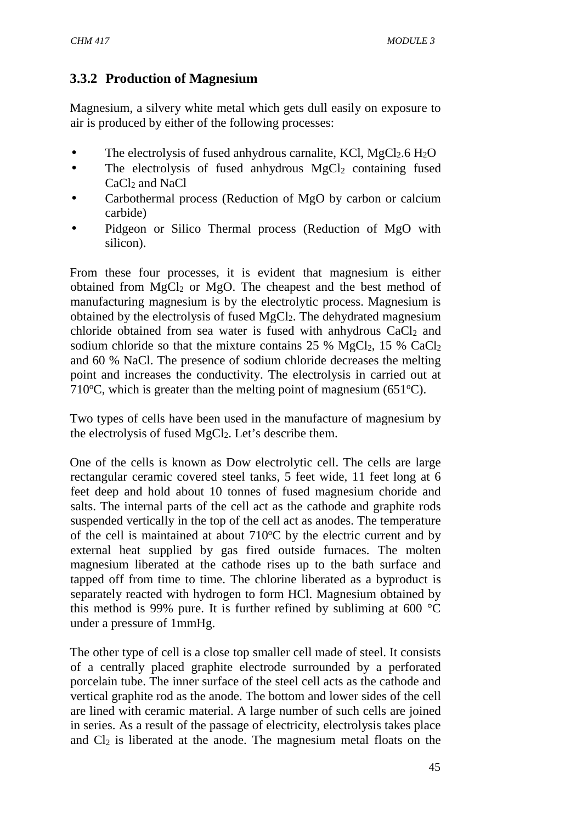# **3.3.2 Production of Magnesium**

Magnesium, a silvery white metal which gets dull easily on exposure to air is produced by either of the following processes:

- The electrolysis of fused anhydrous carnalite, KCl, MgCl<sub>2</sub>.6 H<sub>2</sub>O
- $\bullet$  The electrolysis of fused anhydrous MgCl<sub>2</sub> containing fused CaCl<sub>2</sub> and NaCl
- Carbothermal process (Reduction of MgO by carbon or calcium carbide)
- Pidgeon or Silico Thermal process (Reduction of MgO with silicon).

From these four processes, it is evident that magnesium is either obtained from  $MgCl<sub>2</sub>$  or  $MgO$ . The cheapest and the best method of manufacturing magnesium is by the electrolytic process. Magnesium is obtained by the electrolysis of fused MgCl2. The dehydrated magnesium chloride obtained from sea water is fused with anhydrous  $CaCl<sub>2</sub>$  and sodium chloride so that the mixture contains 25 %  $MgCl<sub>2</sub>$ , 15 %  $CaCl<sub>2</sub>$ and 60 % NaCl. The presence of sodium chloride decreases the melting point and increases the conductivity. The electrolysis in carried out at 710 $\degree$ C, which is greater than the melting point of magnesium (651 $\degree$ C).

Two types of cells have been used in the manufacture of magnesium by the electrolysis of fused  $MgCl<sub>2</sub>$ . Let's describe them.

One of the cells is known as Dow electrolytic cell. The cells are large rectangular ceramic covered steel tanks, 5 feet wide, 11 feet long at 6 feet deep and hold about 10 tonnes of fused magnesium choride and salts. The internal parts of the cell act as the cathode and graphite rods suspended vertically in the top of the cell act as anodes. The temperature of the cell is maintained at about  $710^{\circ}$ C by the electric current and by external heat supplied by gas fired outside furnaces. The molten magnesium liberated at the cathode rises up to the bath surface and tapped off from time to time. The chlorine liberated as a byproduct is separately reacted with hydrogen to form HCl. Magnesium obtained by this method is 99% pure. It is further refined by subliming at 600 °C under a pressure of 1mmHg.

The other type of cell is a close top smaller cell made of steel. It consists of a centrally placed graphite electrode surrounded by a perforated porcelain tube. The inner surface of the steel cell acts as the cathode and vertical graphite rod as the anode. The bottom and lower sides of the cell are lined with ceramic material. A large number of such cells are joined in series. As a result of the passage of electricity, electrolysis takes place and Cl<sup>2</sup> is liberated at the anode. The magnesium metal floats on the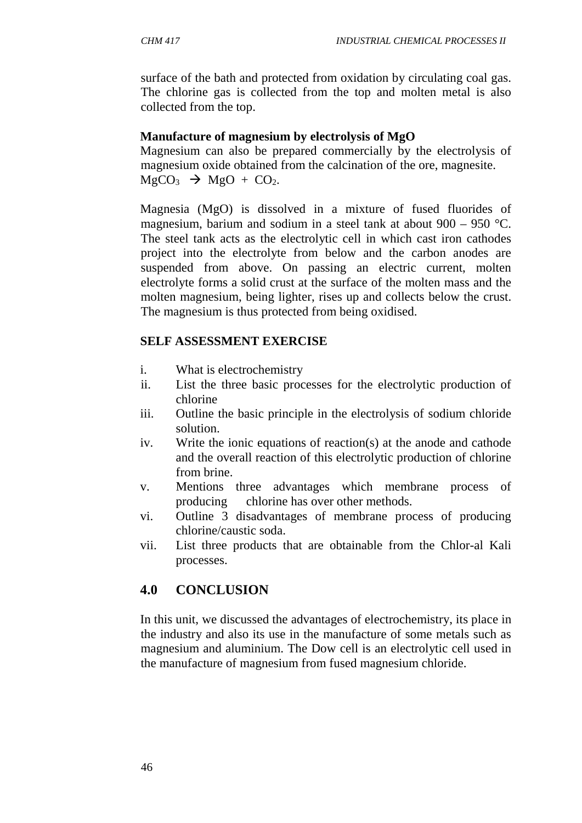surface of the bath and protected from oxidation by circulating coal gas. The chlorine gas is collected from the top and molten metal is also collected from the top.

### **Manufacture of magnesium by electrolysis of MgO**

Magnesium can also be prepared commercially by the electrolysis of magnesium oxide obtained from the calcination of the ore, magnesite.  $MgCO<sub>3</sub>$   $\rightarrow$   $MgO + CO<sub>2</sub>$ .

Magnesia (MgO) is dissolved in a mixture of fused fluorides of magnesium, barium and sodium in a steel tank at about 900 – 950 °C. The steel tank acts as the electrolytic cell in which cast iron cathodes project into the electrolyte from below and the carbon anodes are suspended from above. On passing an electric current, molten electrolyte forms a solid crust at the surface of the molten mass and the molten magnesium, being lighter, rises up and collects below the crust. The magnesium is thus protected from being oxidised.

### **SELF ASSESSMENT EXERCISE**

- i. What is electrochemistry
- ii. List the three basic processes for the electrolytic production of chlorine
- iii. Outline the basic principle in the electrolysis of sodium chloride solution.
- iv. Write the ionic equations of reaction(s) at the anode and cathode and the overall reaction of this electrolytic production of chlorine from brine.
- v. Mentions three advantages which membrane process of producing chlorine has over other methods.
- vi. Outline 3 disadvantages of membrane process of producing chlorine/caustic soda.
- vii. List three products that are obtainable from the Chlor-al Kali processes.

# **4.0 CONCLUSION**

In this unit, we discussed the advantages of electrochemistry, its place in the industry and also its use in the manufacture of some metals such as magnesium and aluminium. The Dow cell is an electrolytic cell used in the manufacture of magnesium from fused magnesium chloride.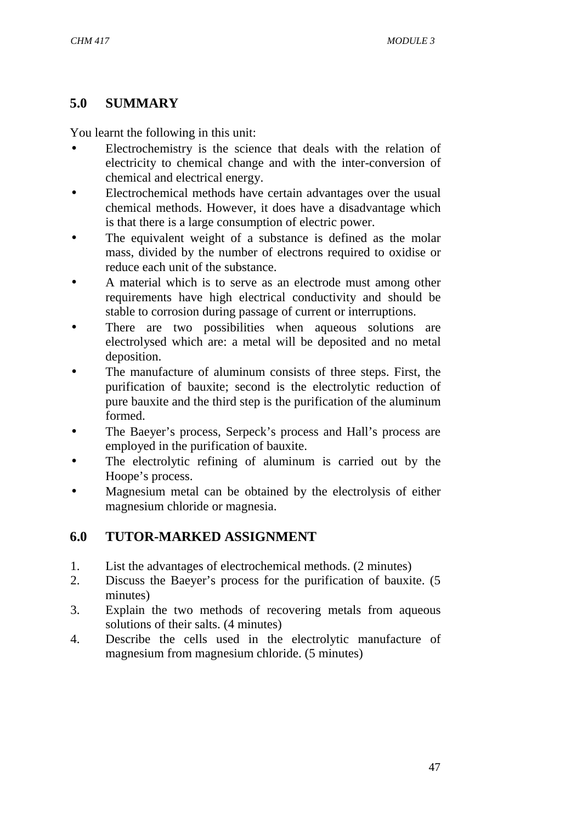# **5.0 SUMMARY**

You learnt the following in this unit:

- Electrochemistry is the science that deals with the relation of electricity to chemical change and with the inter-conversion of chemical and electrical energy.
- Electrochemical methods have certain advantages over the usual chemical methods. However, it does have a disadvantage which is that there is a large consumption of electric power.
- The equivalent weight of a substance is defined as the molar mass, divided by the number of electrons required to oxidise or reduce each unit of the substance.
- A material which is to serve as an electrode must among other requirements have high electrical conductivity and should be stable to corrosion during passage of current or interruptions.
- There are two possibilities when aqueous solutions are electrolysed which are: a metal will be deposited and no metal deposition.
- The manufacture of aluminum consists of three steps. First, the purification of bauxite; second is the electrolytic reduction of pure bauxite and the third step is the purification of the aluminum formed.
- The Baeyer's process, Serpeck's process and Hall's process are employed in the purification of bauxite.
- The electrolytic refining of aluminum is carried out by the Hoope's process.
- Magnesium metal can be obtained by the electrolysis of either magnesium chloride or magnesia.

# **6.0 TUTOR-MARKED ASSIGNMENT**

- 1. List the advantages of electrochemical methods. (2 minutes)
- 2. Discuss the Baeyer's process for the purification of bauxite. (5 minutes)
- 3. Explain the two methods of recovering metals from aqueous solutions of their salts. (4 minutes)
- 4. Describe the cells used in the electrolytic manufacture of magnesium from magnesium chloride. (5 minutes)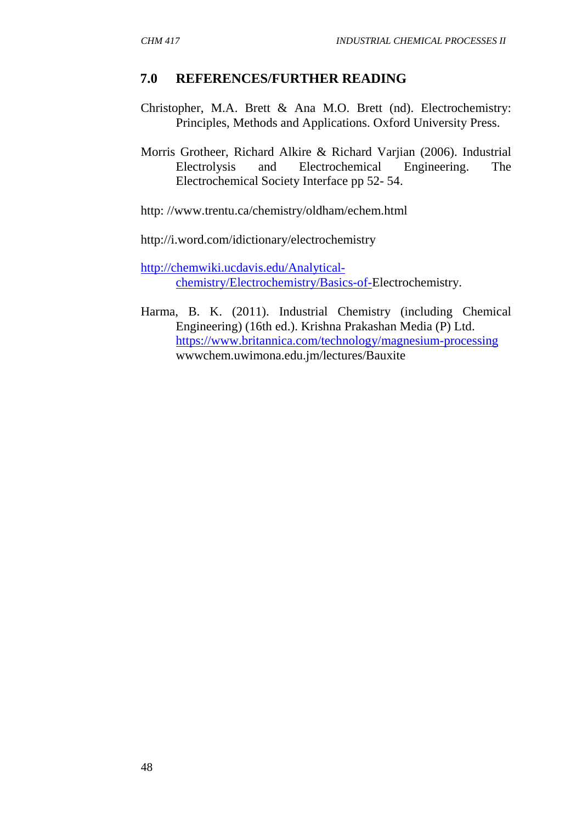### **7.0 REFERENCES/FURTHER READING**

- Christopher, M.A. Brett & Ana M.O. Brett (nd). Electrochemistry: Principles, Methods and Applications. Oxford University Press.
- Morris Grotheer, Richard Alkire & Richard Varjian (2006). Industrial Electrolysis and Electrochemical Engineering. The Electrochemical Society Interface pp 52- 54.
- http: //www.trentu.ca/chemistry/oldham/echem.html
- http://i.word.com/idictionary/electrochemistry

http://chemwiki.ucdavis.edu/Analytical chemistry/Electrochemistry/Basics-of-Electrochemistry.

Harma, B. K. (2011). Industrial Chemistry (including Chemical Engineering) (16th ed.). Krishna Prakashan Media (P) Ltd. https://www.britannica.com/technology/magnesium-processing wwwchem.uwimona.edu.jm/lectures/Bauxite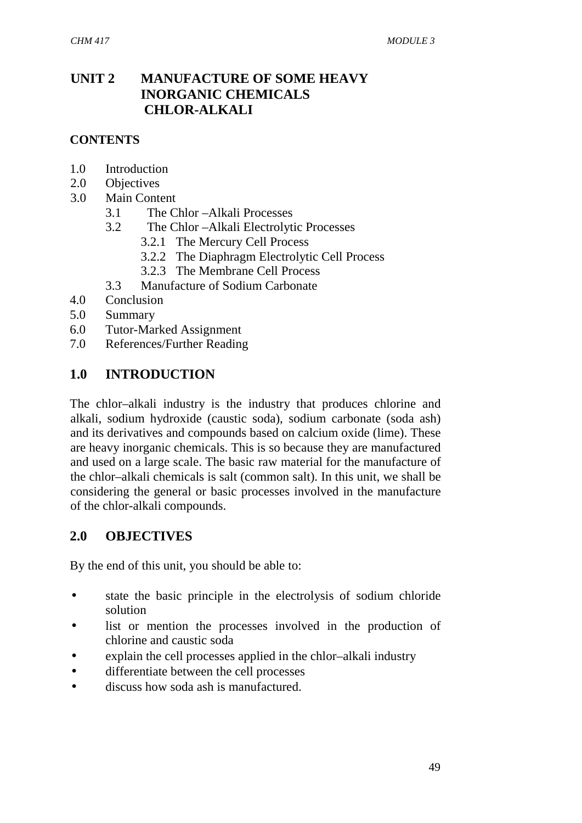### **UNIT 2 MANUFACTURE OF SOME HEAVY INORGANIC CHEMICALS CHLOR-ALKALI**

#### **CONTENTS**

- 1.0 Introduction
- 2.0 Objectives
- 3.0 Main Content
	- 3.1 The Chlor –Alkali Processes
	- 3.2 The Chlor –Alkali Electrolytic Processes
		- 3.2.1 The Mercury Cell Process
		- 3.2.2 The Diaphragm Electrolytic Cell Process
		- 3.2.3 The Membrane Cell Process
	- 3.3 Manufacture of Sodium Carbonate
- 4.0 Conclusion
- 5.0 Summary
- 6.0 Tutor-Marked Assignment
- 7.0 References/Further Reading

### **1.0 INTRODUCTION**

The chlor–alkali industry is the industry that produces chlorine and alkali, sodium hydroxide (caustic soda), sodium carbonate (soda ash) and its derivatives and compounds based on calcium oxide (lime). These are heavy inorganic chemicals. This is so because they are manufactured and used on a large scale. The basic raw material for the manufacture of the chlor–alkali chemicals is salt (common salt). In this unit, we shall be considering the general or basic processes involved in the manufacture of the chlor-alkali compounds.

#### **2.0 OBJECTIVES**

By the end of this unit, you should be able to:

- state the basic principle in the electrolysis of sodium chloride solution
- list or mention the processes involved in the production of chlorine and caustic soda
- explain the cell processes applied in the chlor–alkali industry
- differentiate between the cell processes
- discuss how soda ash is manufactured.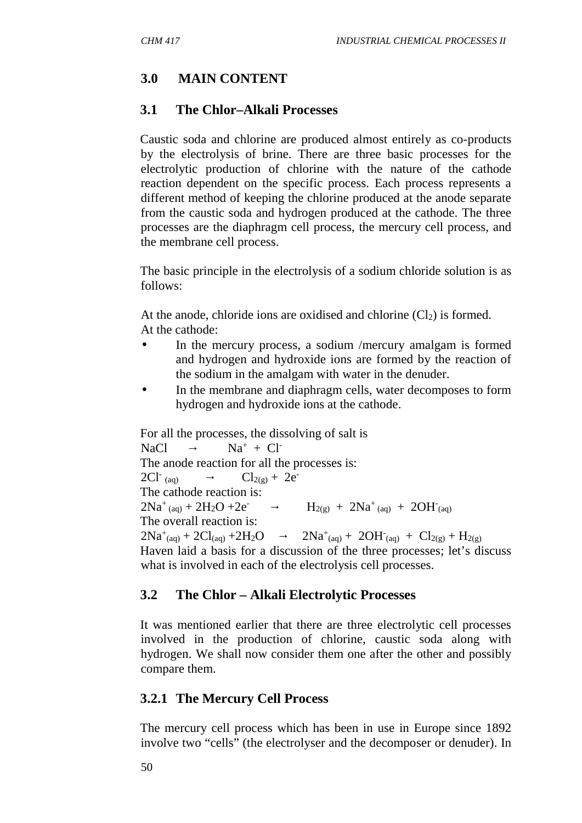# **3.0 MAIN CONTENT**

### **3.1 The Chlor–Alkali Processes**

Caustic soda and chlorine are produced almost entirely as co-products by the electrolysis of brine. There are three basic processes for the electrolytic production of chlorine with the nature of the cathode reaction dependent on the specific process. Each process represents a different method of keeping the chlorine produced at the anode separate from the caustic soda and hydrogen produced at the cathode. The three processes are the diaphragm cell process, the mercury cell process, and the membrane cell process.

The basic principle in the electrolysis of a sodium chloride solution is as follows:

At the anode, chloride ions are oxidised and chlorine  $(Cl<sub>2</sub>)$  is formed. At the cathode:

- In the mercury process, a sodium /mercury amalgam is formed and hydrogen and hydroxide ions are formed by the reaction of the sodium in the amalgam with water in the denuder.
- In the membrane and diaphragm cells, water decomposes to form hydrogen and hydroxide ions at the cathode.

For all the processes, the dissolving of salt is  $NaCl$   $Na^+ + Cl^-$ The anode reaction for all the processes is:  $2Cl<sup>-</sup>$  (an)  $Cl_{2(\sigma)} + 2e^{-}$ The cathode reaction is:  $2Na^{+}$  (ag) +  $2H_{2}O$  +2e<sup>-</sup>  $H_{2(g)} + 2H_2O + 2e^ H_{2(g)} + 2Na^+_{(aq)} + 2OH^-_{(aq)}$ The overall reaction is:  $2Na^{+}(aq) + 2Cl(aq) + 2H_2O$   $2Na^{+}(aq) + 2$  $C_{(aq)} + 2OH_{(aq)} + Cl_{2(g)} + H_{2(g)}$ Haven laid a basis for a discussion of the three processes; let's discuss what is involved in each of the electrolysis cell processes.

### **3.2 The Chlor – Alkali Electrolytic Processes**

It was mentioned earlier that there are three electrolytic cell processes involved in the production of chlorine, caustic soda along with hydrogen. We shall now consider them one after the other and possibly compare them.

### **3.2.1 The Mercury Cell Process**

The mercury cell process which has been in use in Europe since 1892 involve two "cells" (the electrolyser and the decomposer or denuder). In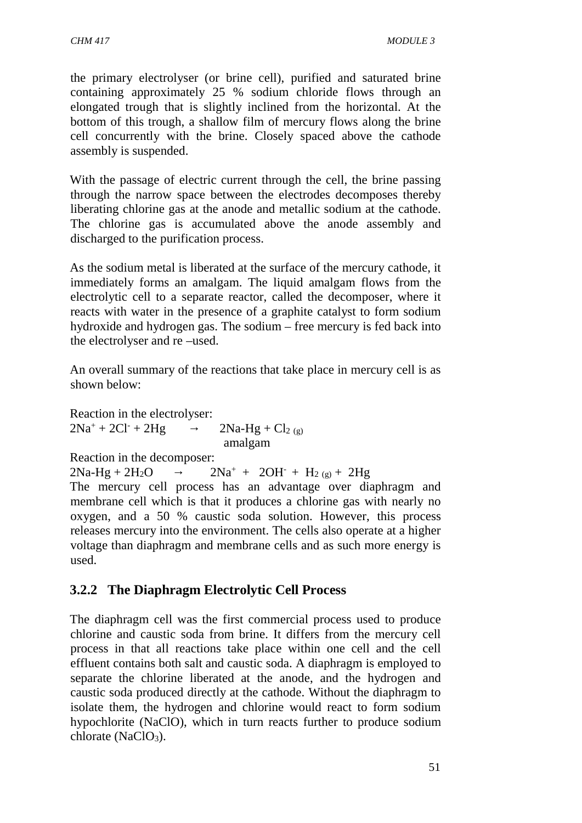the primary electrolyser (or brine cell), purified and saturated brine containing approximately 25 % sodium chloride flows through an elongated trough that is slightly inclined from the horizontal. At the bottom of this trough, a shallow film of mercury flows along the brine cell concurrently with the brine. Closely spaced above the cathode assembly is suspended.

With the passage of electric current through the cell, the brine passing through the narrow space between the electrodes decomposes thereby liberating chlorine gas at the anode and metallic sodium at the cathode. The chlorine gas is accumulated above the anode assembly and discharged to the purification process.

As the sodium metal is liberated at the surface of the mercury cathode, it immediately forms an amalgam. The liquid amalgam flows from the electrolytic cell to a separate reactor, called the decomposer, where it reacts with water in the presence of a graphite catalyst to form sodium hydroxide and hydrogen gas. The sodium – free mercury is fed back into the electrolyser and re –used.

An overall summary of the reactions that take place in mercury cell is as shown below:

Reaction in the electrolyser:  $2Na^{+} + 2Cl^{-} + 2Hg$   $2Na-Hg + Cl_{2(g)}$ amalgam

Reaction in the decomposer:

 $2Na-Hg + 2H_2O$   $2Na^+ + 2OH^- + H_{2(g)} + 2Hg$ 

The mercury cell process has an advantage over diaphragm and membrane cell which is that it produces a chlorine gas with nearly no oxygen, and a 50 % caustic soda solution. However, this process releases mercury into the environment. The cells also operate at a higher voltage than diaphragm and membrane cells and as such more energy is used.

# **3.2.2 The Diaphragm Electrolytic Cell Process**

The diaphragm cell was the first commercial process used to produce chlorine and caustic soda from brine. It differs from the mercury cell process in that all reactions take place within one cell and the cell effluent contains both salt and caustic soda. A diaphragm is employed to separate the chlorine liberated at the anode, and the hydrogen and caustic soda produced directly at the cathode. Without the diaphragm to isolate them, the hydrogen and chlorine would react to form sodium hypochlorite (NaClO), which in turn reacts further to produce sodium chlorate  $(NaClO<sub>3</sub>)$ .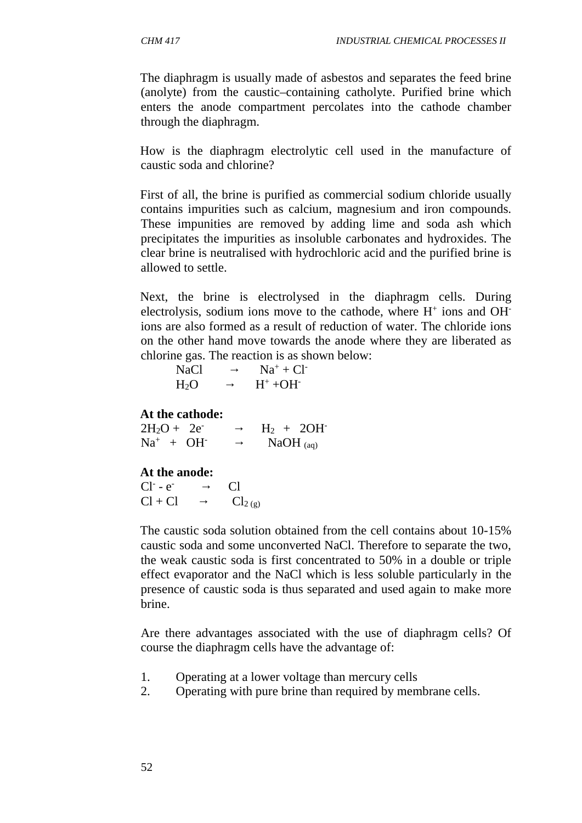The diaphragm is usually made of asbestos and separates the feed brine (anolyte) from the caustic–containing catholyte. Purified brine which enters the anode compartment percolates into the cathode chamber through the diaphragm.

How is the diaphragm electrolytic cell used in the manufacture of caustic soda and chlorine?

First of all, the brine is purified as commercial sodium chloride usually contains impurities such as calcium, magnesium and iron compounds. These impunities are removed by adding lime and soda ash which precipitates the impurities as insoluble carbonates and hydroxides. The clear brine is neutralised with hydrochloric acid and the purified brine is allowed to settle.

Next, the brine is electrolysed in the diaphragm cells. During electrolysis, sodium ions move to the cathode, where H<sup>+</sup> ions and OH<sup>-</sup> ions are also formed as a result of reduction of water. The chloride ions on the other hand move towards the anode where they are liberated as chlorine gas. The reaction is as shown below:

| <b>NaCl</b>      | $Na^+ + Cl^-$          |
|------------------|------------------------|
| H <sub>2</sub> O | $H^+$ +OH <sup>-</sup> |

#### **At the cathode:**

| $2H_2O + 2e^-$ | $H_2 + 2OH^{-}$ |
|----------------|-----------------|
| $Na^+ + OH^-$  | NaOH $_{(aq)}$  |

#### **At the anode:**

| $Cl^-$ - $e^-$ | C <sub>1</sub> |
|----------------|----------------|
| $Cl + Cl$      | $Cl_{2(g)}$    |

The caustic soda solution obtained from the cell contains about 10-15% caustic soda and some unconverted NaCl. Therefore to separate the two, the weak caustic soda is first concentrated to 50% in a double or triple effect evaporator and the NaCl which is less soluble particularly in the presence of caustic soda is thus separated and used again to make more brine.

Are there advantages associated with the use of diaphragm cells? Of course the diaphragm cells have the advantage of:

- 1. Operating at a lower voltage than mercury cells
- 2. Operating with pure brine than required by membrane cells.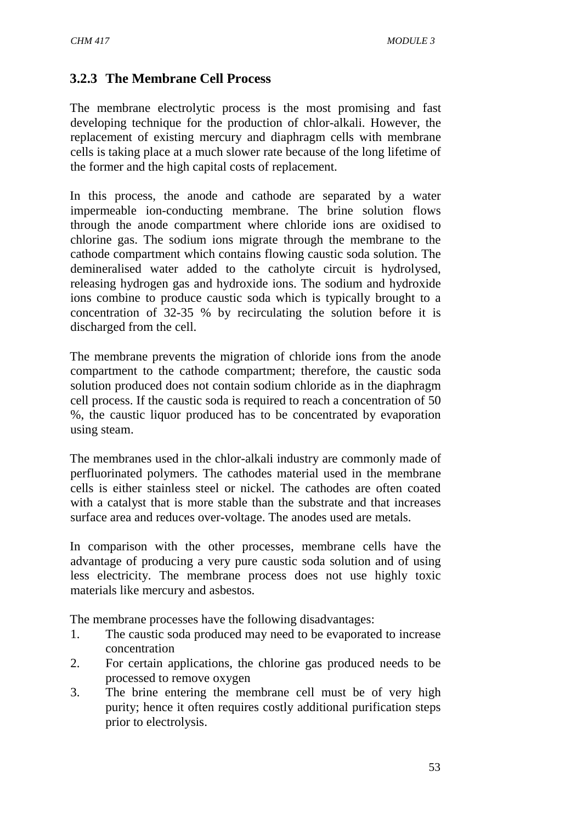### **3.2.3 The Membrane Cell Process**

The membrane electrolytic process is the most promising and fast developing technique for the production of chlor-alkali. However, the replacement of existing mercury and diaphragm cells with membrane cells is taking place at a much slower rate because of the long lifetime of the former and the high capital costs of replacement.

In this process, the anode and cathode are separated by a water impermeable ion-conducting membrane. The brine solution flows through the anode compartment where chloride ions are oxidised to chlorine gas. The sodium ions migrate through the membrane to the cathode compartment which contains flowing caustic soda solution. The demineralised water added to the catholyte circuit is hydrolysed, releasing hydrogen gas and hydroxide ions. The sodium and hydroxide ions combine to produce caustic soda which is typically brought to a concentration of 32-35 % by recirculating the solution before it is discharged from the cell.

The membrane prevents the migration of chloride ions from the anode compartment to the cathode compartment; therefore, the caustic soda solution produced does not contain sodium chloride as in the diaphragm cell process. If the caustic soda is required to reach a concentration of 50 %, the caustic liquor produced has to be concentrated by evaporation using steam.

The membranes used in the chlor-alkali industry are commonly made of perfluorinated polymers. The cathodes material used in the membrane cells is either stainless steel or nickel. The cathodes are often coated with a catalyst that is more stable than the substrate and that increases surface area and reduces over-voltage. The anodes used are metals.

In comparison with the other processes, membrane cells have the advantage of producing a very pure caustic soda solution and of using less electricity. The membrane process does not use highly toxic materials like mercury and asbestos.

The membrane processes have the following disadvantages:

- 1. The caustic soda produced may need to be evaporated to increase concentration
- 2. For certain applications, the chlorine gas produced needs to be processed to remove oxygen
- 3. The brine entering the membrane cell must be of very high purity; hence it often requires costly additional purification steps prior to electrolysis.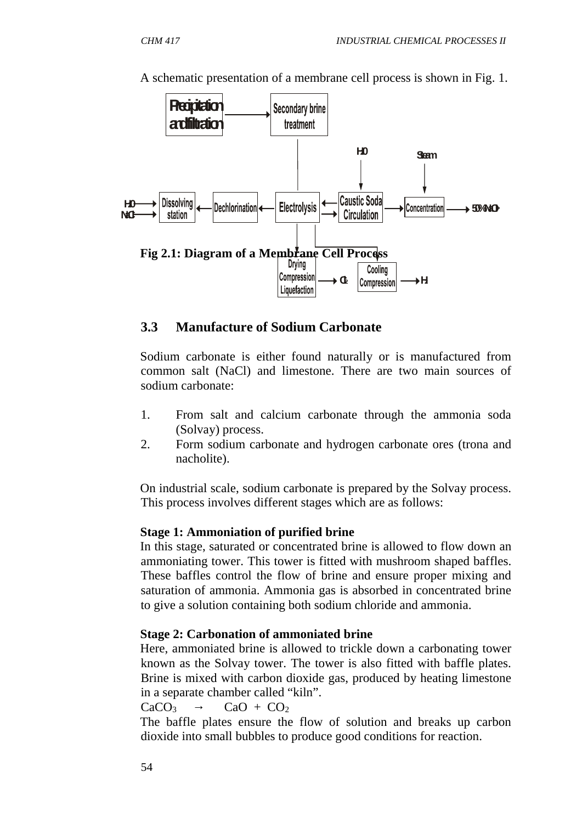

A schematic presentation of a membrane cell process is shown in Fig. 1.

#### **3.3 Manufacture of Sodium Carbonate**

Sodium carbonate is either found naturally or is manufactured from common salt (NaCl) and limestone. There are two main sources of sodium carbonate:

- 1. From salt and calcium carbonate through the ammonia soda (Solvay) process.
- 2. Form sodium carbonate and hydrogen carbonate ores (trona and nacholite).

On industrial scale, sodium carbonate is prepared by the Solvay process. This process involves different stages which are as follows:

#### **Stage 1: Ammoniation of purified brine**

In this stage, saturated or concentrated brine is allowed to flow down an ammoniating tower. This tower is fitted with mushroom shaped baffles. These baffles control the flow of brine and ensure proper mixing and saturation of ammonia. Ammonia gas is absorbed in concentrated brine to give a solution containing both sodium chloride and ammonia.

#### **Stage 2: Carbonation of ammoniated brine**

Here, ammoniated brine is allowed to trickle down a carbonating tower known as the Solvay tower. The tower is also fitted with baffle plates. Brine is mixed with carbon dioxide gas, produced by heating limestone in a separate chamber called "kiln".

 $CaCO<sub>3</sub>$   $CaO + CO<sub>2</sub>$ 

The baffle plates ensure the flow of solution and breaks up carbon dioxide into small bubbles to produce good conditions for reaction.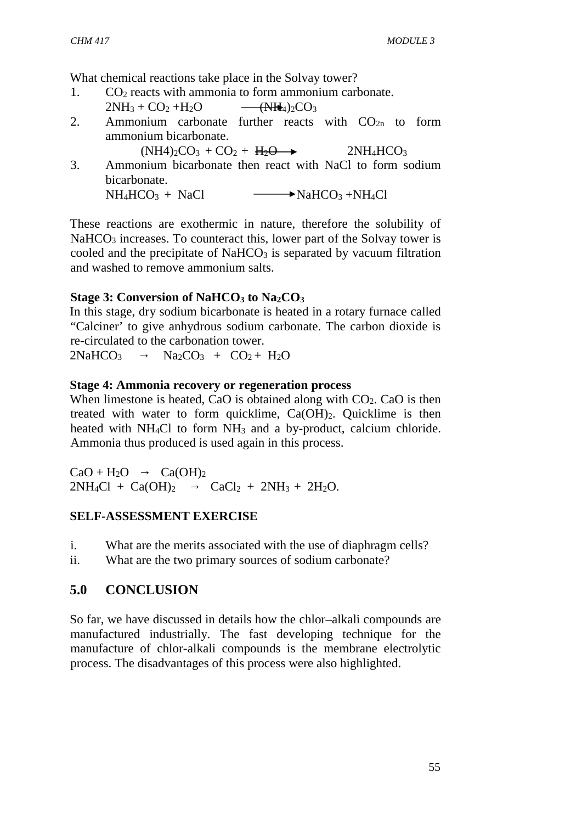What chemical reactions take place in the Solvay tower?

1.  $CO<sub>2</sub>$  reacts with ammonia to form ammonium carbonate.

$$
2NH_3 + CO_2 + H_2O \qquad \qquad \text{WH}_4)_2CO_3
$$

2. Ammonium carbonate further reacts with  $CO<sub>2n</sub>$  to form ammonium bicarbonate.

 $(NH4)_{2}CO_{3} + CO_{2} + H_{2}O \rightarrow 2NH_{4}HCO_{3}$ 

3. Ammonium bicarbonate then react with NaCl to form sodium bicarbonate.

 $NH_4HCO_3 + NaCl \longrightarrow NaHCO_3 +NH_4Cl$ 

These reactions are exothermic in nature, therefore the solubility of NaHCO<sub>3</sub> increases. To counteract this, lower part of the Solvay tower is cooled and the precipitate of  $NaHCO<sub>3</sub>$  is separated by vacuum filtration and washed to remove ammonium salts.

# **Stage 3: Conversion of NaHCO<sup>3</sup> to Na2CO<sup>3</sup>**

In this stage, dry sodium bicarbonate is heated in a rotary furnace called "Calciner' to give anhydrous sodium carbonate. The carbon dioxide is re-circulated to the carbonation tower.

 $2NaHCO<sub>3</sub>$   $Na<sub>2</sub>CO<sub>3</sub> + CO<sub>2</sub> + H<sub>2</sub>O$ 

# **Stage 4: Ammonia recovery or regeneration process**

When limestone is heated, CaO is obtained along with  $CO<sub>2</sub>$ . CaO is then treated with water to form quicklime,  $Ca(OH)_{2}$ . Quicklime is then heated with NH<sub>4</sub>Cl to form NH<sub>3</sub> and a by-product, calcium chloride. Ammonia thus produced is used again in this process.

 $CaO + H<sub>2</sub>O$   $Ca(OH)<sub>2</sub>$  $2NH_4Cl + Ca(OH)_2$   $CaCl_2 + 2NH_3 + 2H_2O$ .

# **SELF-ASSESSMENT EXERCISE**

i. What are the merits associated with the use of diaphragm cells?

ii. What are the two primary sources of sodium carbonate?

# **5.0 CONCLUSION**

So far, we have discussed in details how the chlor–alkali compounds are manufactured industrially. The fast developing technique for the manufacture of chlor-alkali compounds is the membrane electrolytic process. The disadvantages of this process were also highlighted.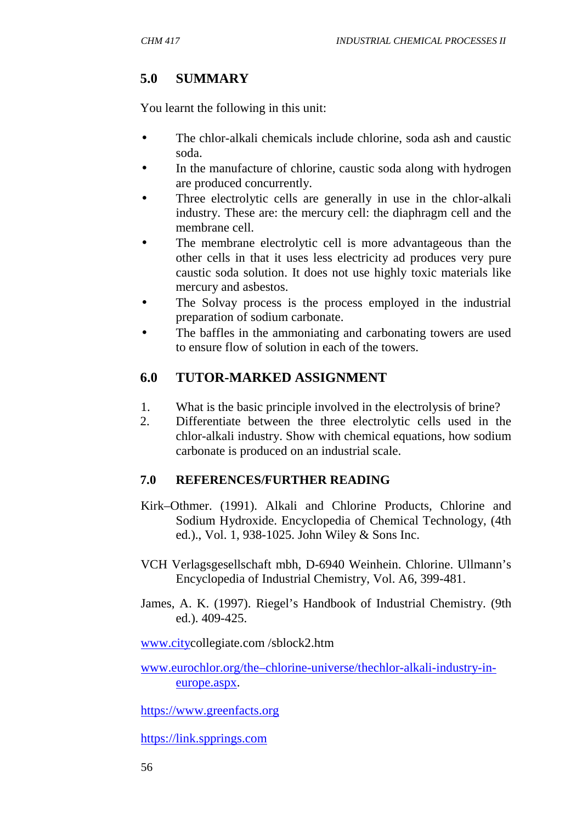# **5.0 SUMMARY**

You learnt the following in this unit:

- The chlor-alkali chemicals include chlorine, soda ash and caustic soda.
- In the manufacture of chlorine, caustic soda along with hydrogen are produced concurrently.
- Three electrolytic cells are generally in use in the chlor-alkali industry. These are: the mercury cell: the diaphragm cell and the membrane cell.
- The membrane electrolytic cell is more advantageous than the other cells in that it uses less electricity ad produces very pure caustic soda solution. It does not use highly toxic materials like mercury and asbestos.
- The Solvay process is the process employed in the industrial preparation of sodium carbonate.
- The baffles in the ammoniating and carbonating towers are used to ensure flow of solution in each of the towers.

### **6.0 TUTOR-MARKED ASSIGNMENT**

- 1. What is the basic principle involved in the electrolysis of brine?
- 2. Differentiate between the three electrolytic cells used in the chlor-alkali industry. Show with chemical equations, how sodium carbonate is produced on an industrial scale.

#### **7.0 REFERENCES/FURTHER READING**

- Kirk–Othmer. (1991). Alkali and Chlorine Products, Chlorine and Sodium Hydroxide. Encyclopedia of Chemical Technology, (4th ed.)., Vol. 1, 938-1025. John Wiley & Sons Inc.
- VCH Verlagsgesellschaft mbh, D-6940 Weinhein. Chlorine. Ullmann's Encyclopedia of Industrial Chemistry, Vol. A6, 399-481.
- James, A. K. (1997). Riegel's Handbook of Industrial Chemistry. (9th ed.). 409-425.

www.citycollegiate.com /sblock2.htm

www.eurochlor.org/the–chlorine-universe/thechlor-alkali-industry-in europe.aspx.

https://www.greenfacts.org

https://link.spprings.com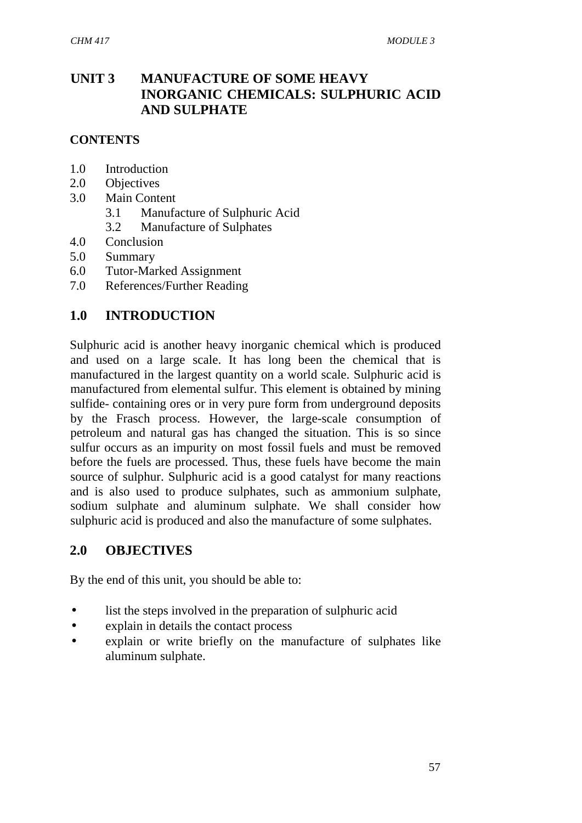# **UNIT 3 MANUFACTURE OF SOME HEAVY INORGANIC CHEMICALS: SULPHURIC ACID AND SULPHATE**

### **CONTENTS**

- 1.0 Introduction
- 2.0 Objectives
- 3.0 Main Content
	- 3.1 Manufacture of Sulphuric Acid
	- 3.2 Manufacture of Sulphates
- 4.0 Conclusion
- 5.0 Summary
- 6.0 Tutor-Marked Assignment
- 7.0 References/Further Reading

### **1.0 INTRODUCTION**

Sulphuric acid is another heavy inorganic chemical which is produced and used on a large scale. It has long been the chemical that is manufactured in the largest quantity on a world scale. Sulphuric acid is manufactured from elemental sulfur. This element is obtained by mining sulfide- containing ores or in very pure form from underground deposits by the Frasch process. However, the large-scale consumption of petroleum and natural gas has changed the situation. This is so since sulfur occurs as an impurity on most fossil fuels and must be removed before the fuels are processed. Thus, these fuels have become the main source of sulphur. Sulphuric acid is a good catalyst for many reactions and is also used to produce sulphates, such as ammonium sulphate, sodium sulphate and aluminum sulphate. We shall consider how sulphuric acid is produced and also the manufacture of some sulphates.

#### **2.0 OBJECTIVES**

By the end of this unit, you should be able to:

- list the steps involved in the preparation of sulphuric acid
- explain in details the contact process
- explain or write briefly on the manufacture of sulphates like aluminum sulphate.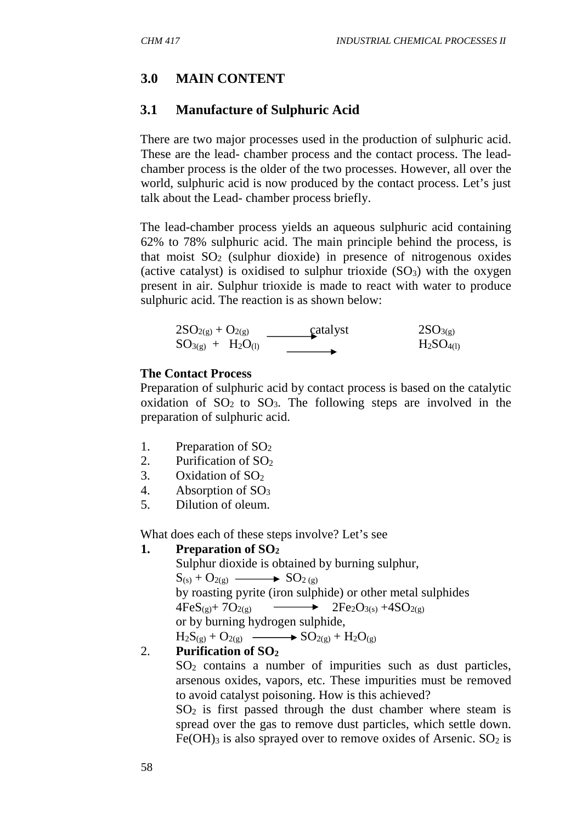# **3.0 MAIN CONTENT**

### **3.1 Manufacture of Sulphuric Acid**

There are two major processes used in the production of sulphuric acid. These are the lead- chamber process and the contact process. The lead chamber process is the older of the two processes. However, all over the world, sulphuric acid is now produced by the contact process. Let's just talk about the Lead- chamber process briefly.

The lead-chamber process yields an aqueous sulphuric acid containing 62% to 78% sulphuric acid. The main principle behind the process, is that moist  $SO_2$  (sulphur dioxide) in presence of nitrogenous oxides (active catalyst) is oxidised to sulphur trioxide  $(SO<sub>3</sub>)$  with the oxygen present in air. Sulphur trioxide is made to react with water to produce sulphuric acid. The reaction is as shown below:

$$
2SO_{2(g)} + O_{2(g)} \xrightarrow{\qquad \qquad } \text{catalyst} \qquad \qquad 2SO_{3(g)} \\
SO_{3(g)} + H_2O_{(l)} \xrightarrow{\qquad \qquad } \text{catalyst} \qquad \qquad 2SO_{3(g)}
$$

#### **The Contact Process**

Preparation of sulphuric acid by contact process is based on the catalytic oxidation of  $SO_2$  to  $SO_3$ . The following steps are involved in the preparation of sulphuric acid.

- 1. Preparation of SO<sub>2</sub>
- 2. Purification of  $SO<sub>2</sub>$
- 3. Oxidation of  $SO<sub>2</sub>$
- 4. Absorption of SO<sub>3</sub>
- 5. Dilution of oleum.

What does each of these steps involve? Let's see

#### **1. Preparation of SO<sup>2</sup>**

Sulphur dioxide is obtained by burning sulphur,  $S_{(s)} + O_{2(g)} \longrightarrow SO_{2(g)}$ by roasting pyrite (iron sulphide) or other metal sulphides  $4FeS_{(9)}+7O_{2(9)} \longrightarrow 2Fe_2O_{3(8)}+4SO_{2(9)}$ or by burning hydrogen sulphide,  $H_2S_{(g)} + O_{2(g)} \longrightarrow SO_{2(g)} + H_2O_{(g)}$ 

#### 2. **Purification of SO<sup>2</sup>**

SO<sup>2</sup> contains a number of impurities such as dust particles, arsenous oxides, vapors, etc. These impurities must be removed to avoid catalyst poisoning. How is this achieved?

 $SO<sub>2</sub>$  is first passed through the dust chamber where steam is spread over the gas to remove dust particles, which settle down. Fe(OH)<sub>3</sub> is also sprayed over to remove oxides of Arsenic.  $SO_2$  is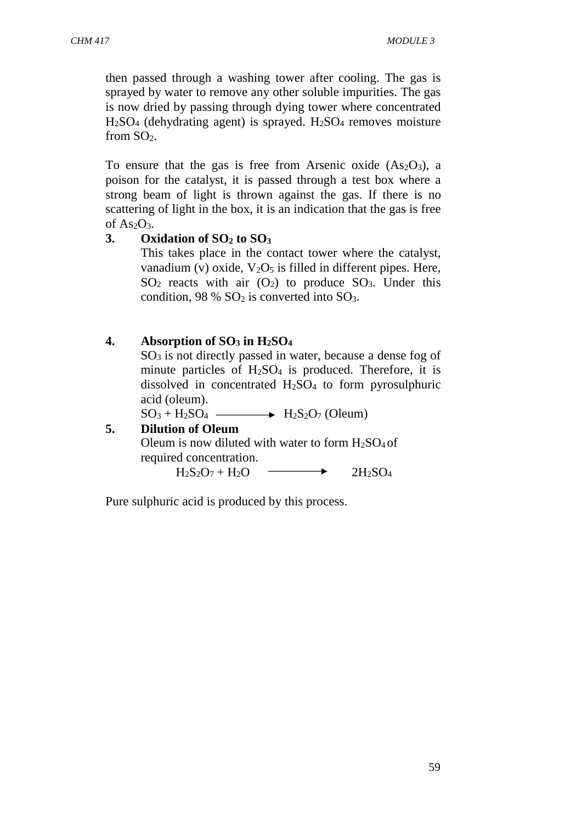then passed through a washing tower after cooling. The gas is sprayed by water to remove any other soluble impurities. The gas is now dried by passing through dying tower where concentrated  $H<sub>2</sub>SO<sub>4</sub>$  (dehydrating agent) is sprayed.  $H<sub>2</sub>SO<sub>4</sub>$  removes moisture from SO2.

To ensure that the gas is free from Arsenic oxide  $(As<sub>2</sub>O<sub>3</sub>)$ , a poison for the catalyst, it is passed through a test box where a strong beam of light is thrown against the gas. If there is no scattering of light in the box, it is an indication that the gas is free of  $As<sub>2</sub>O<sub>3</sub>$ .

### **3. Oxidation of SO<sup>2</sup> to SO<sup>3</sup>**

This takes place in the contact tower where the catalyst, vanadium (v) oxide,  $V_2O_5$  is filled in different pipes. Here,  $SO<sub>2</sub>$  reacts with air  $(O<sub>2</sub>)$  to produce  $SO<sub>3</sub>$ . Under this condition,  $98\%$  SO<sub>2</sub> is converted into SO<sub>3</sub>.

| Absorption of $SO_3$ in $H_2SO_4$<br>$SO3$ is not directly passed in water, because a dense fog of<br>minute particles of $H_2SO_4$ is produced. Therefore, it is<br>dissolved in concentrated $H_2SO_4$ to form pyrosulphuric<br>acid (oleum). |
|-------------------------------------------------------------------------------------------------------------------------------------------------------------------------------------------------------------------------------------------------|
| $SO_3 + H_2SO_4 \longrightarrow H_2S_2O_7$ (Oleum)                                                                                                                                                                                              |
| <b>Dilution of Oleum</b>                                                                                                                                                                                                                        |
| Oleum is now diluted with water to form $H_2SO_4$ of<br>required concentration.                                                                                                                                                                 |
| $H_2S_2O_7 + H_2O$                                                                                                                                                                                                                              |

Pure sulphuric acid is produced by this process.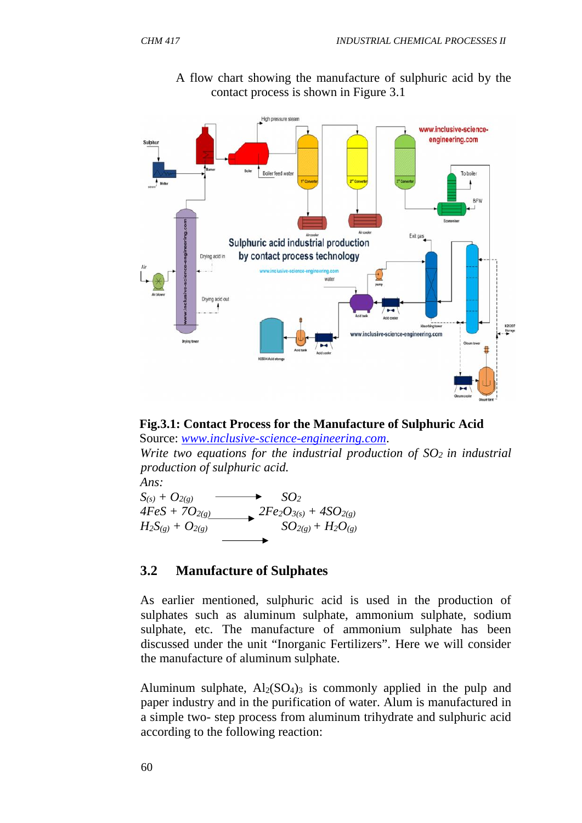

A flow chart showing the manufacture of sulphuric acid by the contact process is shown in Figure 3.1



Source: *www.inclusive-science-engineering.com*.

*Write two equations for the industrial production of SO<sup>2</sup> in industrial production of sulphuric acid.*



#### **3.2 Manufacture of Sulphates**

As earlier mentioned, sulphuric acid is used in the production of sulphates such as aluminum sulphate, ammonium sulphate, sodium sulphate, etc. The manufacture of ammonium sulphate has been discussed under the unit "Inorganic Fertilizers". Here we will consider the manufacture of aluminum sulphate.

Aluminum sulphate,  $Al_2(SO_4)$  is commonly applied in the pulp and paper industry and in the purification of water. Alum is manufactured in a simple two- step process from aluminum trihydrate and sulphuric acid according to the following reaction: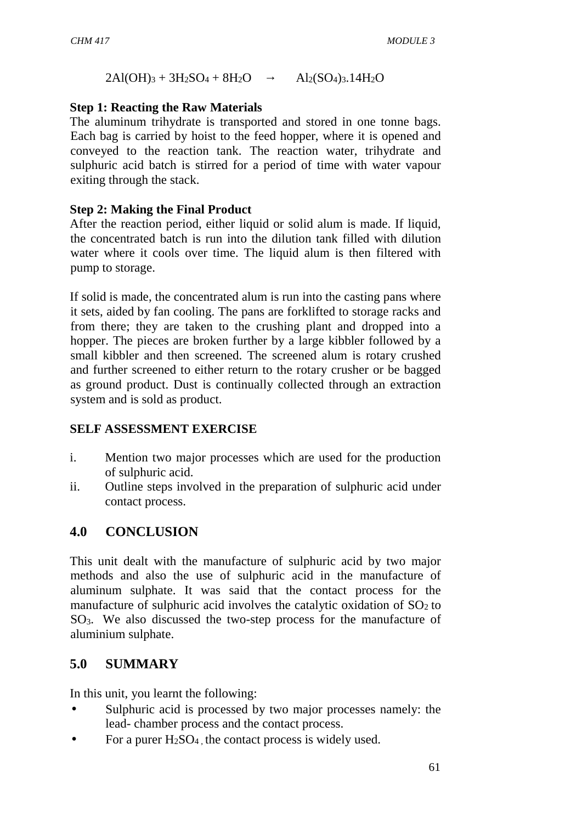$2Al(OH)_3 + 3H_2SO_4 + 8H_2O$   $Al_2(SO_4)_3.14H_2O$ 

### **Step 1: Reacting the Raw Materials**

The aluminum trihydrate is transported and stored in one tonne bags. Each bag is carried by hoist to the feed hopper, where it is opened and conveyed to the reaction tank. The reaction water, trihydrate and sulphuric acid batch is stirred for a period of time with water vapour exiting through the stack.

### **Step 2: Making the Final Product**

After the reaction period, either liquid or solid alum is made. If liquid, the concentrated batch is run into the dilution tank filled with dilution water where it cools over time. The liquid alum is then filtered with pump to storage.

If solid is made, the concentrated alum is run into the casting pans where it sets, aided by fan cooling. The pans are forklifted to storage racks and from there; they are taken to the crushing plant and dropped into a hopper. The pieces are broken further by a large kibbler followed by a small kibbler and then screened. The screened alum is rotary crushed and further screened to either return to the rotary crusher or be bagged as ground product. Dust is continually collected through an extraction system and is sold as product.

### **SELF ASSESSMENT EXERCISE**

- i. Mention two major processes which are used for the production of sulphuric acid.
- ii. Outline steps involved in the preparation of sulphuric acid under contact process.

# **4.0 CONCLUSION**

This unit dealt with the manufacture of sulphuric acid by two major methods and also the use of sulphuric acid in the manufacture of aluminum sulphate. It was said that the contact process for the manufacture of sulphuric acid involves the catalytic oxidation of  $SO<sub>2</sub>$  to SO3. We also discussed the two-step process for the manufacture of aluminium sulphate.

# **5.0 SUMMARY**

In this unit, you learnt the following:

- Sulphuric acid is processed by two major processes namely: the lead- chamber process and the contact process.
- For a purer  $H_2SO_4$ , the contact process is widely used.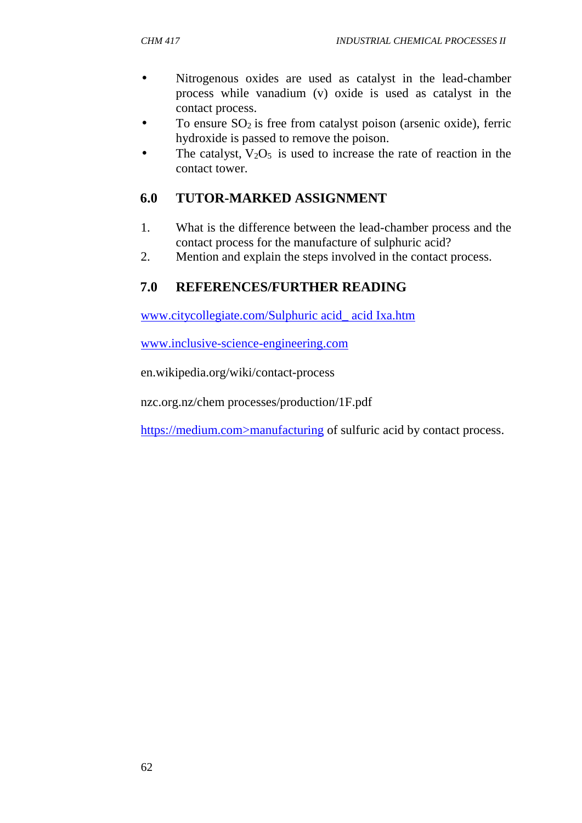- Nitrogenous oxides are used as catalyst in the lead-chamber process while vanadium (v) oxide is used as catalyst in the contact process.
- To ensure  $SO_2$  is free from catalyst poison (arsenic oxide), ferric hydroxide is passed to remove the poison.
- The catalyst,  $V_2O_5$  is used to increase the rate of reaction in the contact tower.

# **6.0 TUTOR-MARKED ASSIGNMENT**

- 1. What is the difference between the lead-chamber process and the contact process for the manufacture of sulphuric acid?
- 2. Mention and explain the steps involved in the contact process.

# **7.0 REFERENCES/FURTHER READING**

www.citycollegiate.com/Sulphuric acid\_ acid Ixa.htm

www.inclusive-science-engineering.com

en.wikipedia.org/wiki/contact-process

nzc.org.nz/chem processes/production/1F.pdf

https://medium.com>manufacturing of sulfuric acid by contact process.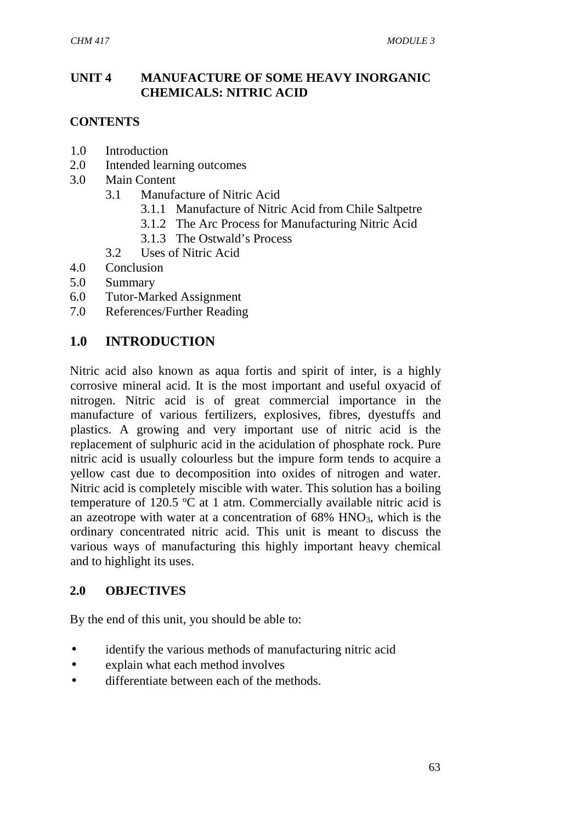### **UNIT 4 MANUFACTURE OF SOME HEAVY INORGANIC CHEMICALS: NITRIC ACID**

#### **CONTENTS**

- 1.0 Introduction
- 2.0 Intended learning outcomes
- 3.0 Main Content
	- 3.1 Manufacture of Nitric Acid
		- 3.1.1 Manufacture of Nitric Acid from Chile Saltpetre
		- 3.1.2 The Arc Process for Manufacturing Nitric Acid
		- 3.1.3 The Ostwald's Process
	- 3.2 Uses of Nitric Acid
- 4.0 Conclusion
- 5.0 Summary
- 6.0 Tutor-Marked Assignment
- 7.0 References/Further Reading

### **1.0 INTRODUCTION**

Nitric acid also known as aqua fortis and spirit of inter, is a highly corrosive mineral acid. It is the most important and useful oxyacid of nitrogen. Nitric acid is of great commercial importance in the manufacture of various fertilizers, explosives, fibres, dyestuffs and plastics. A growing and very important use of nitric acid is the replacement of sulphuric acid in the acidulation of phosphate rock. Pure nitric acid is usually colourless but the impure form tends to acquire a yellow cast due to decomposition into oxides of nitrogen and water. Nitric acid is completely miscible with water. This solution has a boiling temperature of 120.5  $\degree$ C at 1 atm. Commercially available nitric acid is an azeotrope with water at a concentration of  $68\%$  HNO<sub>3</sub>, which is the ordinary concentrated nitric acid. This unit is meant to discuss the various ways of manufacturing this highly important heavy chemical and to highlight its uses.

#### **2.0 OBJECTIVES**

By the end of this unit, you should be able to:

- identify the various methods of manufacturing nitric acid
- explain what each method involves
- differentiate between each of the methods.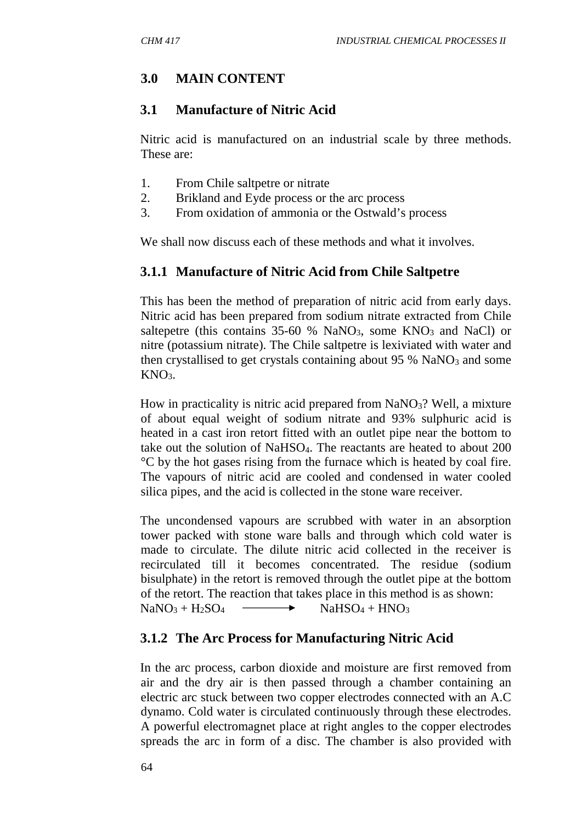# **3.0 MAIN CONTENT**

### **3.1 Manufacture of Nitric Acid**

Nitric acid is manufactured on an industrial scale by three methods. These are:

- 1. From Chile saltpetre or nitrate
- 2. Brikland and Eyde process or the arc process
- 3. From oxidation of ammonia or the Ostwald's process

We shall now discuss each of these methods and what it involves.

# **3.1.1 Manufacture of Nitric Acid from Chile Saltpetre**

This has been the method of preparation of nitric acid from early days. Nitric acid has been prepared from sodium nitrate extracted from Chile saltepetre (this contains  $35-60$  % NaNO<sub>3</sub>, some KNO<sub>3</sub> and NaCl) or nitre (potassium nitrate). The Chile saltpetre is lexiviated with water and then crystallised to get crystals containing about  $95\%$  NaNO<sub>3</sub> and some  $KNO<sub>3</sub>$ .

How in practicality is nitric acid prepared from  $NaNO<sub>3</sub>$ ? Well, a mixture of about equal weight of sodium nitrate and 93% sulphuric acid is heated in a cast iron retort fitted with an outlet pipe near the bottom to take out the solution of NaHSO4. The reactants are heated to about 200 °C by the hot gases rising from the furnace which is heated by coal fire. The vapours of nitric acid are cooled and condensed in water cooled silica pipes, and the acid is collected in the stone ware receiver.

The uncondensed vapours are scrubbed with water in an absorption tower packed with stone ware balls and through which cold water is made to circulate. The dilute nitric acid collected in the receiver is recirculated till it becomes concentrated. The residue (sodium bisulphate) in the retort is removed through the outlet pipe at the bottom of the retort. The reaction that takes place in this method is as shown:  $NaNO<sub>3</sub> + H<sub>2</sub>SO<sub>4</sub>$   $\longrightarrow$   $NaHSO<sub>4</sub> + HNO<sub>3</sub>$ 

# **3.1.2 The Arc Process for Manufacturing Nitric Acid**

In the arc process, carbon dioxide and moisture are first removed from air and the dry air is then passed through a chamber containing an electric arc stuck between two copper electrodes connected with an A.C dynamo. Cold water is circulated continuously through these electrodes. A powerful electromagnet place at right angles to the copper electrodes spreads the arc in form of a disc. The chamber is also provided with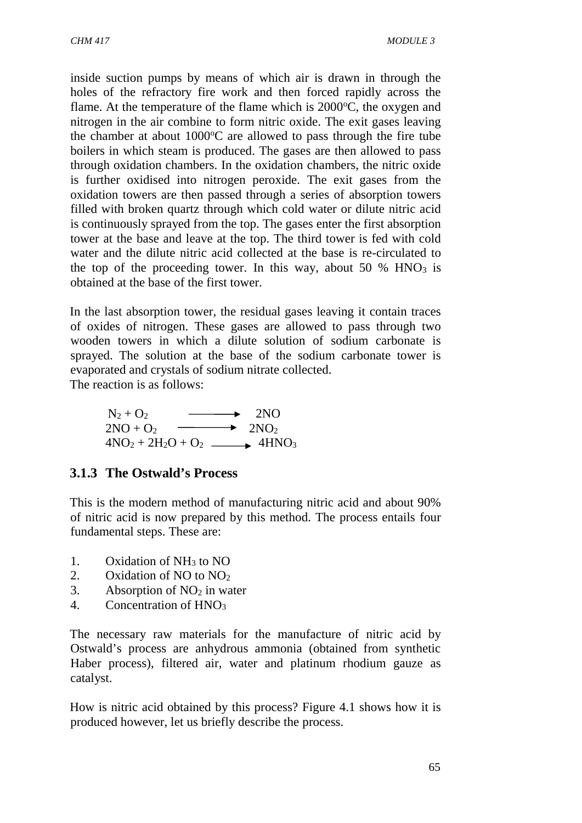inside suction pumps by means of which air is drawn in through the holes of the refractory fire work and then forced rapidly across the flame. At the temperature of the flame which is  $2000^{\circ}$ C, the oxygen and nitrogen in the air combine to form nitric oxide. The exit gases leaving the chamber at about  $1000^{\circ}$ C are allowed to pass through the fire tube boilers in which steam is produced. The gases are then allowed to pass through oxidation chambers. In the oxidation chambers, the nitric oxide is further oxidised into nitrogen peroxide. The exit gases from the oxidation towers are then passed through a series of absorption towers filled with broken quartz through which cold water or dilute nitric acid is continuously sprayed from the top. The gases enter the first absorption tower at the base and leave at the top. The third tower is fed with cold water and the dilute nitric acid collected at the base is re-circulated to the top of the proceeding tower. In this way, about 50 %  $HNO<sub>3</sub>$  is obtained at the base of the first tower.

In the last absorption tower, the residual gases leaving it contain traces of oxides of nitrogen. These gases are allowed to pass through two wooden towers in which a dilute solution of sodium carbonate is sprayed. The solution at the base of the sodium carbonate tower is evaporated and crystals of sodium nitrate collected.

The reaction is as follows:

 $N_2 + Q_2$   $\longrightarrow$  2NO  $2NO + O_2 \longrightarrow 2NO_2$  $4NO<sub>2</sub> + 2H<sub>2</sub>O + O<sub>2</sub>$   $\longrightarrow$   $4HNO<sub>3</sub>$ 

# **3.1.3 The Ostwald's Process**

This is the modern method of manufacturing nitric acid and about 90% of nitric acid is now prepared by this method. The process entails four fundamental steps. These are:

- 1. Oxidation of  $NH<sub>3</sub>$  to NO
- 2. Oxidation of NO to  $NO<sub>2</sub>$
- 3. Absorption of  $NO<sub>2</sub>$  in water
- 4. Concentration of HNO<sub>3</sub>

The necessary raw materials for the manufacture of nitric acid by Ostwald's process are anhydrous ammonia (obtained from synthetic Haber process), filtered air, water and platinum rhodium gauze as catalyst.

How is nitric acid obtained by this process? Figure 4.1 shows how it is produced however, let us briefly describe the process.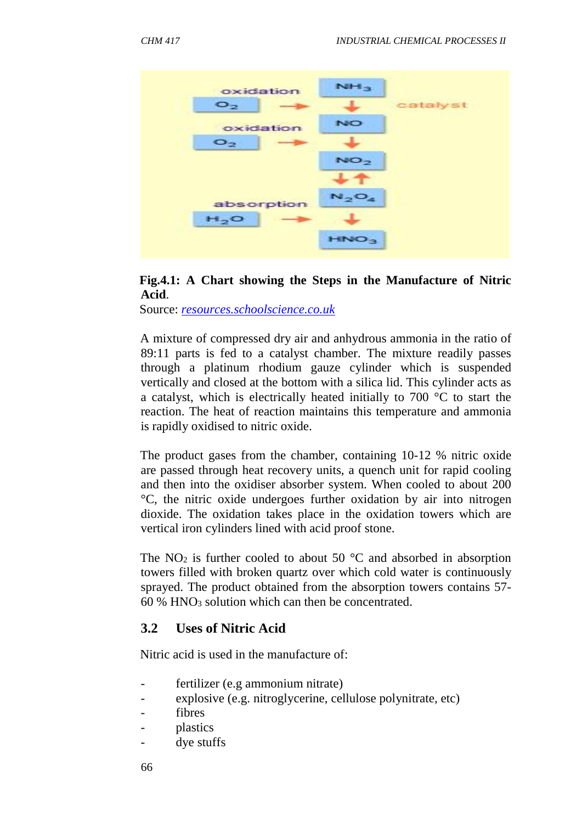



Source: *resources.schoolscience.co.uk*

A mixture of compressed dry air and anhydrous ammonia in the ratio of 89:11 parts is fed to a catalyst chamber. The mixture readily passes through a platinum rhodium gauze cylinder which is suspended vertically and closed at the bottom with a silica lid. This cylinder acts as a catalyst, which is electrically heated initially to 700 °C to start the reaction. The heat of reaction maintains this temperature and ammonia is rapidly oxidised to nitric oxide.

The product gases from the chamber, containing 10-12 % nitric oxide are passed through heat recovery units, a quench unit for rapid cooling and then into the oxidiser absorber system. When cooled to about 200 °C, the nitric oxide undergoes further oxidation by air into nitrogen dioxide. The oxidation takes place in the oxidation towers which are vertical iron cylinders lined with acid proof stone.

The  $NO<sub>2</sub>$  is further cooled to about 50 °C and absorbed in absorption towers filled with broken quartz over which cold water is continuously sprayed. The product obtained from the absorption towers contains 57-  $60\%$  HNO<sub>3</sub> solution which can then be concentrated.

#### **3.2 Uses of Nitric Acid**

Nitric acid is used in the manufacture of:

- fertilizer (e.g ammonium nitrate)
- explosive (e.g. nitroglycerine, cellulose polynitrate, etc)
- fibres
- plastics
- dye stuffs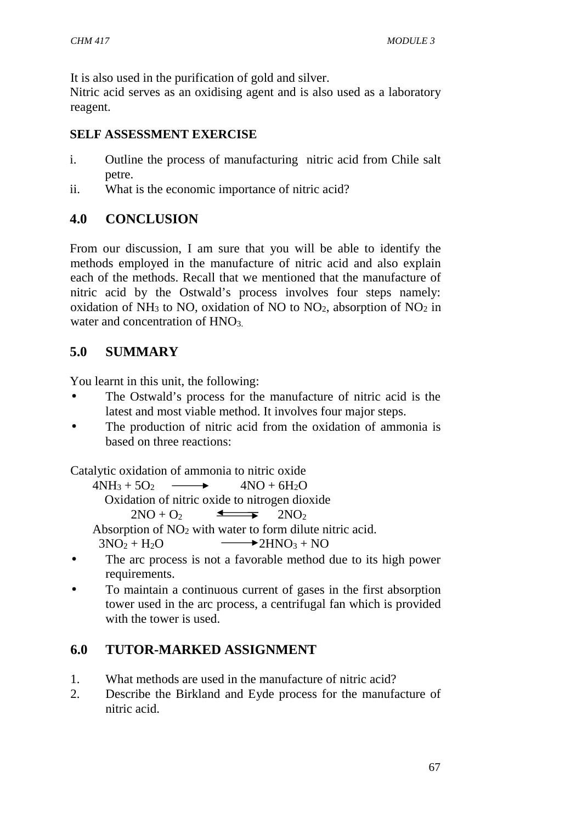It is also used in the purification of gold and silver.

Nitric acid serves as an oxidising agent and is also used as a laboratory reagent.

#### **SELF ASSESSMENT EXERCISE**

- i. Outline the process of manufacturing nitric acid from Chile salt petre.
- ii. What is the economic importance of nitric acid?

# **4.0 CONCLUSION**

From our discussion, I am sure that you will be able to identify the methods employed in the manufacture of nitric acid and also explain each of the methods. Recall that we mentioned that the manufacture of nitric acid by the Ostwald's process involves four steps namely: oxidation of  $NH_3$  to NO, oxidation of NO to NO<sub>2</sub>, absorption of NO<sub>2</sub> in water and concentration of HNO<sub>3</sub>.

# **5.0 SUMMARY**

You learnt in this unit, the following:

- The Ostwald's process for the manufacture of nitric acid is the latest and most viable method. It involves four major steps.
- The production of nitric acid from the oxidation of ammonia is based on three reactions:

Catalytic oxidation of ammonia to nitric oxide

 $4NH_3 + 5O_2 \longrightarrow 4NO + 6H_2O$ Oxidation of nitric oxide to nitrogen dioxide  $2NO + O_2$   $\longrightarrow$   $2NO_2$ Absorption of NO<sup>2</sup> with water to form dilute nitric acid.  $3NO<sub>2</sub> + H<sub>2</sub>O$   $\longrightarrow$   $2HNO<sub>3</sub> + NO$ 

- The arc process is not a favorable method due to its high power requirements.
- To maintain a continuous current of gases in the first absorption tower used in the arc process, a centrifugal fan which is provided with the tower is used.

# **6.0 TUTOR-MARKED ASSIGNMENT**

- 1. What methods are used in the manufacture of nitric acid?
- 2. Describe the Birkland and Eyde process for the manufacture of nitric acid.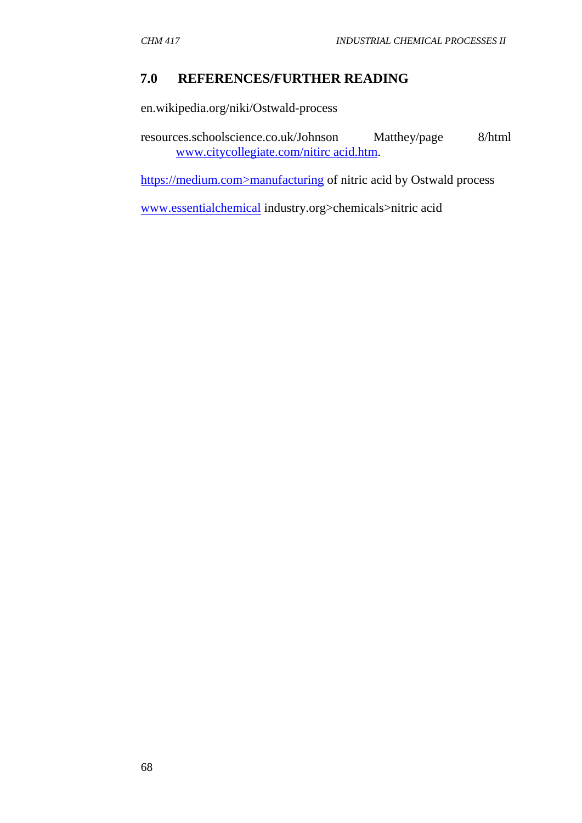## **7.0 REFERENCES/FURTHER READING**

en.wikipedia.org/niki/Ostwald-process

resources.schoolscience.co.uk/Johnson Matthey/page 8/html www.citycollegiate.com/nitirc acid.htm.

https://medium.com>manufacturing of nitric acid by Ostwald process

www.essentialchemical industry.org>chemicals>nitric acid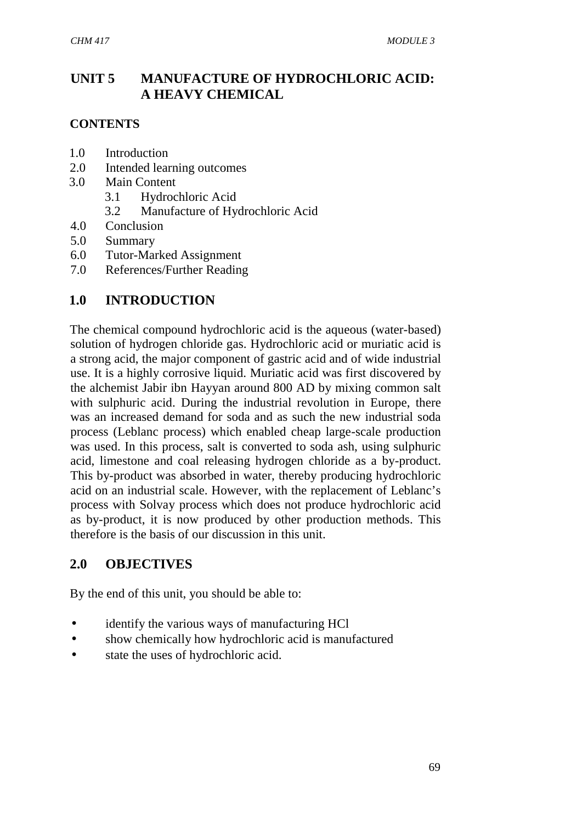# **UNIT 5 MANUFACTURE OF HYDROCHLORIC ACID: A HEAVY CHEMICAL**

### **CONTENTS**

- 1.0 Introduction
- 2.0 Intended learning outcomes
- 3.0 Main Content
	- 3.1 Hydrochloric Acid
	- 3.2 Manufacture of Hydrochloric Acid
- 4.0 Conclusion
- 5.0 Summary
- 6.0 Tutor-Marked Assignment
- 7.0 References/Further Reading

# **1.0 INTRODUCTION**

The chemical compound hydrochloric acid is the aqueous (water-based) solution of hydrogen chloride gas. Hydrochloric acid or muriatic acid is a strong acid, the major component of gastric acid and of wide industrial use. It is a highly corrosive liquid. Muriatic acid was first discovered by the alchemist Jabir ibn Hayyan around 800 AD by mixing common salt with sulphuric acid. During the industrial revolution in Europe, there was an increased demand for soda and as such the new industrial soda process (Leblanc process) which enabled cheap large-scale production was used. In this process, salt is converted to soda ash, using sulphuric acid, limestone and coal releasing hydrogen chloride as a by-product. This by-product was absorbed in water, thereby producing hydrochloric acid on an industrial scale. However, with the replacement of Leblanc's process with Solvay process which does not produce hydrochloric acid as by-product, it is now produced by other production methods. This therefore is the basis of our discussion in this unit.

## **2.0 OBJECTIVES**

By the end of this unit, you should be able to:

- identify the various ways of manufacturing HCl
- show chemically how hydrochloric acid is manufactured
- state the uses of hydrochloric acid.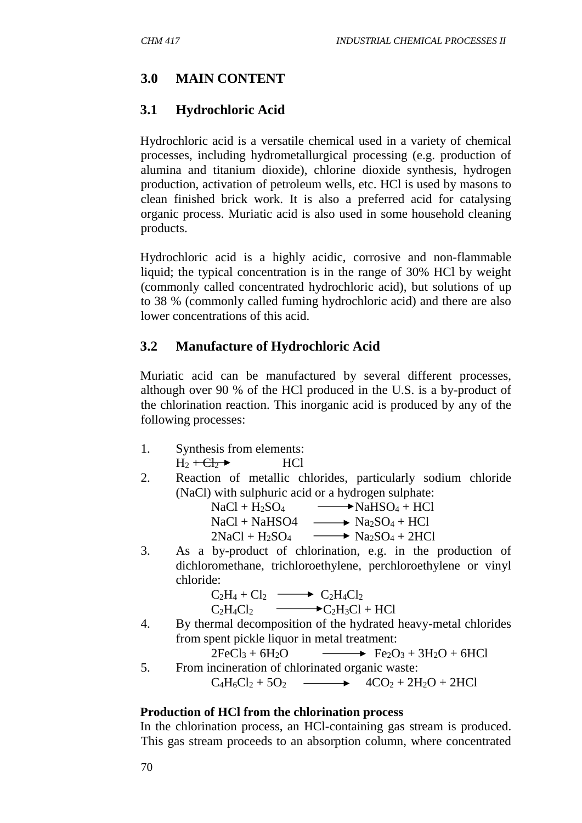# **3.0 MAIN CONTENT**

# **3.1 Hydrochloric Acid**

Hydrochloric acid is a versatile chemical used in a variety of chemical processes, including hydrometallurgical processing (e.g. production of alumina and titanium dioxide), chlorine dioxide synthesis, hydrogen production, activation of petroleum wells, etc. HCl is used by masons to clean finished brick work. It is also a preferred acid for catalysing organic process. Muriatic acid is also used in some household cleaning products.

Hydrochloric acid is a highly acidic, corrosive and non-flammable liquid; the typical concentration is in the range of 30% HCl by weight (commonly called concentrated hydrochloric acid), but solutions of up to 38 % (commonly called fuming hydrochloric acid) and there are also lower concentrations of this acid.

# **3.2 Manufacture of Hydrochloric Acid**

Muriatic acid can be manufactured by several different processes, although over 90 % of the HCl produced in the U.S. is a by-product of the chlorination reaction. This inorganic acid is produced by any of the following processes:

- 1. Synthesis from elements:  $H_2 + H_2$  HCl
- 2. Reaction of metallic chlorides, particularly sodium chloride (NaCl) with sulphuric acid or a hydrogen sulphate:

| $NaCl + H2SO4$    | $\longrightarrow$ NaHSO <sub>4</sub> + HCl               |
|-------------------|----------------------------------------------------------|
| $NaCl + NaHSO4$   | $\longrightarrow$ Na <sub>2</sub> SO <sub>4</sub> + HCl  |
| $2NaCl + H_2SO_4$ | $\longrightarrow$ Na <sub>2</sub> SO <sub>4</sub> + 2HCl |

3. As a by-product of chlorination, e.g. in the production of dichloromethane, trichloroethylene, perchloroethylene or vinyl chloride:

$$
C_2H_4 + Cl_2 \longrightarrow C_2H_4Cl_2
$$
  
\n
$$
C_2H_4Cl_2 \longrightarrow C_2H_3Cl + HCl
$$

4. By thermal decomposition of the hydrated heavy-metal chlorides from spent pickle liquor in metal treatment:

 $2FeCl<sub>3</sub> + 6H<sub>2</sub>O$   $\longrightarrow$   $Fe<sub>2</sub>O<sub>3</sub> + 3H<sub>2</sub>O + 6HCl$ 

5. From incineration of chlorinated organic waste:  $C_4H_6Cl_2 + 5O_2$   $\longrightarrow$   $4CO_2 + 2H_2O + 2HCl$ 

## **Production of HCl from the chlorination process**

In the chlorination process, an HCl-containing gas stream is produced. This gas stream proceeds to an absorption column, where concentrated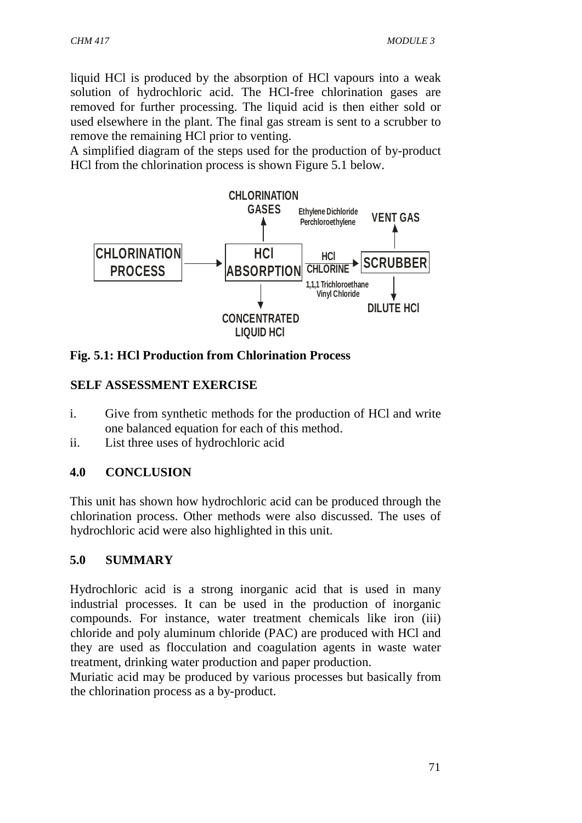liquid HCl is produced by the absorption of HCl vapours into a weak solution of hydrochloric acid. The HCl-free chlorination gases are removed for further processing. The liquid acid is then either sold or used elsewhere in the plant. The final gas stream is sent to a scrubber to remove the remaining HCl prior to venting.

A simplified diagram of the steps used for the production of by-product HCl from the chlorination process is shown Figure 5.1 below.



**Fig. 5.1: HCl Production from Chlorination Process**

#### **SELF ASSESSMENT EXERCISE**

- i. Give from synthetic methods for the production of HCl and write one balanced equation for each of this method.
- ii. List three uses of hydrochloric acid

#### **4.0 CONCLUSION**

This unit has shown how hydrochloric acid can be produced through the chlorination process. Other methods were also discussed. The uses of hydrochloric acid were also highlighted in this unit.

#### **5.0 SUMMARY**

Hydrochloric acid is a strong inorganic acid that is used in many industrial processes. It can be used in the production of inorganic compounds. For instance, water treatment chemicals like iron (iii) chloride and poly aluminum chloride (PAC) are produced with HCl and they are used as flocculation and coagulation agents in waste water treatment, drinking water production and paper production.

Muriatic acid may be produced by various processes but basically from the chlorination process as a by-product.